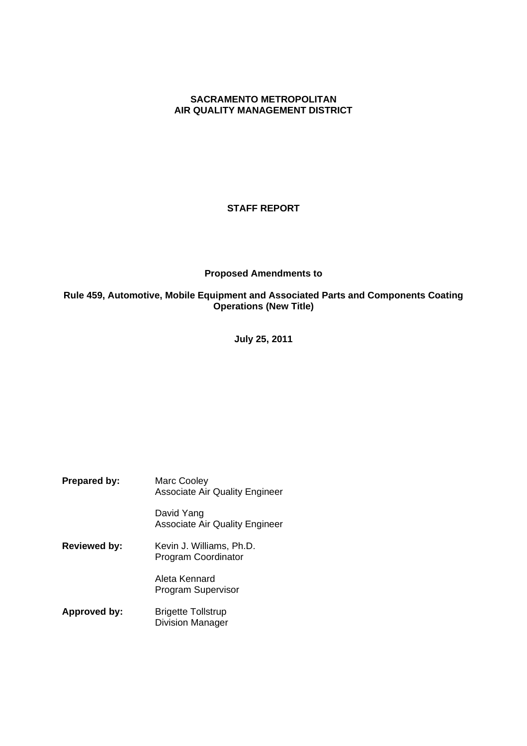## **SACRAMENTO METROPOLITAN AIR QUALITY MANAGEMENT DISTRICT**

## **STAFF REPORT**

## **Proposed Amendments to**

## **Rule 459, Automotive, Mobile Equipment and Associated Parts and Components Coating Operations (New Title)**

**July 25, 2011**

**Prepared by:** Marc Cooley Associate Air Quality Engineer David Yang Associate Air Quality Engineer **Reviewed by:** Kevin J. Williams, Ph.D. Program Coordinator Aleta Kennard Program Supervisor **Approved by:** Brigette Tollstrup Division Manager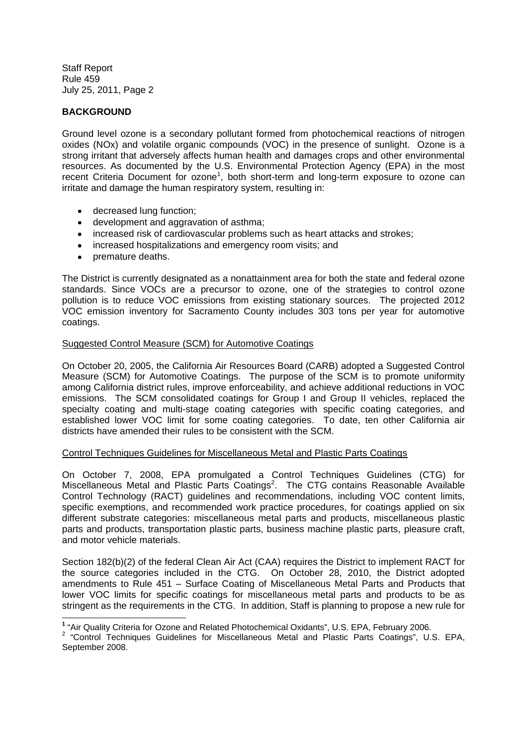## **BACKGROUND**

Ground level ozone is a secondary pollutant formed from photochemical reactions of nitrogen oxides (NOx) and volatile organic compounds (VOC) in the presence of sunlight. Ozone is a strong irritant that adversely affects human health and damages crops and other environmental resources. As documented by the U.S. Environmental Protection Agency (EPA) in the most recent Criteria Document for ozone<sup>1</sup>, both short-term and long-term exposure to ozone can irritate and damage the human respiratory system, resulting in:

- decreased lung function;
- development and aggravation of asthma:
- increased risk of cardiovascular problems such as heart attacks and strokes;
- increased hospitalizations and emergency room visits; and
- premature deaths.

The District is currently designated as a nonattainment area for both the state and federal ozone standards. Since VOCs are a precursor to ozone, one of the strategies to control ozone pollution is to reduce VOC emissions from existing stationary sources. The projected 2012 VOC emission inventory for Sacramento County includes 303 tons per year for automotive coatings.

## Suggested Control Measure (SCM) for Automotive Coatings

On October 20, 2005, the California Air Resources Board (CARB) adopted a Suggested Control Measure (SCM) for Automotive Coatings. The purpose of the SCM is to promote uniformity among California district rules, improve enforceability, and achieve additional reductions in VOC emissions. The SCM consolidated coatings for Group I and Group II vehicles, replaced the specialty coating and multi-stage coating categories with specific coating categories, and established lower VOC limit for some coating categories. To date, ten other California air districts have amended their rules to be consistent with the SCM.

## Control Techniques Guidelines for Miscellaneous Metal and Plastic Parts Coatings

On October 7, 2008, EPA promulgated a Control Techniques Guidelines (CTG) for Miscellaneous Metal and Plastic Parts Coatings<sup>2</sup>. The CTG contains Reasonable Available Control Technology (RACT) guidelines and recommendations, including VOC content limits, specific exemptions, and recommended work practice procedures, for coatings applied on six different substrate categories: miscellaneous metal parts and products, miscellaneous plastic parts and products, transportation plastic parts, business machine plastic parts, pleasure craft, and motor vehicle materials.

Section 182(b)(2) of the federal Clean Air Act (CAA) requires the District to implement RACT for the source categories included in the CTG. On October 28, 2010, the District adopted amendments to Rule 451 – Surface Coating of Miscellaneous Metal Parts and Products that lower VOC limits for specific coatings for miscellaneous metal parts and products to be as stringent as the requirements in the CTG. In addition, Staff is planning to propose a new rule for

**<sup>1</sup>** "Air Quality Criteria for Ozone and Related Photochemical Oxidants", U.S. EPA, February 2006.

 $2$  "Control Techniques Guidelines for Miscellaneous Metal and Plastic Parts Coatings", U.S. EPA, September 2008.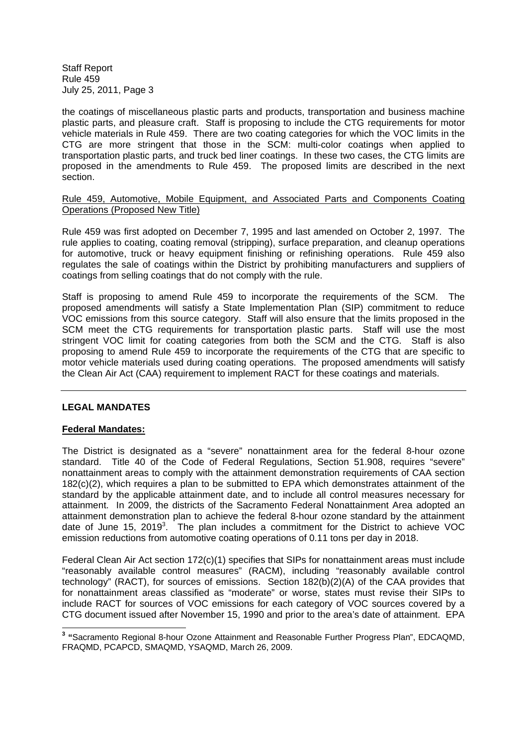the coatings of miscellaneous plastic parts and products, transportation and business machine plastic parts, and pleasure craft. Staff is proposing to include the CTG requirements for motor vehicle materials in Rule 459. There are two coating categories for which the VOC limits in the CTG are more stringent that those in the SCM: multi-color coatings when applied to transportation plastic parts, and truck bed liner coatings. In these two cases, the CTG limits are proposed in the amendments to Rule 459. The proposed limits are described in the next section.

## Rule 459, Automotive, Mobile Equipment, and Associated Parts and Components Coating Operations (Proposed New Title)

Rule 459 was first adopted on December 7, 1995 and last amended on October 2, 1997. The rule applies to coating, coating removal (stripping), surface preparation, and cleanup operations for automotive, truck or heavy equipment finishing or refinishing operations. Rule 459 also regulates the sale of coatings within the District by prohibiting manufacturers and suppliers of coatings from selling coatings that do not comply with the rule.

Staff is proposing to amend Rule 459 to incorporate the requirements of the SCM. The proposed amendments will satisfy a State Implementation Plan (SIP) commitment to reduce VOC emissions from this source category. Staff will also ensure that the limits proposed in the SCM meet the CTG requirements for transportation plastic parts. Staff will use the most stringent VOC limit for coating categories from both the SCM and the CTG. Staff is also proposing to amend Rule 459 to incorporate the requirements of the CTG that are specific to motor vehicle materials used during coating operations. The proposed amendments will satisfy the Clean Air Act (CAA) requirement to implement RACT for these coatings and materials.

## **LEGAL MANDATES**

## **Federal Mandates:**

The District is designated as a "severe" nonattainment area for the federal 8-hour ozone standard. Title 40 of the Code of Federal Regulations, Section 51.908, requires "severe" nonattainment areas to comply with the attainment demonstration requirements of CAA section 182(c)(2), which requires a plan to be submitted to EPA which demonstrates attainment of the standard by the applicable attainment date, and to include all control measures necessary for attainment. In 2009, the districts of the Sacramento Federal Nonattainment Area adopted an attainment demonstration plan to achieve the federal 8-hour ozone standard by the attainment date of June 15, 2019<sup>3</sup>. The plan includes a commitment for the District to achieve VOC emission reductions from automotive coating operations of 0.11 tons per day in 2018.

Federal Clean Air Act section 172(c)(1) specifies that SIPs for nonattainment areas must include "reasonably available control measures" (RACM), including "reasonably available control technology" (RACT), for sources of emissions. Section 182(b)(2)(A) of the CAA provides that for nonattainment areas classified as "moderate" or worse, states must revise their SIPs to include RACT for sources of VOC emissions for each category of VOC sources covered by a CTG document issued after November 15, 1990 and prior to the area's date of attainment. EPA

**<sup>3</sup> "**Sacramento Regional 8-hour Ozone Attainment and Reasonable Further Progress Plan", EDCAQMD, FRAQMD, PCAPCD, SMAQMD, YSAQMD, March 26, 2009.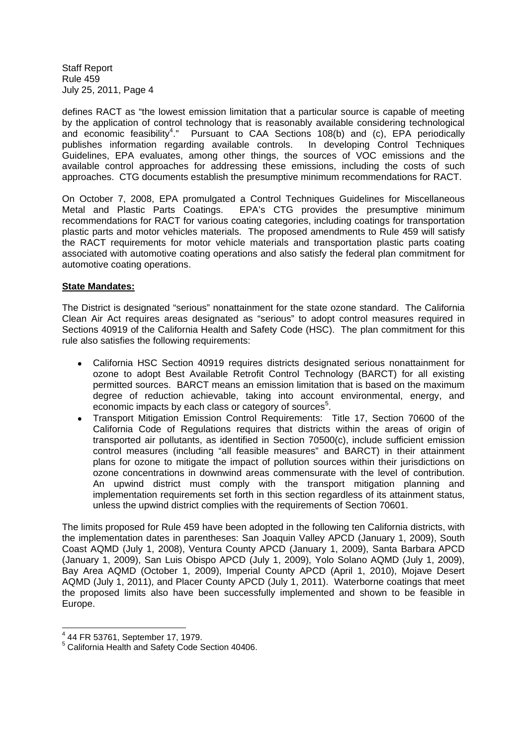defines RACT as "the lowest emission limitation that a particular source is capable of meeting by the application of control technology that is reasonably available considering technological and economic feasibility<sup>4</sup>." Pursuant to CAA Sections 108(b) and (c), EPA periodically publishes information regarding available controls. In developing Control Techniques Guidelines, EPA evaluates, among other things, the sources of VOC emissions and the available control approaches for addressing these emissions, including the costs of such approaches. CTG documents establish the presumptive minimum recommendations for RACT.

On October 7, 2008, EPA promulgated a Control Techniques Guidelines for Miscellaneous Metal and Plastic Parts Coatings. EPA's CTG provides the presumptive minimum recommendations for RACT for various coating categories, including coatings for transportation plastic parts and motor vehicles materials. The proposed amendments to Rule 459 will satisfy the RACT requirements for motor vehicle materials and transportation plastic parts coating associated with automotive coating operations and also satisfy the federal plan commitment for automotive coating operations.

## **State Mandates:**

The District is designated "serious" nonattainment for the state ozone standard. The California Clean Air Act requires areas designated as "serious" to adopt control measures required in Sections 40919 of the California Health and Safety Code (HSC). The plan commitment for this rule also satisfies the following requirements:

- California HSC Section 40919 requires districts designated serious nonattainment for ozone to adopt Best Available Retrofit Control Technology (BARCT) for all existing permitted sources. BARCT means an emission limitation that is based on the maximum degree of reduction achievable, taking into account environmental, energy, and economic impacts by each class or category of sources<sup>5</sup>.
- Transport Mitigation Emission Control Requirements: Title 17, Section 70600 of the California Code of Regulations requires that districts within the areas of origin of transported air pollutants, as identified in Section 70500(c), include sufficient emission control measures (including "all feasible measures" and BARCT) in their attainment plans for ozone to mitigate the impact of pollution sources within their jurisdictions on ozone concentrations in downwind areas commensurate with the level of contribution. An upwind district must comply with the transport mitigation planning and implementation requirements set forth in this section regardless of its attainment status, unless the upwind district complies with the requirements of Section 70601.

The limits proposed for Rule 459 have been adopted in the following ten California districts, with the implementation dates in parentheses: San Joaquin Valley APCD (January 1, 2009), South Coast AQMD (July 1, 2008), Ventura County APCD (January 1, 2009), Santa Barbara APCD (January 1, 2009), San Luis Obispo APCD (July 1, 2009), Yolo Solano AQMD (July 1, 2009), Bay Area AQMD (October 1, 2009), Imperial County APCD (April 1, 2010), Mojave Desert AQMD (July 1, 2011), and Placer County APCD (July 1, 2011). Waterborne coatings that meet the proposed limits also have been successfully implemented and shown to be feasible in Europe.

<sup>4</sup> 44 FR 53761, September 17, 1979.

<sup>5</sup> California Health and Safety Code Section 40406.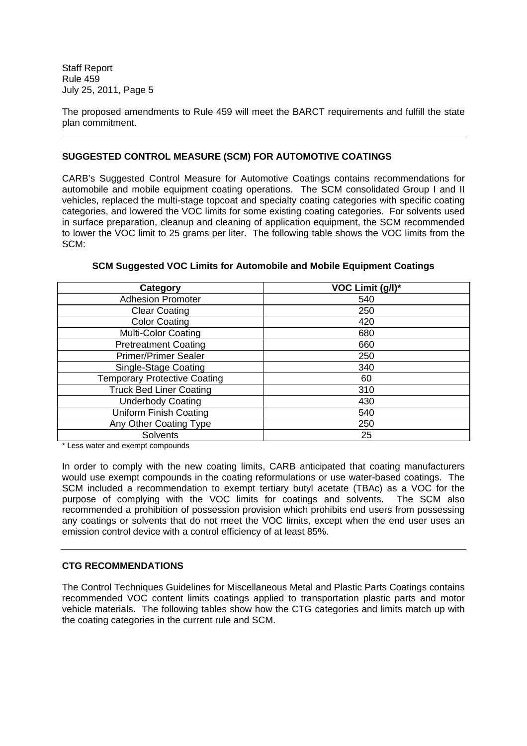The proposed amendments to Rule 459 will meet the BARCT requirements and fulfill the state plan commitment.

## **SUGGESTED CONTROL MEASURE (SCM) FOR AUTOMOTIVE COATINGS**

CARB's Suggested Control Measure for Automotive Coatings contains recommendations for automobile and mobile equipment coating operations. The SCM consolidated Group I and II vehicles, replaced the multi-stage topcoat and specialty coating categories with specific coating categories, and lowered the VOC limits for some existing coating categories. For solvents used in surface preparation, cleanup and cleaning of application equipment, the SCM recommended to lower the VOC limit to 25 grams per liter. The following table shows the VOC limits from the SCM:

| Category                            | VOC Limit (g/l)* |
|-------------------------------------|------------------|
| <b>Adhesion Promoter</b>            | 540              |
| <b>Clear Coating</b>                | 250              |
| <b>Color Coating</b>                | 420              |
| <b>Multi-Color Coating</b>          | 680              |
| <b>Pretreatment Coating</b>         | 660              |
| <b>Primer/Primer Sealer</b>         | 250              |
| Single-Stage Coating                | 340              |
| <b>Temporary Protective Coating</b> | 60               |
| <b>Truck Bed Liner Coating</b>      | 310              |
| <b>Underbody Coating</b>            | 430              |
| Uniform Finish Coating              | 540              |
| Any Other Coating Type              | 250              |
| Solvents                            | 25               |

## **SCM Suggested VOC Limits for Automobile and Mobile Equipment Coatings**

\* Less water and exempt compounds

In order to comply with the new coating limits, CARB anticipated that coating manufacturers would use exempt compounds in the coating reformulations or use water-based coatings. The SCM included a recommendation to exempt tertiary butyl acetate (TBAc) as a VOC for the purpose of complying with the VOC limits for coatings and solvents. The SCM also recommended a prohibition of possession provision which prohibits end users from possessing any coatings or solvents that do not meet the VOC limits, except when the end user uses an emission control device with a control efficiency of at least 85%.

## **CTG RECOMMENDATIONS**

The Control Techniques Guidelines for Miscellaneous Metal and Plastic Parts Coatings contains recommended VOC content limits coatings applied to transportation plastic parts and motor vehicle materials. The following tables show how the CTG categories and limits match up with the coating categories in the current rule and SCM.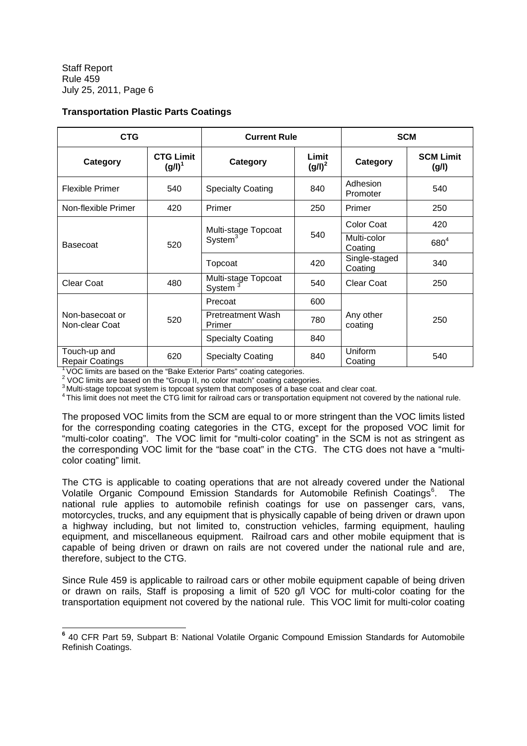## **Transportation Plastic Parts Coatings**

| <b>CTG</b>                             |                               | <b>SCM</b><br><b>Current Rule</b>  |     |                           |                           |
|----------------------------------------|-------------------------------|------------------------------------|-----|---------------------------|---------------------------|
| Category                               | <b>CTG Limit</b><br>$(g/l)^1$ | Limit<br>Category<br>$(g/l)^2$     |     | Category                  | <b>SCM Limit</b><br>(g/l) |
| <b>Flexible Primer</b>                 | 540                           | 840<br><b>Specialty Coating</b>    |     | Adhesion<br>Promoter      | 540                       |
| Non-flexible Primer                    | 420                           | Primer                             | 250 | Primer                    | 250                       |
|                                        |                               | Multi-stage Topcoat                |     | <b>Color Coat</b>         | 420                       |
| <b>Basecoat</b>                        | 520                           | $S$ ystem $3$                      | 540 | Multi-color<br>Coating    | $680^{4}$                 |
|                                        |                               | Topcoat                            | 420 | Single-staged<br>Coating  | 340                       |
| <b>Clear Coat</b>                      | 480                           | Multi-stage Topcoat<br>System      | 540 |                           | 250                       |
|                                        |                               | Precoat                            | 600 |                           |                           |
| Non-basecoat or<br>Non-clear Coat      | 520                           | <b>Pretreatment Wash</b><br>Primer | 780 | Any other<br>coating      | 250                       |
|                                        |                               | <b>Specialty Coating</b>           | 840 |                           |                           |
| Touch-up and<br><b>Repair Coatings</b> | 620                           | <b>Specialty Coating</b>           | 840 | <b>Uniform</b><br>Coating | 540                       |

<sup>1</sup> VOC limits are based on the "Bake Exterior Parts" coating categories.

 $2$  VOC limits are based on the "Group II, no color match" coating categories.

<sup>3</sup> Multi-stage topcoat system is topcoat system that composes of a base coat and clear coat.

<sup>4</sup> This limit does not meet the CTG limit for railroad cars or transportation equipment not covered by the national rule.

The proposed VOC limits from the SCM are equal to or more stringent than the VOC limits listed for the corresponding coating categories in the CTG, except for the proposed VOC limit for "multi-color coating". The VOC limit for "multi-color coating" in the SCM is not as stringent as the corresponding VOC limit for the "base coat" in the CTG. The CTG does not have a "multicolor coating" limit.

The CTG is applicable to coating operations that are not already covered under the National Volatile Organic Compound Emission Standards for Automobile Refinish Coatings<sup>6</sup>. The national rule applies to automobile refinish coatings for use on passenger cars, vans, motorcycles, trucks, and any equipment that is physically capable of being driven or drawn upon a highway including, but not limited to, construction vehicles, farming equipment, hauling equipment, and miscellaneous equipment. Railroad cars and other mobile equipment that is capable of being driven or drawn on rails are not covered under the national rule and are, therefore, subject to the CTG.

Since Rule 459 is applicable to railroad cars or other mobile equipment capable of being driven or drawn on rails, Staff is proposing a limit of 520 g/l VOC for multi-color coating for the transportation equipment not covered by the national rule. This VOC limit for multi-color coating

**<sup>6</sup>** 40 CFR Part 59, Subpart B: National Volatile Organic Compound Emission Standards for Automobile Refinish Coatings.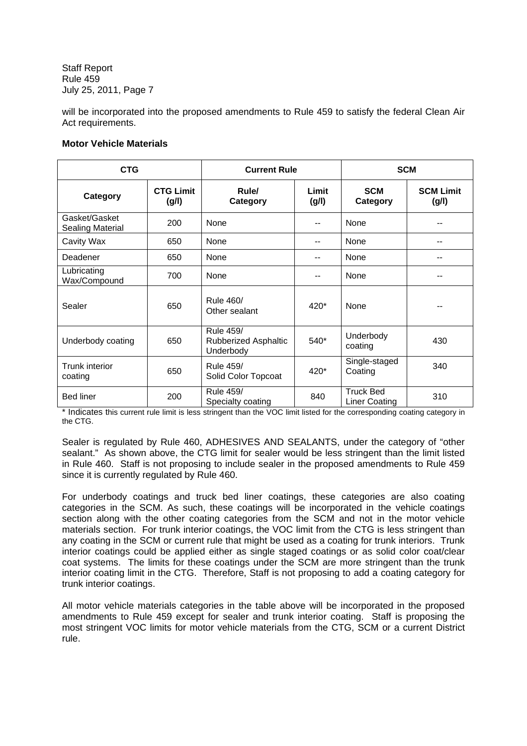will be incorporated into the proposed amendments to Rule 459 to satisfy the federal Clean Air Act requirements.

## **Motor Vehicle Materials**

| <b>CTG</b>                               |                           | <b>Current Rule</b>                                   |                | <b>SCM</b>                               |                           |  |
|------------------------------------------|---------------------------|-------------------------------------------------------|----------------|------------------------------------------|---------------------------|--|
| Category                                 | <b>CTG Limit</b><br>(g/l) | Rule/<br>Category                                     | Limit<br>(g/l) | <b>SCM</b><br>Category                   | <b>SCM Limit</b><br>(g/l) |  |
| Gasket/Gasket<br><b>Sealing Material</b> | 200                       | None                                                  | --             | None                                     |                           |  |
| Cavity Wax                               | 650                       | None                                                  | $-$            | None                                     | --                        |  |
| Deadener                                 | 650                       | None                                                  | --             | None                                     | --                        |  |
| Lubricating<br>Wax/Compound              | 700                       | None                                                  | $-$            | None                                     |                           |  |
| Sealer                                   | 650                       | Rule 460/<br>Other sealant                            | $420*$         | None                                     |                           |  |
| Underbody coating                        | 650                       | <b>Rule 459/</b><br>Rubberized Asphaltic<br>Underbody | 540*           | Underbody<br>coating                     | 430                       |  |
| Trunk interior<br>coating                | 650                       | Rule 459/<br>Solid Color Topcoat                      | $420*$         | Single-staged<br>Coating                 | 340                       |  |
| <b>Bed liner</b>                         | 200                       | Rule 459/<br>Specialty coating                        | 840            | <b>Truck Bed</b><br><b>Liner Coating</b> | 310                       |  |

\* Indicates this current rule limit is less stringent than the VOC limit listed for the corresponding coating category in the CTG.

Sealer is regulated by Rule 460, ADHESIVES AND SEALANTS, under the category of "other sealant." As shown above, the CTG limit for sealer would be less stringent than the limit listed in Rule 460. Staff is not proposing to include sealer in the proposed amendments to Rule 459 since it is currently regulated by Rule 460.

For underbody coatings and truck bed liner coatings, these categories are also coating categories in the SCM. As such, these coatings will be incorporated in the vehicle coatings section along with the other coating categories from the SCM and not in the motor vehicle materials section. For trunk interior coatings, the VOC limit from the CTG is less stringent than any coating in the SCM or current rule that might be used as a coating for trunk interiors. Trunk interior coatings could be applied either as single staged coatings or as solid color coat/clear coat systems. The limits for these coatings under the SCM are more stringent than the trunk interior coating limit in the CTG. Therefore, Staff is not proposing to add a coating category for trunk interior coatings.

All motor vehicle materials categories in the table above will be incorporated in the proposed amendments to Rule 459 except for sealer and trunk interior coating. Staff is proposing the most stringent VOC limits for motor vehicle materials from the CTG, SCM or a current District rule.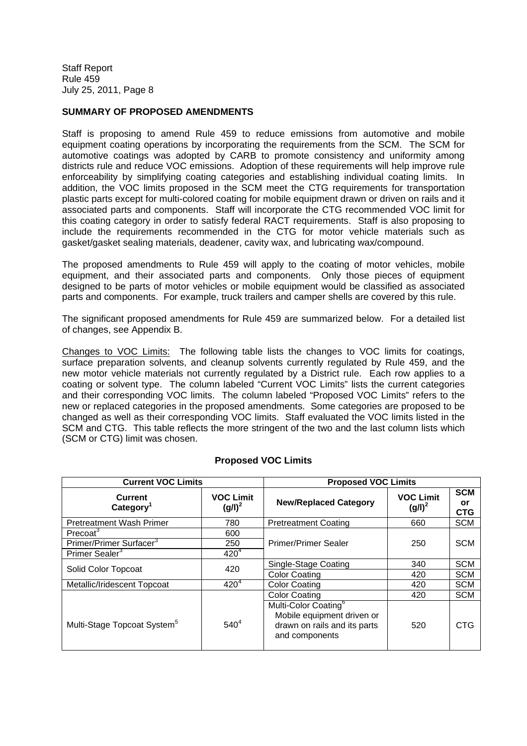## **SUMMARY OF PROPOSED AMENDMENTS**

Staff is proposing to amend Rule 459 to reduce emissions from automotive and mobile equipment coating operations by incorporating the requirements from the SCM. The SCM for automotive coatings was adopted by CARB to promote consistency and uniformity among districts rule and reduce VOC emissions. Adoption of these requirements will help improve rule enforceability by simplifying coating categories and establishing individual coating limits. In addition, the VOC limits proposed in the SCM meet the CTG requirements for transportation plastic parts except for multi-colored coating for mobile equipment drawn or driven on rails and it associated parts and components. Staff will incorporate the CTG recommended VOC limit for this coating category in order to satisfy federal RACT requirements. Staff is also proposing to include the requirements recommended in the CTG for motor vehicle materials such as gasket/gasket sealing materials, deadener, cavity wax, and lubricating wax/compound.

The proposed amendments to Rule 459 will apply to the coating of motor vehicles, mobile equipment, and their associated parts and components. Only those pieces of equipment designed to be parts of motor vehicles or mobile equipment would be classified as associated parts and components. For example, truck trailers and camper shells are covered by this rule.

The significant proposed amendments for Rule 459 are summarized below. For a detailed list of changes, see Appendix B.

Changes to VOC Limits: The following table lists the changes to VOC limits for coatings, surface preparation solvents, and cleanup solvents currently regulated by Rule 459, and the new motor vehicle materials not currently regulated by a District rule. Each row applies to a coating or solvent type. The column labeled "Current VOC Limits" lists the current categories and their corresponding VOC limits. The column labeled "Proposed VOC Limits" refers to the new or replaced categories in the proposed amendments. Some categories are proposed to be changed as well as their corresponding VOC limits. Staff evaluated the VOC limits listed in the SCM and CTG. This table reflects the more stringent of the two and the last column lists which (SCM or CTG) limit was chosen.

| <b>Current VOC Limits</b>               |                                 | <b>Proposed VOC Limits</b>                                                                                       |                                 |                                       |
|-----------------------------------------|---------------------------------|------------------------------------------------------------------------------------------------------------------|---------------------------------|---------------------------------------|
| Current<br>Category <sup>1</sup>        | <b>VOC Limit</b><br>$(g/l)^{2}$ | <b>New/Replaced Category</b>                                                                                     | <b>VOC Limit</b><br>$(g/l)^{2}$ | <b>SCM</b><br><b>or</b><br><b>CTG</b> |
| <b>Pretreatment Wash Primer</b>         | 780                             | <b>Pretreatment Coating</b>                                                                                      | 660                             | <b>SCM</b>                            |
| Precoat <sup>3</sup>                    | 600                             |                                                                                                                  |                                 |                                       |
| Primer/Primer Surfacer <sup>3</sup>     | 250                             | Primer/Primer Sealer                                                                                             | 250                             | <b>SCM</b>                            |
| Primer Sealer <sup>3</sup>              | $420^{4}$                       |                                                                                                                  |                                 |                                       |
| Solid Color Topcoat                     | 420                             | Single-Stage Coating                                                                                             | 340                             | <b>SCM</b>                            |
|                                         |                                 | <b>Color Coating</b>                                                                                             | 420                             | <b>SCM</b>                            |
| Metallic/Iridescent Topcoat             | $420^{4}$                       | <b>Color Coating</b>                                                                                             | 420                             | <b>SCM</b>                            |
|                                         |                                 | <b>Color Coating</b>                                                                                             | 420                             | <b>SCM</b>                            |
| Multi-Stage Topcoat System <sup>5</sup> | $540^{4}$                       | Multi-Color Coating <sup>6</sup><br>Mobile equipment driven or<br>drawn on rails and its parts<br>and components | 520                             | <b>CTG</b>                            |

## **Proposed VOC Limits**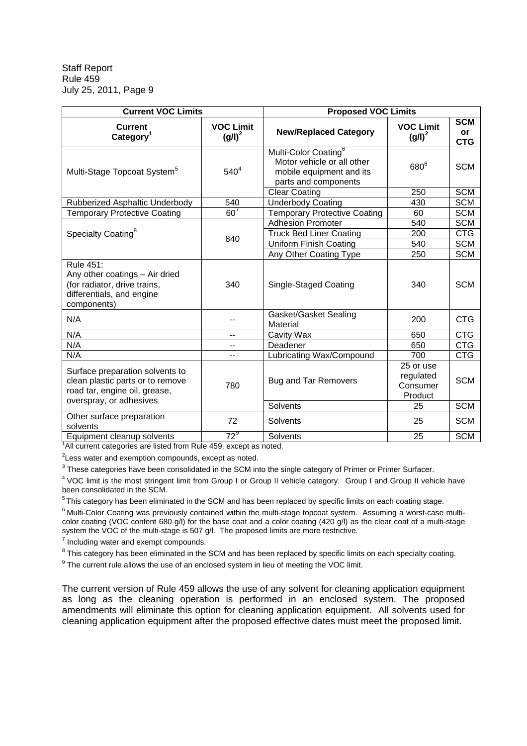| <b>Current VOC Limits</b>                                                                                                       |                               | <b>Proposed VOC Limits</b>                                                                                         |                                               |                                |
|---------------------------------------------------------------------------------------------------------------------------------|-------------------------------|--------------------------------------------------------------------------------------------------------------------|-----------------------------------------------|--------------------------------|
| <b>Current</b><br>Category <sup>1</sup>                                                                                         | <b>VOC Limit</b><br>$(g/l)^2$ | <b>New/Replaced Category</b>                                                                                       | <b>VOC Limit</b><br>$(g/l)^2$                 | <b>SCM</b><br>or<br><b>CTG</b> |
| Multi-Stage Topcoat System <sup>5</sup>                                                                                         | 540 <sup>4</sup>              | Multi-Color Coating <sup>6</sup><br>Motor vehicle or all other<br>mobile equipment and its<br>parts and components | $680^6$                                       | <b>SCM</b>                     |
|                                                                                                                                 |                               | <b>Clear Coating</b>                                                                                               | 250                                           | <b>SCM</b>                     |
| Rubberized Asphaltic Underbody                                                                                                  | 540                           | <b>Underbody Coating</b>                                                                                           | 430                                           | <b>SCM</b>                     |
| <b>Temporary Protective Coating</b>                                                                                             | $60^7$                        | <b>Temporary Protective Coating</b>                                                                                | 60                                            | <b>SCM</b>                     |
|                                                                                                                                 |                               | <b>Adhesion Promoter</b>                                                                                           | 540                                           | <b>SCM</b>                     |
| Specialty Coating <sup>8</sup>                                                                                                  | 840                           | <b>Truck Bed Liner Coating</b>                                                                                     | 200                                           | <b>CTG</b>                     |
|                                                                                                                                 |                               | <b>Uniform Finish Coating</b>                                                                                      | 540                                           | <b>SCM</b>                     |
|                                                                                                                                 |                               | Any Other Coating Type                                                                                             | 250                                           | <b>SCM</b>                     |
| Rule 451:<br>Any other coatings - Air dried<br>(for radiator, drive trains,<br>differentials, and engine<br>components)         | 340                           | Single-Staged Coating                                                                                              | 340                                           | <b>SCM</b>                     |
| N/A                                                                                                                             | $-$                           | Gasket/Gasket Sealing<br>Material                                                                                  | 200                                           | <b>CTG</b>                     |
| N/A                                                                                                                             | --                            | Cavity Wax                                                                                                         | 650                                           | <b>CTG</b>                     |
| N/A                                                                                                                             | --                            | Deadener                                                                                                           | 650                                           | <b>CTG</b>                     |
| N/A                                                                                                                             | --                            | Lubricating Wax/Compound                                                                                           | 700                                           | <b>CTG</b>                     |
| Surface preparation solvents to<br>clean plastic parts or to remove<br>road tar, engine oil, grease,<br>overspray, or adhesives | 780                           | <b>Bug and Tar Removers</b>                                                                                        | 25 or use<br>regulated<br>Consumer<br>Product | <b>SCM</b>                     |
|                                                                                                                                 |                               | Solvents                                                                                                           | 25                                            | <b>SCM</b>                     |
| Other surface preparation<br>solvents                                                                                           | 72                            | <b>Solvents</b>                                                                                                    | 25                                            | <b>SCM</b>                     |
| Equipment cleanup solvents                                                                                                      | $72^9$                        | Solvents                                                                                                           | 25                                            | <b>SCM</b>                     |
| All current categories are listed from Rule 459, except as noted.                                                               |                               |                                                                                                                    |                                               |                                |

 $2$ Less water and exemption compounds, except as noted.

 $3$  These categories have been consolidated in the SCM into the single category of Primer or Primer Surfacer.

<sup>4</sup> VOC limit is the most stringent limit from Group I or Group II vehicle category. Group I and Group II vehicle have been consolidated in the SCM.

 $^5$ This category has been eliminated in the SCM and has been replaced by specific limits on each coating stage.

<sup>6</sup> Multi-Color Coating was previously contained within the multi-stage topcoat system. Assuming a worst-case multicolor coating (VOC content 680 g/l) for the base coat and a color coating (420 g/l) as the clear coat of a multi-stage system the VOC of the multi-stage is 507 g/l. The proposed limits are more restrictive.

 $7$  Including water and exempt compounds.

 $8$  This category has been eliminated in the SCM and has been replaced by specific limits on each specialty coating.

 $9$  The current rule allows the use of an enclosed system in lieu of meeting the VOC limit.

The current version of Rule 459 allows the use of any solvent for cleaning application equipment as long as the cleaning operation is performed in an enclosed system. The proposed amendments will eliminate this option for cleaning application equipment. All solvents used for cleaning application equipment after the proposed effective dates must meet the proposed limit.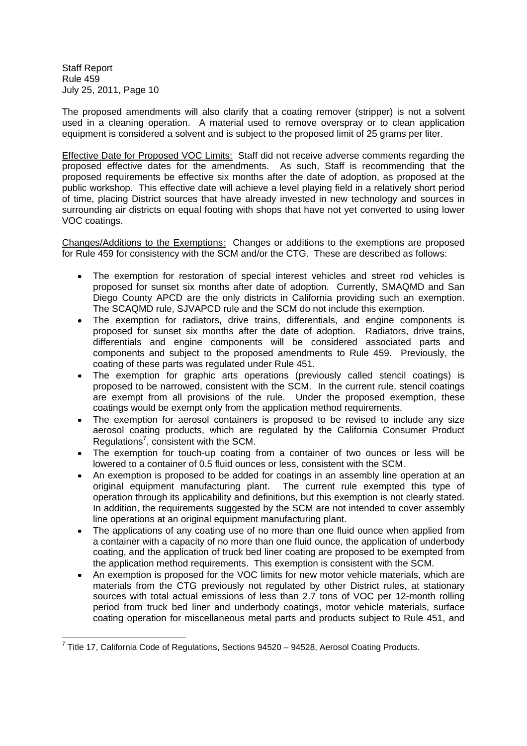The proposed amendments will also clarify that a coating remover (stripper) is not a solvent used in a cleaning operation. A material used to remove overspray or to clean application equipment is considered a solvent and is subject to the proposed limit of 25 grams per liter.

Effective Date for Proposed VOC Limits: Staff did not receive adverse comments regarding the proposed effective dates for the amendments. As such, Staff is recommending that the proposed requirements be effective six months after the date of adoption, as proposed at the public workshop. This effective date will achieve a level playing field in a relatively short period of time, placing District sources that have already invested in new technology and sources in surrounding air districts on equal footing with shops that have not yet converted to using lower VOC coatings.

Changes/Additions to the Exemptions: Changes or additions to the exemptions are proposed for Rule 459 for consistency with the SCM and/or the CTG. These are described as follows:

- The exemption for restoration of special interest vehicles and street rod vehicles is  $\bullet$ proposed for sunset six months after date of adoption. Currently, SMAQMD and San Diego County APCD are the only districts in California providing such an exemption. The SCAQMD rule, SJVAPCD rule and the SCM do not include this exemption.
- The exemption for radiators, drive trains, differentials, and engine components is proposed for sunset six months after the date of adoption. Radiators, drive trains, differentials and engine components will be considered associated parts and components and subject to the proposed amendments to Rule 459. Previously, the coating of these parts was regulated under Rule 451.
- The exemption for graphic arts operations (previously called stencil coatings) is proposed to be narrowed, consistent with the SCM. In the current rule, stencil coatings are exempt from all provisions of the rule. Under the proposed exemption, these coatings would be exempt only from the application method requirements.
- The exemption for aerosol containers is proposed to be revised to include any size aerosol coating products, which are regulated by the California Consumer Product Regulations<sup>7</sup>, consistent with the SCM.
- The exemption for touch-up coating from a container of two ounces or less will be lowered to a container of 0.5 fluid ounces or less, consistent with the SCM.
- An exemption is proposed to be added for coatings in an assembly line operation at an original equipment manufacturing plant. The current rule exempted this type of operation through its applicability and definitions, but this exemption is not clearly stated. In addition, the requirements suggested by the SCM are not intended to cover assembly line operations at an original equipment manufacturing plant.
- The applications of any coating use of no more than one fluid ounce when applied from a container with a capacity of no more than one fluid ounce, the application of underbody coating, and the application of truck bed liner coating are proposed to be exempted from the application method requirements. This exemption is consistent with the SCM.
- An exemption is proposed for the VOC limits for new motor vehicle materials, which are materials from the CTG previously not regulated by other District rules, at stationary sources with total actual emissions of less than 2.7 tons of VOC per 12-month rolling period from truck bed liner and underbody coatings, motor vehicle materials, surface coating operation for miscellaneous metal parts and products subject to Rule 451, and

 $7$  Title 17, California Code of Regulations, Sections 94520 - 94528, Aerosol Coating Products.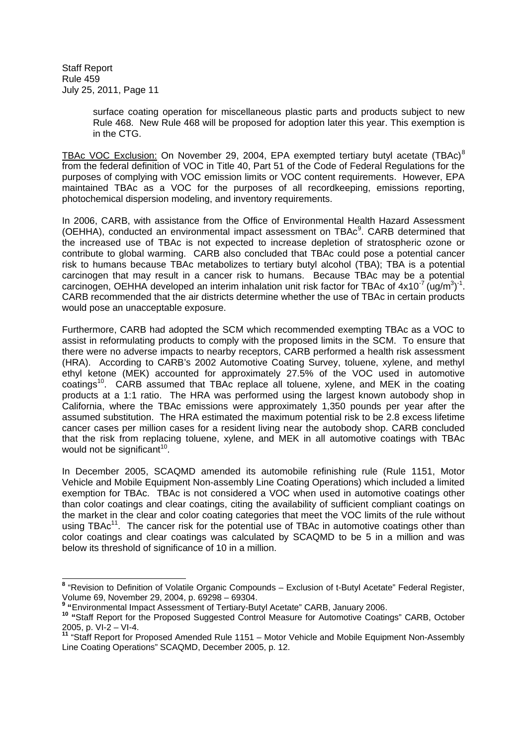> surface coating operation for miscellaneous plastic parts and products subject to new Rule 468. New Rule 468 will be proposed for adoption later this year. This exemption is in the CTG.

TBAc VOC Exclusion: On November 29, 2004, EPA exempted tertiary butyl acetate (TBAc)<sup>8</sup> from the federal definition of VOC in Title 40, Part 51 of the Code of Federal Regulations for the purposes of complying with VOC emission limits or VOC content requirements. However, EPA maintained TBAc as a VOC for the purposes of all recordkeeping, emissions reporting, photochemical dispersion modeling, and inventory requirements.

In 2006, CARB, with assistance from the Office of Environmental Health Hazard Assessment (OEHHA), conducted an environmental impact assessment on TBAc<sup>9</sup>. CARB determined that the increased use of TBAc is not expected to increase depletion of stratospheric ozone or contribute to global warming. CARB also concluded that TBAc could pose a potential cancer risk to humans because TBAc metabolizes to tertiary butyl alcohol (TBA); TBA is a potential carcinogen that may result in a cancer risk to humans. Because TBAc may be a potential carcinogen, OEHHA developed an interim inhalation unit risk factor for TBAc of  $4x10^{-7}$  (ug/m<sup>3</sup>)<sup>-1</sup>. CARB recommended that the air districts determine whether the use of TBAc in certain products would pose an unacceptable exposure.

Furthermore, CARB had adopted the SCM which recommended exempting TBAc as a VOC to assist in reformulating products to comply with the proposed limits in the SCM. To ensure that there were no adverse impacts to nearby receptors, CARB performed a health risk assessment (HRA). According to CARB's 2002 Automotive Coating Survey, toluene, xylene, and methyl ethyl ketone (MEK) accounted for approximately 27.5% of the VOC used in automotive coatings<sup>10</sup>. CARB assumed that TBAc replace all toluene, xylene, and MEK in the coating products at a 1:1 ratio. The HRA was performed using the largest known autobody shop in California, where the TBAc emissions were approximately 1,350 pounds per year after the assumed substitution. The HRA estimated the maximum potential risk to be 2.8 excess lifetime cancer cases per million cases for a resident living near the autobody shop. CARB concluded that the risk from replacing toluene, xylene, and MEK in all automotive coatings with TBAc would not be significant $10$ .

In December 2005, SCAQMD amended its automobile refinishing rule (Rule 1151, Motor Vehicle and Mobile Equipment Non-assembly Line Coating Operations) which included a limited exemption for TBAc. TBAc is not considered a VOC when used in automotive coatings other than color coatings and clear coatings, citing the availability of sufficient compliant coatings on the market in the clear and color coating categories that meet the VOC limits of the rule without using TBA $c<sup>11</sup>$ . The cancer risk for the potential use of TBA $c$  in automotive coatings other than color coatings and clear coatings was calculated by SCAQMD to be 5 in a million and was below its threshold of significance of 10 in a million.

**<sup>8</sup>** "Revision to Definition of Volatile Organic Compounds – Exclusion of t-Butyl Acetate" Federal Register, Volume 69, November 29, 2004, p. 69298 – 69304.

**<sup>9</sup> "**Environmental Impact Assessment of Tertiary-Butyl Acetate" CARB, January 2006.

**<sup>10</sup> "**Staff Report for the Proposed Suggested Control Measure for Automotive Coatings" CARB, October 2005, p. VI-2 – VI-4.

**<sup>11</sup>** "Staff Report for Proposed Amended Rule 1151 – Motor Vehicle and Mobile Equipment Non-Assembly Line Coating Operations" SCAQMD, December 2005, p. 12.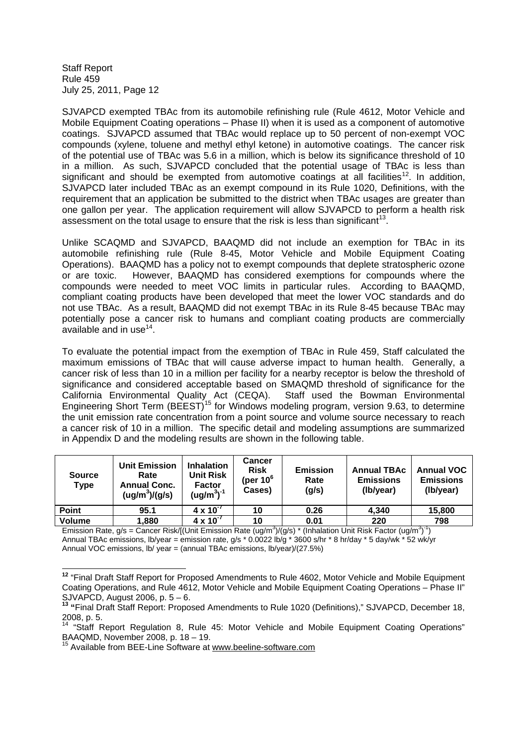SJVAPCD exempted TBAc from its automobile refinishing rule (Rule 4612, Motor Vehicle and Mobile Equipment Coating operations – Phase II) when it is used as a component of automotive coatings. SJVAPCD assumed that TBAc would replace up to 50 percent of non-exempt VOC compounds (xylene, toluene and methyl ethyl ketone) in automotive coatings. The cancer risk of the potential use of TBAc was 5.6 in a million, which is below its significance threshold of 10 in a million. As such, SJVAPCD concluded that the potential usage of TBAc is less than significant and should be exempted from automotive coatings at all facilities<sup>12</sup>. In addition, SJVAPCD later included TBAc as an exempt compound in its Rule 1020, Definitions, with the requirement that an application be submitted to the district when TBAc usages are greater than one gallon per year. The application requirement will allow SJVAPCD to perform a health risk assessment on the total usage to ensure that the risk is less than significant<sup>13</sup>.

Unlike SCAQMD and SJVAPCD, BAAQMD did not include an exemption for TBAc in its automobile refinishing rule (Rule 8-45, Motor Vehicle and Mobile Equipment Coating Operations). BAAQMD has a policy not to exempt compounds that deplete stratospheric ozone or are toxic. However, BAAQMD has considered exemptions for compounds where the compounds were needed to meet VOC limits in particular rules. According to BAAQMD, compliant coating products have been developed that meet the lower VOC standards and do not use TBAc. As a result, BAAQMD did not exempt TBAc in its Rule 8-45 because TBAc may potentially pose a cancer risk to humans and compliant coating products are commercially available and in use<sup>14</sup>.

To evaluate the potential impact from the exemption of TBAc in Rule 459, Staff calculated the maximum emissions of TBAc that will cause adverse impact to human health. Generally, a cancer risk of less than 10 in a million per facility for a nearby receptor is below the threshold of significance and considered acceptable based on SMAQMD threshold of significance for the California Environmental Quality Act (CEQA). Staff used the Bowman Environmental Engineering Short Term (BEEST)<sup>15</sup> for Windows modeling program, version 9.63, to determine the unit emission rate concentration from a point source and volume source necessary to reach a cancer risk of 10 in a million. The specific detail and modeling assumptions are summarized in Appendix D and the modeling results are shown in the following table.

| <b>Source</b><br><b>Type</b> | <b>Unit Emission</b><br>Rate<br><b>Annual Conc.</b><br>$(ug/m^3)/(g/s)$ | <b>Inhalation</b><br><b>Unit Risk</b><br><b>Factor</b><br>$(uq/m^3)^{-1}$ | Cancer<br><b>Risk</b><br>(per 10 <sup>6</sup><br>Cases) | <b>Emission</b><br>Rate<br>(g/s) | <b>Annual TBAc</b><br><b>Emissions</b><br>(Ib/year) | <b>Annual VOC</b><br><b>Emissions</b><br>(Ib/year) |
|------------------------------|-------------------------------------------------------------------------|---------------------------------------------------------------------------|---------------------------------------------------------|----------------------------------|-----------------------------------------------------|----------------------------------------------------|
| <b>Point</b>                 | 95.1                                                                    | $4 \times 10^{-7}$                                                        | 10                                                      | 0.26                             | 4.340                                               | 15,800                                             |
| <b>Volume</b>                | 880, ا                                                                  | $\overline{4}$ x 10 <sup>-7</sup>                                         | 10                                                      | 0.01                             | 220                                                 | 798                                                |

Emission Rate, g/s = Cancer Risk/[(Unit Emission Rate (ug/m<sup>3</sup>)/(g/s) \* (Inhalation Unit Risk Factor (ug/m<sup>3</sup>)<sup>-1</sup>) Annual TBAc emissions, lb/year = emission rate, g/s \* 0.0022 lb/g \* 3600 s/hr \* 8 hr/day \* 5 day/wk \* 52 wk/yr Annual VOC emissions, lb/ year = (annual TBAc emissions, lb/year)/(27.5%)

**<sup>12</sup>** "Final Draft Staff Report for Proposed Amendments to Rule 4602, Motor Vehicle and Mobile Equipment Coating Operations, and Rule 4612, Motor Vehicle and Mobile Equipment Coating Operations – Phase II" SJVAPCD, August 2006, p. 5 – 6.

**<sup>13</sup> "**Final Draft Staff Report: Proposed Amendments to Rule 1020 (Definitions)," SJVAPCD, December 18, 2008, p. 5.

<sup>&</sup>quot;Staff Report Regulation 8, Rule 45: Motor Vehicle and Mobile Equipment Coating Operations" BAAQMD, November 2008, p. 18 – 19.

<sup>15</sup> Available from BEE-Line Software at www.beeline-software.com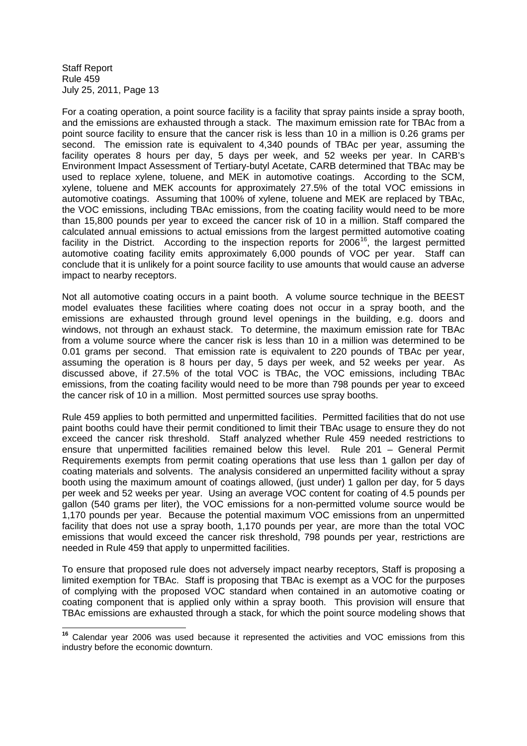For a coating operation, a point source facility is a facility that spray paints inside a spray booth, and the emissions are exhausted through a stack. The maximum emission rate for TBAc from a point source facility to ensure that the cancer risk is less than 10 in a million is 0.26 grams per second. The emission rate is equivalent to 4,340 pounds of TBAc per year, assuming the facility operates 8 hours per day, 5 days per week, and 52 weeks per year. In CARB's Environment Impact Assessment of Tertiary-butyl Acetate, CARB determined that TBAc may be used to replace xylene, toluene, and MEK in automotive coatings. According to the SCM, xylene, toluene and MEK accounts for approximately 27.5% of the total VOC emissions in automotive coatings. Assuming that 100% of xylene, toluene and MEK are replaced by TBAc, the VOC emissions, including TBAc emissions, from the coating facility would need to be more than 15,800 pounds per year to exceed the cancer risk of 10 in a million. Staff compared the calculated annual emissions to actual emissions from the largest permitted automotive coating facility in the District. According to the inspection reports for  $2006^{16}$ , the largest permitted automotive coating facility emits approximately 6,000 pounds of VOC per year. Staff can conclude that it is unlikely for a point source facility to use amounts that would cause an adverse impact to nearby receptors.

Not all automotive coating occurs in a paint booth. A volume source technique in the BEEST model evaluates these facilities where coating does not occur in a spray booth, and the emissions are exhausted through ground level openings in the building, e.g. doors and windows, not through an exhaust stack. To determine, the maximum emission rate for TBAc from a volume source where the cancer risk is less than 10 in a million was determined to be 0.01 grams per second. That emission rate is equivalent to 220 pounds of TBAc per year, assuming the operation is 8 hours per day, 5 days per week, and 52 weeks per year. As discussed above, if 27.5% of the total VOC is TBAc, the VOC emissions, including TBAc emissions, from the coating facility would need to be more than 798 pounds per year to exceed the cancer risk of 10 in a million. Most permitted sources use spray booths.

Rule 459 applies to both permitted and unpermitted facilities. Permitted facilities that do not use paint booths could have their permit conditioned to limit their TBAc usage to ensure they do not exceed the cancer risk threshold. Staff analyzed whether Rule 459 needed restrictions to ensure that unpermitted facilities remained below this level. Rule 201 – General Permit Requirements exempts from permit coating operations that use less than 1 gallon per day of coating materials and solvents. The analysis considered an unpermitted facility without a spray booth using the maximum amount of coatings allowed, (just under) 1 gallon per day, for 5 days per week and 52 weeks per year. Using an average VOC content for coating of 4.5 pounds per gallon (540 grams per liter), the VOC emissions for a non-permitted volume source would be 1,170 pounds per year. Because the potential maximum VOC emissions from an unpermitted facility that does not use a spray booth, 1,170 pounds per year, are more than the total VOC emissions that would exceed the cancer risk threshold, 798 pounds per year, restrictions are needed in Rule 459 that apply to unpermitted facilities.

To ensure that proposed rule does not adversely impact nearby receptors, Staff is proposing a limited exemption for TBAc. Staff is proposing that TBAc is exempt as a VOC for the purposes of complying with the proposed VOC standard when contained in an automotive coating or coating component that is applied only within a spray booth. This provision will ensure that TBAc emissions are exhausted through a stack, for which the point source modeling shows that

**<sup>16</sup>** Calendar year 2006 was used because it represented the activities and VOC emissions from this industry before the economic downturn.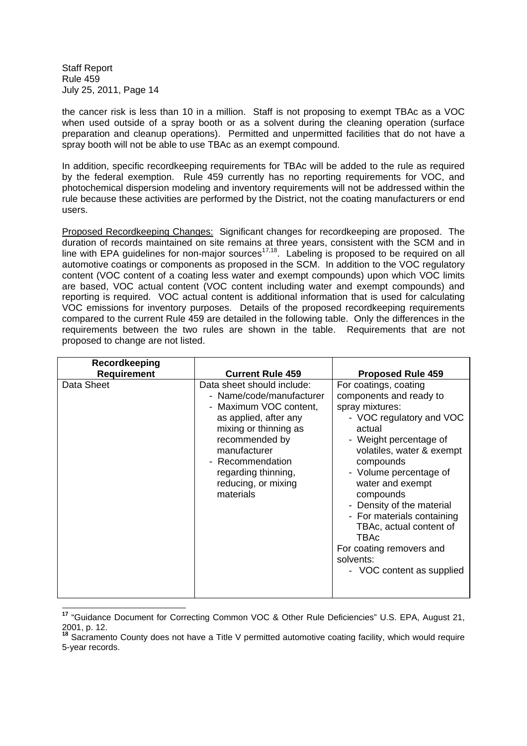the cancer risk is less than 10 in a million. Staff is not proposing to exempt TBAc as a VOC when used outside of a spray booth or as a solvent during the cleaning operation (surface preparation and cleanup operations). Permitted and unpermitted facilities that do not have a spray booth will not be able to use TBAc as an exempt compound.

In addition, specific recordkeeping requirements for TBAc will be added to the rule as required by the federal exemption. Rule 459 currently has no reporting requirements for VOC, and photochemical dispersion modeling and inventory requirements will not be addressed within the rule because these activities are performed by the District, not the coating manufacturers or end users.

Proposed Recordkeeping Changes: Significant changes for recordkeeping are proposed. The duration of records maintained on site remains at three years, consistent with the SCM and in line with EPA guidelines for non-major sources<sup>17,18</sup>. Labeling is proposed to be required on all automotive coatings or components as proposed in the SCM. In addition to the VOC regulatory content (VOC content of a coating less water and exempt compounds) upon which VOC limits are based, VOC actual content (VOC content including water and exempt compounds) and reporting is required. VOC actual content is additional information that is used for calculating VOC emissions for inventory purposes. Details of the proposed recordkeeping requirements compared to the current Rule 459 are detailed in the following table. Only the differences in the requirements between the two rules are shown in the table. Requirements that are not proposed to change are not listed.

| Recordkeeping<br><b>Requirement</b> | <b>Current Rule 459</b>                                                                                                                                                                                                                             | <b>Proposed Rule 459</b>                                                                                                                                                                                                                                                                                                                                                                                     |
|-------------------------------------|-----------------------------------------------------------------------------------------------------------------------------------------------------------------------------------------------------------------------------------------------------|--------------------------------------------------------------------------------------------------------------------------------------------------------------------------------------------------------------------------------------------------------------------------------------------------------------------------------------------------------------------------------------------------------------|
| Data Sheet                          | Data sheet should include:<br>- Name/code/manufacturer<br>- Maximum VOC content,<br>as applied, after any<br>mixing or thinning as<br>recommended by<br>manufacturer<br>- Recommendation<br>regarding thinning,<br>reducing, or mixing<br>materials | For coatings, coating<br>components and ready to<br>spray mixtures:<br>- VOC regulatory and VOC<br>actual<br>- Weight percentage of<br>volatiles, water & exempt<br>compounds<br>- Volume percentage of<br>water and exempt<br>compounds<br>- Density of the material<br>- For materials containing<br>TBAc, actual content of<br>TBAc<br>For coating removers and<br>solvents:<br>- VOC content as supplied |

**<sup>17</sup>** "Guidance Document for Correcting Common VOC & Other Rule Deficiencies" U.S. EPA, August 21, 2001, p. 12.

<sup>18</sup> Sacramento County does not have a Title V permitted automotive coating facility, which would require 5-year records.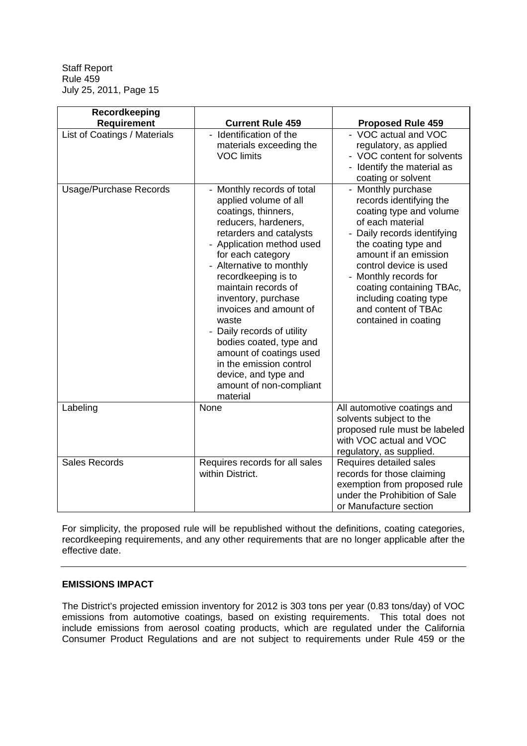| Recordkeeping                 |                                                                                                                                                                                                                                                                                                                                                                                                                                                                                                 |                                                                                                                                                                                                                                                                                                                                    |
|-------------------------------|-------------------------------------------------------------------------------------------------------------------------------------------------------------------------------------------------------------------------------------------------------------------------------------------------------------------------------------------------------------------------------------------------------------------------------------------------------------------------------------------------|------------------------------------------------------------------------------------------------------------------------------------------------------------------------------------------------------------------------------------------------------------------------------------------------------------------------------------|
| <b>Requirement</b>            | <b>Current Rule 459</b>                                                                                                                                                                                                                                                                                                                                                                                                                                                                         | <b>Proposed Rule 459</b>                                                                                                                                                                                                                                                                                                           |
| List of Coatings / Materials  | Identification of the<br>materials exceeding the<br><b>VOC limits</b>                                                                                                                                                                                                                                                                                                                                                                                                                           | - VOC actual and VOC<br>regulatory, as applied<br>- VOC content for solvents<br>Identify the material as<br>coating or solvent                                                                                                                                                                                                     |
| <b>Usage/Purchase Records</b> | - Monthly records of total<br>applied volume of all<br>coatings, thinners,<br>reducers, hardeners,<br>retarders and catalysts<br>- Application method used<br>for each category<br>- Alternative to monthly<br>recordkeeping is to<br>maintain records of<br>inventory, purchase<br>invoices and amount of<br>waste<br>Daily records of utility<br>bodies coated, type and<br>amount of coatings used<br>in the emission control<br>device, and type and<br>amount of non-compliant<br>material | - Monthly purchase<br>records identifying the<br>coating type and volume<br>of each material<br>Daily records identifying<br>the coating type and<br>amount if an emission<br>control device is used<br>- Monthly records for<br>coating containing TBAc,<br>including coating type<br>and content of TBAc<br>contained in coating |
| Labeling                      | None                                                                                                                                                                                                                                                                                                                                                                                                                                                                                            | All automotive coatings and<br>solvents subject to the<br>proposed rule must be labeled<br>with VOC actual and VOC<br>regulatory, as supplied.                                                                                                                                                                                     |
| <b>Sales Records</b>          | Requires records for all sales<br>within District.                                                                                                                                                                                                                                                                                                                                                                                                                                              | Requires detailed sales<br>records for those claiming<br>exemption from proposed rule<br>under the Prohibition of Sale<br>or Manufacture section                                                                                                                                                                                   |

For simplicity, the proposed rule will be republished without the definitions, coating categories, recordkeeping requirements, and any other requirements that are no longer applicable after the effective date.

## **EMISSIONS IMPACT**

The District's projected emission inventory for 2012 is 303 tons per year (0.83 tons/day) of VOC emissions from automotive coatings, based on existing requirements. This total does not include emissions from aerosol coating products, which are regulated under the California Consumer Product Regulations and are not subject to requirements under Rule 459 or the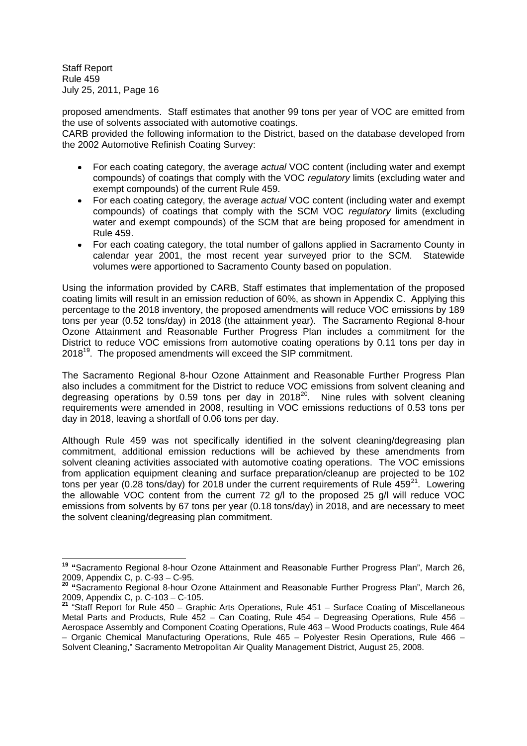proposed amendments. Staff estimates that another 99 tons per year of VOC are emitted from the use of solvents associated with automotive coatings.

CARB provided the following information to the District, based on the database developed from the 2002 Automotive Refinish Coating Survey:

- For each coating category, the average *actual* VOC content (including water and exempt  $\bullet$ compounds) of coatings that comply with the VOC *regulatory* limits (excluding water and exempt compounds) of the current Rule 459.
- For each coating category, the average *actual* VOC content (including water and exempt compounds) of coatings that comply with the SCM VOC *regulatory* limits (excluding water and exempt compounds) of the SCM that are being proposed for amendment in Rule 459.
- For each coating category, the total number of gallons applied in Sacramento County in calendar year 2001, the most recent year surveyed prior to the SCM. Statewide volumes were apportioned to Sacramento County based on population.

Using the information provided by CARB, Staff estimates that implementation of the proposed coating limits will result in an emission reduction of 60%, as shown in Appendix C. Applying this percentage to the 2018 inventory, the proposed amendments will reduce VOC emissions by 189 tons per year (0.52 tons/day) in 2018 (the attainment year). The Sacramento Regional 8-hour Ozone Attainment and Reasonable Further Progress Plan includes a commitment for the District to reduce VOC emissions from automotive coating operations by 0.11 tons per day in 2018<sup>19</sup>. The proposed amendments will exceed the SIP commitment.

The Sacramento Regional 8-hour Ozone Attainment and Reasonable Further Progress Plan also includes a commitment for the District to reduce VOC emissions from solvent cleaning and degreasing operations by 0.59 tons per day in  $2018^{20}$ . Nine rules with solvent cleaning requirements were amended in 2008, resulting in VOC emissions reductions of 0.53 tons per day in 2018, leaving a shortfall of 0.06 tons per day.

Although Rule 459 was not specifically identified in the solvent cleaning/degreasing plan commitment, additional emission reductions will be achieved by these amendments from solvent cleaning activities associated with automotive coating operations. The VOC emissions from application equipment cleaning and surface preparation/cleanup are projected to be 102 tons per year (0.28 tons/day) for 2018 under the current requirements of Rule  $459^{21}$ . Lowering the allowable VOC content from the current 72 g/l to the proposed 25 g/l will reduce VOC emissions from solvents by 67 tons per year (0.18 tons/day) in 2018, and are necessary to meet the solvent cleaning/degreasing plan commitment.

**<sup>19</sup> "**Sacramento Regional 8-hour Ozone Attainment and Reasonable Further Progress Plan", March 26, 2009, Appendix C, p. C-93 – C-95.

**<sup>20</sup> "**Sacramento Regional 8-hour Ozone Attainment and Reasonable Further Progress Plan", March 26, 2009, Appendix C, p. C-103 – C-105.

**<sup>21</sup>** "Staff Report for Rule 450 – Graphic Arts Operations, Rule 451 – Surface Coating of Miscellaneous Metal Parts and Products, Rule 452 – Can Coating, Rule 454 – Degreasing Operations, Rule 456 – Aerospace Assembly and Component Coating Operations, Rule 463 – Wood Products coatings, Rule 464 – Organic Chemical Manufacturing Operations, Rule 465 – Polyester Resin Operations, Rule 466 – Solvent Cleaning," Sacramento Metropolitan Air Quality Management District, August 25, 2008.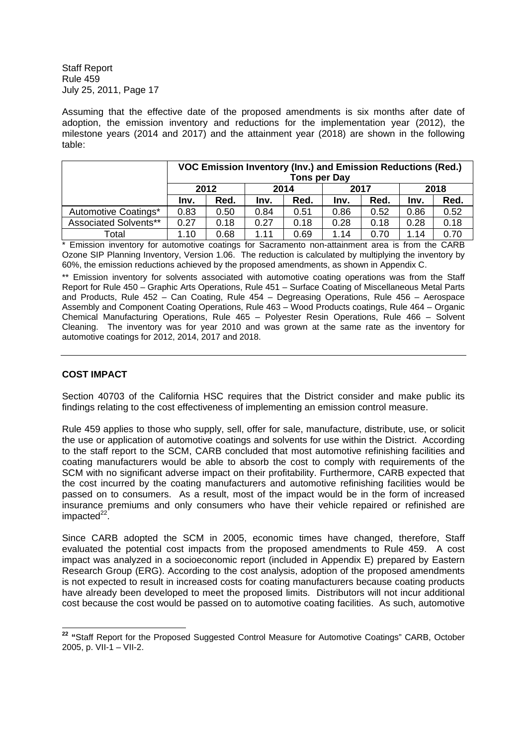Assuming that the effective date of the proposed amendments is six months after date of adoption, the emission inventory and reductions for the implementation year (2012), the milestone years (2014 and 2017) and the attainment year (2018) are shown in the following table:

|                              | VOC Emission Inventory (Inv.) and Emission Reductions (Red.)<br>Tons per Day |      |      |      |      |      |      |      |
|------------------------------|------------------------------------------------------------------------------|------|------|------|------|------|------|------|
|                              |                                                                              | 2012 | 2014 |      | 2017 |      |      | 2018 |
|                              | Inv.                                                                         | Red. | Inv. | Red. | Inv. | Red. | Inv. | Red. |
| Automotive Coatings*         | 0.83                                                                         | 0.50 | 0.84 | 0.51 | 0.86 | 0.52 | 0.86 | 0.52 |
| <b>Associated Solvents**</b> | 0.27                                                                         | 0.18 | 0.27 | 0.18 | 0.28 | 0.18 | 0.28 | 0.18 |
| Total                        | 1.10                                                                         | 0.68 | 1.11 | 0.69 | 1.14 | 0.70 | 1.14 | 0.70 |

\* Emission inventory for automotive coatings for Sacramento non-attainment area is from the CARB Ozone SIP Planning Inventory, Version 1.06. The reduction is calculated by multiplying the inventory by 60%, the emission reductions achieved by the proposed amendments, as shown in Appendix C.

\*\* Emission inventory for solvents associated with automotive coating operations was from the Staff Report for Rule 450 – Graphic Arts Operations, Rule 451 – Surface Coating of Miscellaneous Metal Parts and Products, Rule 452 – Can Coating, Rule 454 – Degreasing Operations, Rule 456 – Aerospace Assembly and Component Coating Operations, Rule 463 – Wood Products coatings, Rule 464 – Organic Chemical Manufacturing Operations, Rule 465 – Polyester Resin Operations, Rule 466 – Solvent Cleaning. The inventory was for year 2010 and was grown at the same rate as the inventory for automotive coatings for 2012, 2014, 2017 and 2018.

## **COST IMPACT**

Section 40703 of the California HSC requires that the District consider and make public its findings relating to the cost effectiveness of implementing an emission control measure.

Rule 459 applies to those who supply, sell, offer for sale, manufacture, distribute, use, or solicit the use or application of automotive coatings and solvents for use within the District. According to the staff report to the SCM, CARB concluded that most automotive refinishing facilities and coating manufacturers would be able to absorb the cost to comply with requirements of the SCM with no significant adverse impact on their profitability. Furthermore, CARB expected that the cost incurred by the coating manufacturers and automotive refinishing facilities would be passed on to consumers. As a result, most of the impact would be in the form of increased insurance premiums and only consumers who have their vehicle repaired or refinished are impacted<sup>22</sup>.

Since CARB adopted the SCM in 2005, economic times have changed, therefore, Staff evaluated the potential cost impacts from the proposed amendments to Rule 459. A cost impact was analyzed in a socioeconomic report (included in Appendix E) prepared by Eastern Research Group (ERG). According to the cost analysis, adoption of the proposed amendments is not expected to result in increased costs for coating manufacturers because coating products have already been developed to meet the proposed limits. Distributors will not incur additional cost because the cost would be passed on to automotive coating facilities. As such, automotive

**<sup>22</sup> "**Staff Report for the Proposed Suggested Control Measure for Automotive Coatings" CARB, October 2005, p. VII-1 – VII-2.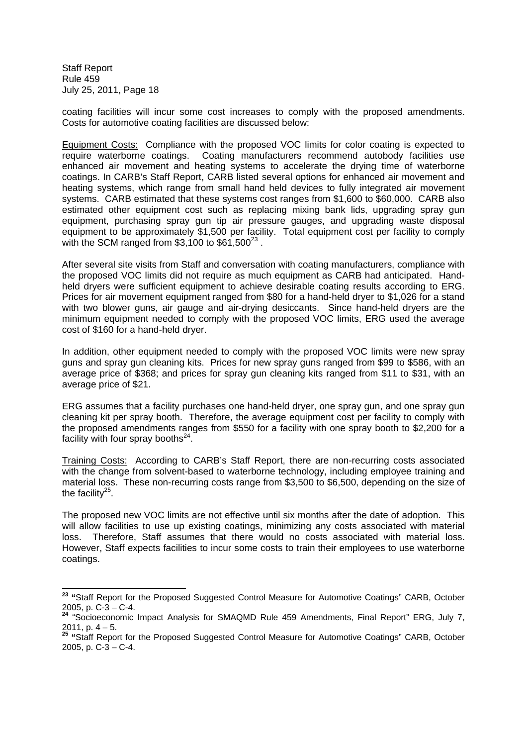coating facilities will incur some cost increases to comply with the proposed amendments. Costs for automotive coating facilities are discussed below:

Equipment Costs: Compliance with the proposed VOC limits for color coating is expected to require waterborne coatings. Coating manufacturers recommend autobody facilities use enhanced air movement and heating systems to accelerate the drying time of waterborne coatings. In CARB's Staff Report, CARB listed several options for enhanced air movement and heating systems, which range from small hand held devices to fully integrated air movement systems. CARB estimated that these systems cost ranges from \$1,600 to \$60,000. CARB also estimated other equipment cost such as replacing mixing bank lids, upgrading spray gun equipment, purchasing spray gun tip air pressure gauges, and upgrading waste disposal equipment to be approximately \$1,500 per facility. Total equipment cost per facility to comply with the SCM ranged from \$3,100 to \$61,500 $^{23}$  .

After several site visits from Staff and conversation with coating manufacturers, compliance with the proposed VOC limits did not require as much equipment as CARB had anticipated. Handheld dryers were sufficient equipment to achieve desirable coating results according to ERG. Prices for air movement equipment ranged from \$80 for a hand-held dryer to \$1,026 for a stand with two blower guns, air gauge and air-drying desiccants. Since hand-held dryers are the minimum equipment needed to comply with the proposed VOC limits, ERG used the average cost of \$160 for a hand-held dryer.

In addition, other equipment needed to comply with the proposed VOC limits were new spray guns and spray gun cleaning kits. Prices for new spray guns ranged from \$99 to \$586, with an average price of \$368; and prices for spray gun cleaning kits ranged from \$11 to \$31, with an average price of \$21.

ERG assumes that a facility purchases one hand-held dryer, one spray gun, and one spray gun cleaning kit per spray booth. Therefore, the average equipment cost per facility to comply with the proposed amendments ranges from \$550 for a facility with one spray booth to \$2,200 for a facility with four spray booths $^{24}$ .

Training Costs: According to CARB's Staff Report, there are non-recurring costs associated with the change from solvent-based to waterborne technology, including employee training and material loss. These non-recurring costs range from \$3,500 to \$6,500, depending on the size of the facility $25$ .

The proposed new VOC limits are not effective until six months after the date of adoption. This will allow facilities to use up existing coatings, minimizing any costs associated with material loss. Therefore, Staff assumes that there would no costs associated with material loss. However, Staff expects facilities to incur some costs to train their employees to use waterborne coatings.

**<sup>23</sup> "**Staff Report for the Proposed Suggested Control Measure for Automotive Coatings" CARB, October 2005, p. C-3 – C-4.<br> $^{2005}$ , p. C-3 – C-4.

**<sup>24</sup>** "Socioeconomic Impact Analysis for SMAQMD Rule 459 Amendments, Final Report" ERG, July 7, 2011, p. 4 – 5.

**<sup>25</sup> "**Staff Report for the Proposed Suggested Control Measure for Automotive Coatings" CARB, October 2005, p.  $C-3 - C-4$ .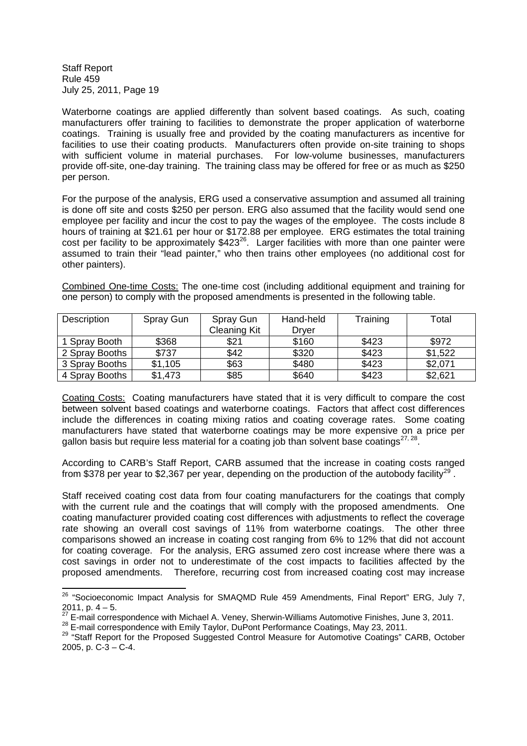Waterborne coatings are applied differently than solvent based coatings. As such, coating manufacturers offer training to facilities to demonstrate the proper application of waterborne coatings. Training is usually free and provided by the coating manufacturers as incentive for facilities to use their coating products. Manufacturers often provide on-site training to shops with sufficient volume in material purchases. For low-volume businesses, manufacturers provide off-site, one-day training. The training class may be offered for free or as much as \$250 per person.

For the purpose of the analysis, ERG used a conservative assumption and assumed all training is done off site and costs \$250 per person. ERG also assumed that the facility would send one employee per facility and incur the cost to pay the wages of the employee. The costs include 8 hours of training at \$21.61 per hour or \$172.88 per employee. ERG estimates the total training cost per facility to be approximately  $$423^{26}$ . Larger facilities with more than one painter were assumed to train their "lead painter," who then trains other employees (no additional cost for other painters).

Combined One-time Costs: The one-time cost (including additional equipment and training for one person) to comply with the proposed amendments is presented in the following table.

| Description    | Spray Gun | Hand-held<br>Spray Gun |       | Training | Total   |
|----------------|-----------|------------------------|-------|----------|---------|
|                |           | <b>Cleaning Kit</b>    | Drver |          |         |
| 1 Spray Booth  | \$368     | \$21                   | \$160 | \$423    | \$972   |
| 2 Spray Booths | \$737     | \$42                   | \$320 | \$423    | \$1,522 |
| 3 Spray Booths | \$1,105   | \$63                   | \$480 | \$423    | \$2,071 |
| 4 Spray Booths | \$1,473   | \$85                   | \$640 | \$423    | \$2,621 |

Coating Costs: Coating manufacturers have stated that it is very difficult to compare the cost between solvent based coatings and waterborne coatings. Factors that affect cost differences include the differences in coating mixing ratios and coating coverage rates. Some coating manufacturers have stated that waterborne coatings may be more expensive on a price per gallon basis but require less material for a coating job than solvent base coatings $^{27,28}$ .

According to CARB's Staff Report, CARB assumed that the increase in coating costs ranged from \$378 per year to \$2,367 per year, depending on the production of the autobody facility<sup>29</sup>.

Staff received coating cost data from four coating manufacturers for the coatings that comply with the current rule and the coatings that will comply with the proposed amendments. One coating manufacturer provided coating cost differences with adjustments to reflect the coverage rate showing an overall cost savings of 11% from waterborne coatings. The other three comparisons showed an increase in coating cost ranging from 6% to 12% that did not account for coating coverage. For the analysis, ERG assumed zero cost increase where there was a cost savings in order not to underestimate of the cost impacts to facilities affected by the proposed amendments. Therefore, recurring cost from increased coating cost may increase

<sup>&</sup>lt;sup>26</sup> "Socioeconomic Impact Analysis for SMAQMD Rule 459 Amendments, Final Report" ERG, July 7,  $2011, p. 4 - 5.$ 

<sup>27</sup> E-mail correspondence with Michael A. Veney, Sherwin-Williams Automotive Finishes, June 3, 2011.

<sup>&</sup>lt;sup>28</sup> E-mail correspondence with Emily Taylor, DuPont Performance Coatings, May 23, 2011.

<sup>&</sup>lt;sup>29</sup> "Staff Report for the Proposed Suggested Control Measure for Automotive Coatings" CARB, October 2005, p.  $C-3 - C-4$ .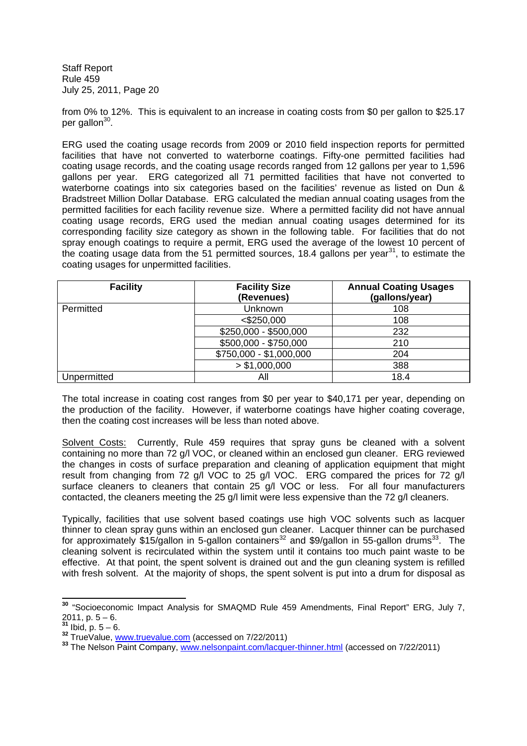from 0% to 12%. This is equivalent to an increase in coating costs from \$0 per gallon to \$25.17 per gallon<sup>30</sup>.

ERG used the coating usage records from 2009 or 2010 field inspection reports for permitted facilities that have not converted to waterborne coatings. Fifty-one permitted facilities had coating usage records, and the coating usage records ranged from 12 gallons per year to 1,596 gallons per year. ERG categorized all 71 permitted facilities that have not converted to waterborne coatings into six categories based on the facilities' revenue as listed on Dun & Bradstreet Million Dollar Database. ERG calculated the median annual coating usages from the permitted facilities for each facility revenue size. Where a permitted facility did not have annual coating usage records, ERG used the median annual coating usages determined for its corresponding facility size category as shown in the following table. For facilities that do not spray enough coatings to require a permit, ERG used the average of the lowest 10 percent of the coating usage data from the 51 permitted sources, 18.4 gallons per year<sup>31</sup>, to estimate the coating usages for unpermitted facilities.

| <b>Facility</b> | <b>Facility Size</b><br>(Revenues) | <b>Annual Coating Usages</b><br>(gallons/year) |
|-----------------|------------------------------------|------------------------------------------------|
| Permitted       | Unknown                            | 108                                            |
|                 | $<$ \$250,000                      | 108                                            |
|                 | \$250,000 - \$500,000              | 232                                            |
|                 | \$500,000 - \$750,000              | 210                                            |
|                 | \$750,000 - \$1,000,000            | 204                                            |
|                 | > \$1,000,000                      | 388                                            |
| Unpermitted     | Αll                                | 18.4                                           |

The total increase in coating cost ranges from \$0 per year to \$40,171 per year, depending on the production of the facility. However, if waterborne coatings have higher coating coverage, then the coating cost increases will be less than noted above.

Solvent Costs: Currently, Rule 459 requires that spray guns be cleaned with a solvent containing no more than 72 g/l VOC, or cleaned within an enclosed gun cleaner. ERG reviewed the changes in costs of surface preparation and cleaning of application equipment that might result from changing from 72 g/l VOC to 25 g/l VOC. ERG compared the prices for 72 g/l surface cleaners to cleaners that contain 25 g/l VOC or less. For all four manufacturers contacted, the cleaners meeting the 25 g/l limit were less expensive than the 72 g/l cleaners.

Typically, facilities that use solvent based coatings use high VOC solvents such as lacquer thinner to clean spray guns within an enclosed gun cleaner. Lacquer thinner can be purchased for approximately \$15/gallon in 5-gallon containers<sup>32</sup> and \$9/gallon in 55-gallon drums<sup>33</sup>. The cleaning solvent is recirculated within the system until it contains too much paint waste to be effective. At that point, the spent solvent is drained out and the gun cleaning system is refilled with fresh solvent. At the majority of shops, the spent solvent is put into a drum for disposal as

**<sup>30</sup>** "Socioeconomic Impact Analysis for SMAQMD Rule 459 Amendments, Final Report" ERG, July 7,  $2011, p. 5 - 6.$ 

 $\frac{1}{1}$  Ibid, p. 5 – 6.

**<sup>32</sup>** TrueValue, www.truevalue.com (accessed on 7/22/2011)

**<sup>33</sup>** The Nelson Paint Company, www.nelsonpaint.com/lacquer-thinner.html (accessed on 7/22/2011)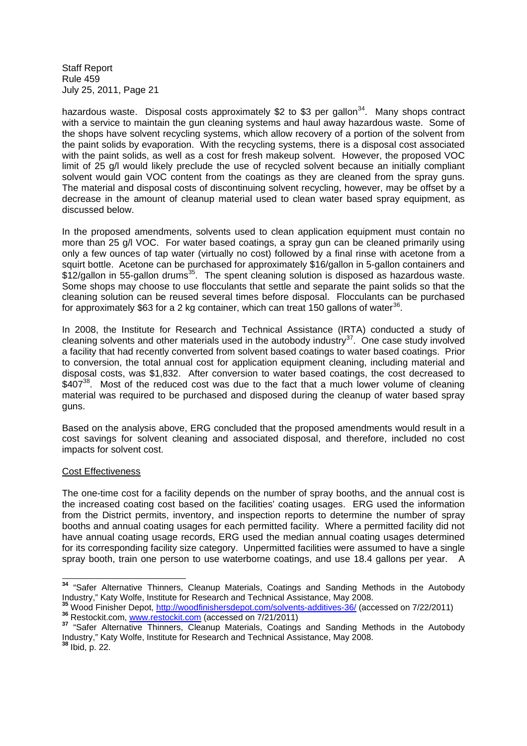hazardous waste. Disposal costs approximately \$2 to \$3 per gallon<sup>34</sup>. Many shops contract with a service to maintain the gun cleaning systems and haul away hazardous waste. Some of the shops have solvent recycling systems, which allow recovery of a portion of the solvent from the paint solids by evaporation. With the recycling systems, there is a disposal cost associated with the paint solids, as well as a cost for fresh makeup solvent. However, the proposed VOC limit of 25 g/l would likely preclude the use of recycled solvent because an initially compliant solvent would gain VOC content from the coatings as they are cleaned from the spray guns. The material and disposal costs of discontinuing solvent recycling, however, may be offset by a decrease in the amount of cleanup material used to clean water based spray equipment, as discussed below.

In the proposed amendments, solvents used to clean application equipment must contain no more than 25 g/l VOC. For water based coatings, a spray gun can be cleaned primarily using only a few ounces of tap water (virtually no cost) followed by a final rinse with acetone from a squirt bottle. Acetone can be purchased for approximately \$16/gallon in 5-gallon containers and  $$12$ /gallon in 55-gallon drums<sup>35</sup>. The spent cleaning solution is disposed as hazardous waste. Some shops may choose to use flocculants that settle and separate the paint solids so that the cleaning solution can be reused several times before disposal. Flocculants can be purchased for approximately \$63 for a 2 kg container, which can treat 150 gallons of water<sup>36</sup>.

In 2008, the Institute for Research and Technical Assistance (IRTA) conducted a study of cleaning solvents and other materials used in the autobody industry $37$ . One case study involved a facility that had recently converted from solvent based coatings to water based coatings. Prior to conversion, the total annual cost for application equipment cleaning, including material and disposal costs, was \$1,832. After conversion to water based coatings, the cost decreased to  $$407<sup>38</sup>$ . Most of the reduced cost was due to the fact that a much lower volume of cleaning material was required to be purchased and disposed during the cleanup of water based spray guns.

Based on the analysis above, ERG concluded that the proposed amendments would result in a cost savings for solvent cleaning and associated disposal, and therefore, included no cost impacts for solvent cost.

## Cost Effectiveness

The one-time cost for a facility depends on the number of spray booths, and the annual cost is the increased coating cost based on the facilities' coating usages. ERG used the information from the District permits, inventory, and inspection reports to determine the number of spray booths and annual coating usages for each permitted facility. Where a permitted facility did not have annual coating usage records, ERG used the median annual coating usages determined for its corresponding facility size category. Unpermitted facilities were assumed to have a single spray booth, train one person to use waterborne coatings, and use 18.4 gallons per year. A

**<sup>35</sup>** Wood Finisher Depot, http://woodfinishersdepot.com/solvents-additives-36/ (accessed on 7/22/2011)

**<sup>34</sup>** "Safer Alternative Thinners, Cleanup Materials, Coatings and Sanding Methods in the Autobody Industry," Katy Wolfe, Institute for Research and Technical Assistance, May 2008.

**<sup>36</sup>** Restockit.com, www.restockit.com (accessed on 7/21/2011)

**<sup>37</sup>** "Safer Alternative Thinners, Cleanup Materials, Coatings and Sanding Methods in the Autobody Industry," Katy Wolfe, Institute for Research and Technical Assistance, May 2008.

**<sup>38</sup>** Ibid, p. 22.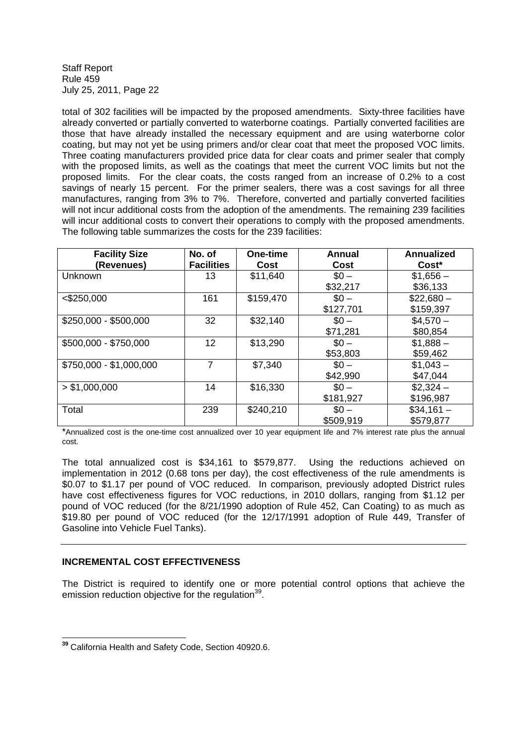total of 302 facilities will be impacted by the proposed amendments. Sixty-three facilities have already converted or partially converted to waterborne coatings. Partially converted facilities are those that have already installed the necessary equipment and are using waterborne color coating, but may not yet be using primers and/or clear coat that meet the proposed VOC limits. Three coating manufacturers provided price data for clear coats and primer sealer that comply with the proposed limits, as well as the coatings that meet the current VOC limits but not the proposed limits. For the clear coats, the costs ranged from an increase of 0.2% to a cost savings of nearly 15 percent. For the primer sealers, there was a cost savings for all three manufactures, ranging from 3% to 7%. Therefore, converted and partially converted facilities will not incur additional costs from the adoption of the amendments. The remaining 239 facilities will incur additional costs to convert their operations to comply with the proposed amendments. The following table summarizes the costs for the 239 facilities:

| <b>Facility Size</b><br>(Revenues) | No. of<br><b>Facilities</b> | One-time<br>Cost | Annual<br>Cost | <b>Annualized</b><br>Cost <sup>*</sup> |
|------------------------------------|-----------------------------|------------------|----------------|----------------------------------------|
| <b>Unknown</b>                     | 13.                         | \$11,640         | $$0 -$         | $$1,656-$                              |
|                                    |                             |                  | \$32,217       | \$36,133                               |
| $<$ \$250,000                      | 161                         | \$159,470        | $$0 -$         | $$22,680-$                             |
|                                    |                             |                  | \$127,701      | \$159,397                              |
| \$250,000 - \$500,000              | 32                          | \$32,140         | $$0 -$         | $$4,570-$                              |
|                                    |                             |                  | \$71,281       | \$80,854                               |
| \$500,000 - \$750,000              | 12                          | \$13,290         | $$0 -$         | $$1,888-$                              |
|                                    |                             |                  | \$53,803       | \$59,462                               |
| \$750,000 - \$1,000,000            | 7                           | \$7,340          | $$0 -$         | $$1,043-$                              |
|                                    |                             |                  | \$42,990       | \$47,044                               |
| > \$1,000,000                      | 14                          | \$16,330         | $$0 -$         | $$2,324-$                              |
|                                    |                             |                  | \$181,927      | \$196,987                              |
| Total                              | 239                         | \$240,210        | $$0 -$         | $$34,161-$                             |
|                                    |                             |                  | \$509,919      | \$579,877                              |

\*Annualized cost is the one-time cost annualized over 10 year equipment life and 7% interest rate plus the annual cost.

The total annualized cost is \$34,161 to \$579,877. Using the reductions achieved on implementation in 2012 (0.68 tons per day), the cost effectiveness of the rule amendments is \$0.07 to \$1.17 per pound of VOC reduced. In comparison, previously adopted District rules have cost effectiveness figures for VOC reductions, in 2010 dollars, ranging from \$1.12 per pound of VOC reduced (for the 8/21/1990 adoption of Rule 452, Can Coating) to as much as \$19.80 per pound of VOC reduced (for the 12/17/1991 adoption of Rule 449, Transfer of Gasoline into Vehicle Fuel Tanks).

## **INCREMENTAL COST EFFECTIVENESS**

The District is required to identify one or more potential control options that achieve the emission reduction objective for the regulation<sup>39</sup>.

**<sup>39</sup>** California Health and Safety Code, Section 40920.6.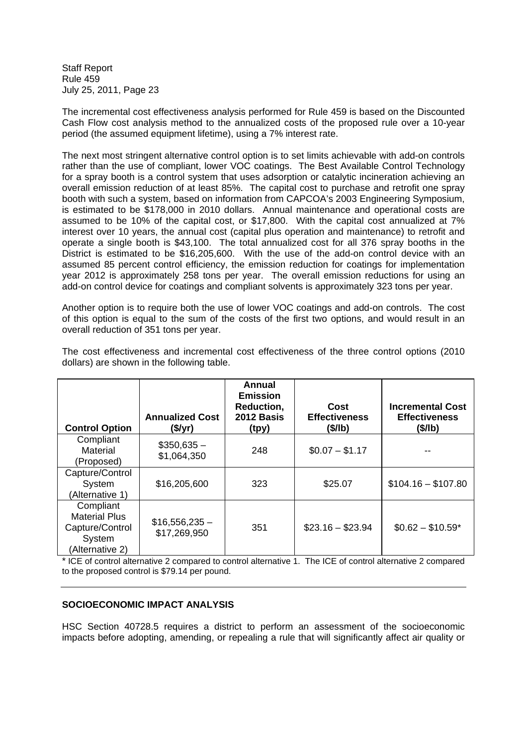The incremental cost effectiveness analysis performed for Rule 459 is based on the Discounted Cash Flow cost analysis method to the annualized costs of the proposed rule over a 10-year period (the assumed equipment lifetime), using a 7% interest rate.

The next most stringent alternative control option is to set limits achievable with add-on controls rather than the use of compliant, lower VOC coatings. The Best Available Control Technology for a spray booth is a control system that uses adsorption or catalytic incineration achieving an overall emission reduction of at least 85%. The capital cost to purchase and retrofit one spray booth with such a system, based on information from CAPCOA's 2003 Engineering Symposium, is estimated to be \$178,000 in 2010 dollars. Annual maintenance and operational costs are assumed to be 10% of the capital cost, or \$17,800. With the capital cost annualized at 7% interest over 10 years, the annual cost (capital plus operation and maintenance) to retrofit and operate a single booth is \$43,100. The total annualized cost for all 376 spray booths in the District is estimated to be \$16,205,600. With the use of the add-on control device with an assumed 85 percent control efficiency, the emission reduction for coatings for implementation year 2012 is approximately 258 tons per year. The overall emission reductions for using an add-on control device for coatings and compliant solvents is approximately 323 tons per year.

Another option is to require both the use of lower VOC coatings and add-on controls. The cost of this option is equal to the sum of the costs of the first two options, and would result in an overall reduction of 351 tons per year.

| <b>Control Option</b>                                                             | <b>Annualized Cost</b><br>(\$/yr) | Annual<br><b>Emission</b><br>Reduction,<br>2012 Basis<br>(tpy) | Cost<br><b>Effectiveness</b><br>(\$/lb) | <b>Incremental Cost</b><br><b>Effectiveness</b><br>(\$/lb) |
|-----------------------------------------------------------------------------------|-----------------------------------|----------------------------------------------------------------|-----------------------------------------|------------------------------------------------------------|
| Compliant<br><b>Material</b><br>(Proposed)                                        | $$350,635-$<br>\$1,064,350        | 248                                                            | $$0.07 - $1.17$                         |                                                            |
| Capture/Control<br>System<br>(Alternative 1)                                      | \$16,205,600                      | 323                                                            | \$25.07                                 | $$104.16 - $107.80$                                        |
| Compliant<br><b>Material Plus</b><br>Capture/Control<br>System<br>(Alternative 2) | $$16,556,235-$<br>\$17,269,950    | 351                                                            | $$23.16 - $23.94$                       | $$0.62 - $10.59*$                                          |

The cost effectiveness and incremental cost effectiveness of the three control options (2010 dollars) are shown in the following table.

\* ICE of control alternative 2 compared to control alternative 1. The ICE of control alternative 2 compared to the proposed control is \$79.14 per pound.

## **SOCIOECONOMIC IMPACT ANALYSIS**

HSC Section 40728.5 requires a district to perform an assessment of the socioeconomic impacts before adopting, amending, or repealing a rule that will significantly affect air quality or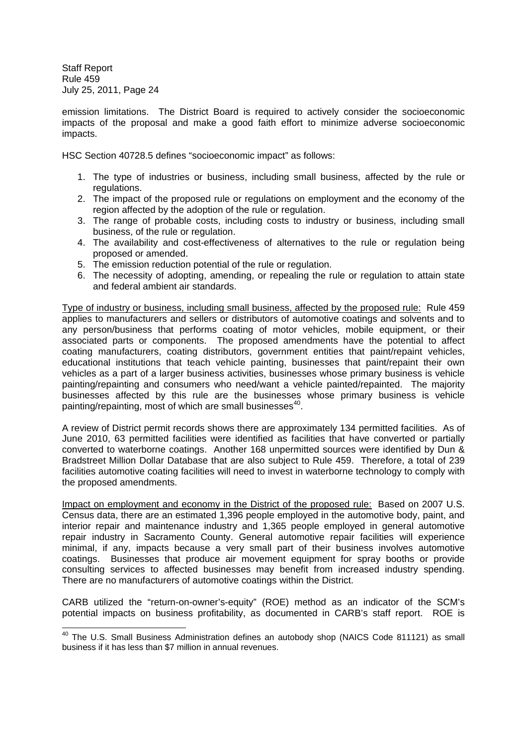emission limitations. The District Board is required to actively consider the socioeconomic impacts of the proposal and make a good faith effort to minimize adverse socioeconomic impacts.

HSC Section 40728.5 defines "socioeconomic impact" as follows:

- 1. The type of industries or business, including small business, affected by the rule or regulations.
- 2. The impact of the proposed rule or regulations on employment and the economy of the region affected by the adoption of the rule or regulation.
- 3. The range of probable costs, including costs to industry or business, including small business, of the rule or regulation.
- 4. The availability and cost-effectiveness of alternatives to the rule or regulation being proposed or amended.
- 5. The emission reduction potential of the rule or regulation.
- 6. The necessity of adopting, amending, or repealing the rule or regulation to attain state and federal ambient air standards.

Type of industry or business, including small business, affected by the proposed rule: Rule 459 applies to manufacturers and sellers or distributors of automotive coatings and solvents and to any person/business that performs coating of motor vehicles, mobile equipment, or their associated parts or components. The proposed amendments have the potential to affect coating manufacturers, coating distributors, government entities that paint/repaint vehicles, educational institutions that teach vehicle painting, businesses that paint/repaint their own vehicles as a part of a larger business activities, businesses whose primary business is vehicle painting/repainting and consumers who need/want a vehicle painted/repainted. The majority businesses affected by this rule are the businesses whose primary business is vehicle painting/repainting, most of which are small businesses<sup>40</sup>.

A review of District permit records shows there are approximately 134 permitted facilities. As of June 2010, 63 permitted facilities were identified as facilities that have converted or partially converted to waterborne coatings. Another 168 unpermitted sources were identified by Dun & Bradstreet Million Dollar Database that are also subject to Rule 459. Therefore, a total of 239 facilities automotive coating facilities will need to invest in waterborne technology to comply with the proposed amendments.

Impact on employment and economy in the District of the proposed rule: Based on 2007 U.S. Census data, there are an estimated 1,396 people employed in the automotive body, paint, and interior repair and maintenance industry and 1,365 people employed in general automotive repair industry in Sacramento County. General automotive repair facilities will experience minimal, if any, impacts because a very small part of their business involves automotive coatings. Businesses that produce air movement equipment for spray booths or provide consulting services to affected businesses may benefit from increased industry spending. There are no manufacturers of automotive coatings within the District.

CARB utilized the "return-on-owner's-equity" (ROE) method as an indicator of the SCM's potential impacts on business profitability, as documented in CARB's staff report. ROE is

<sup>&</sup>lt;sup>40</sup> The U.S. Small Business Administration defines an autobody shop (NAICS Code 811121) as small business if it has less than \$7 million in annual revenues.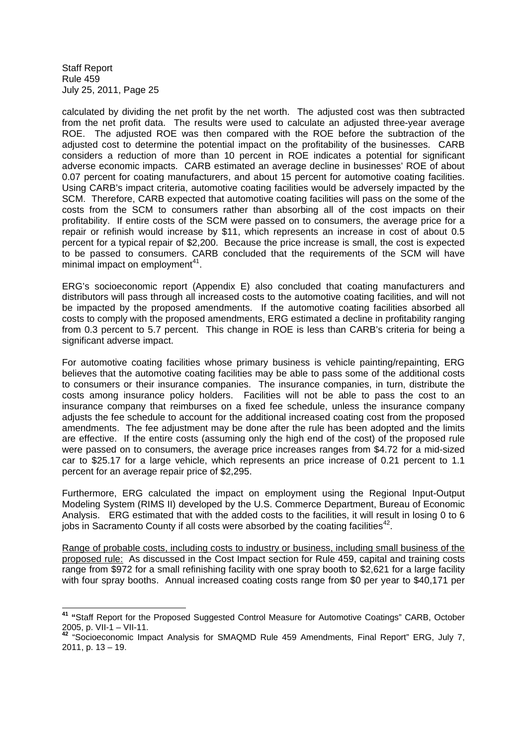calculated by dividing the net profit by the net worth. The adjusted cost was then subtracted from the net profit data. The results were used to calculate an adjusted three-year average ROE. The adjusted ROE was then compared with the ROE before the subtraction of the adjusted cost to determine the potential impact on the profitability of the businesses. CARB considers a reduction of more than 10 percent in ROE indicates a potential for significant adverse economic impacts. CARB estimated an average decline in businesses' ROE of about 0.07 percent for coating manufacturers, and about 15 percent for automotive coating facilities. Using CARB's impact criteria, automotive coating facilities would be adversely impacted by the SCM. Therefore, CARB expected that automotive coating facilities will pass on the some of the costs from the SCM to consumers rather than absorbing all of the cost impacts on their profitability. If entire costs of the SCM were passed on to consumers, the average price for a repair or refinish would increase by \$11, which represents an increase in cost of about 0.5 percent for a typical repair of \$2,200. Because the price increase is small, the cost is expected to be passed to consumers. CARB concluded that the requirements of the SCM will have minimal impact on employment<sup>41</sup>.

ERG's socioeconomic report (Appendix E) also concluded that coating manufacturers and distributors will pass through all increased costs to the automotive coating facilities, and will not be impacted by the proposed amendments. If the automotive coating facilities absorbed all costs to comply with the proposed amendments, ERG estimated a decline in profitability ranging from 0.3 percent to 5.7 percent. This change in ROE is less than CARB's criteria for being a significant adverse impact.

For automotive coating facilities whose primary business is vehicle painting/repainting, ERG believes that the automotive coating facilities may be able to pass some of the additional costs to consumers or their insurance companies. The insurance companies, in turn, distribute the costs among insurance policy holders. Facilities will not be able to pass the cost to an insurance company that reimburses on a fixed fee schedule, unless the insurance company adjusts the fee schedule to account for the additional increased coating cost from the proposed amendments. The fee adjustment may be done after the rule has been adopted and the limits are effective. If the entire costs (assuming only the high end of the cost) of the proposed rule were passed on to consumers, the average price increases ranges from \$4.72 for a mid-sized car to \$25.17 for a large vehicle, which represents an price increase of 0.21 percent to 1.1 percent for an average repair price of \$2,295.

Furthermore, ERG calculated the impact on employment using the Regional Input-Output Modeling System (RIMS II) developed by the U.S. Commerce Department, Bureau of Economic Analysis. ERG estimated that with the added costs to the facilities, it will result in losing 0 to 6 jobs in Sacramento County if all costs were absorbed by the coating facilities<sup>42</sup>.

Range of probable costs, including costs to industry or business, including small business of the proposed rule: As discussed in the Cost Impact section for Rule 459, capital and training costs range from \$972 for a small refinishing facility with one spray booth to \$2,621 for a large facility with four spray booths. Annual increased coating costs range from \$0 per year to \$40,171 per

**<sup>41</sup> "**Staff Report for the Proposed Suggested Control Measure for Automotive Coatings" CARB, October 2005, p. VII-1 – VII-11.

**<sup>42</sup>** "Socioeconomic Impact Analysis for SMAQMD Rule 459 Amendments, Final Report" ERG, July 7, 2011, p. 13 – 19.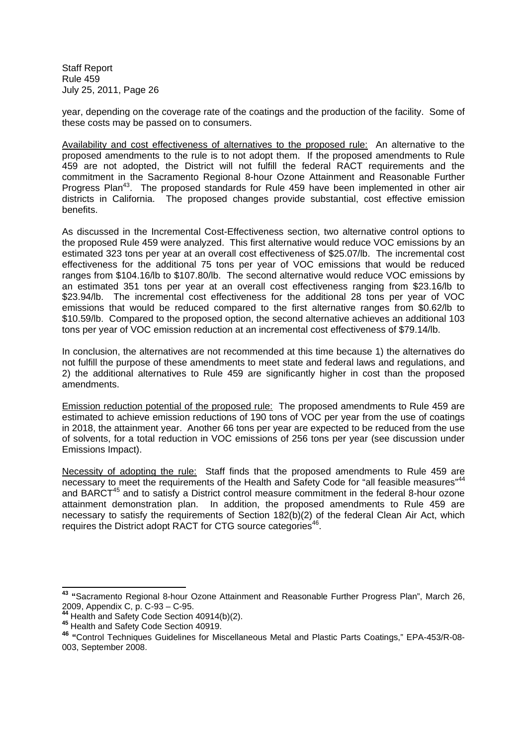year, depending on the coverage rate of the coatings and the production of the facility. Some of these costs may be passed on to consumers.

Availability and cost effectiveness of alternatives to the proposed rule: An alternative to the proposed amendments to the rule is to not adopt them. If the proposed amendments to Rule 459 are not adopted, the District will not fulfill the federal RACT requirements and the commitment in the Sacramento Regional 8-hour Ozone Attainment and Reasonable Further Progress Plan<sup>43</sup>. The proposed standards for Rule 459 have been implemented in other air districts in California. The proposed changes provide substantial, cost effective emission benefits.

As discussed in the Incremental Cost-Effectiveness section, two alternative control options to the proposed Rule 459 were analyzed. This first alternative would reduce VOC emissions by an estimated 323 tons per year at an overall cost effectiveness of \$25.07/lb. The incremental cost effectiveness for the additional 75 tons per year of VOC emissions that would be reduced ranges from \$104.16/lb to \$107.80/lb. The second alternative would reduce VOC emissions by an estimated 351 tons per year at an overall cost effectiveness ranging from \$23.16/lb to \$23.94/lb. The incremental cost effectiveness for the additional 28 tons per year of VOC emissions that would be reduced compared to the first alternative ranges from \$0.62/lb to \$10.59/lb. Compared to the proposed option, the second alternative achieves an additional 103 tons per year of VOC emission reduction at an incremental cost effectiveness of \$79.14/lb.

In conclusion, the alternatives are not recommended at this time because 1) the alternatives do not fulfill the purpose of these amendments to meet state and federal laws and regulations, and 2) the additional alternatives to Rule 459 are significantly higher in cost than the proposed amendments.

Emission reduction potential of the proposed rule: The proposed amendments to Rule 459 are estimated to achieve emission reductions of 190 tons of VOC per year from the use of coatings in 2018, the attainment year. Another 66 tons per year are expected to be reduced from the use of solvents, for a total reduction in VOC emissions of 256 tons per year (see discussion under Emissions Impact).

Necessity of adopting the rule: Staff finds that the proposed amendments to Rule 459 are necessary to meet the requirements of the Health and Safety Code for "all feasible measures"<sup>44</sup> and BARCT<sup>45</sup> and to satisfy a District control measure commitment in the federal 8-hour ozone attainment demonstration plan. In addition, the proposed amendments to Rule 459 are necessary to satisfy the requirements of Section 182(b)(2) of the federal Clean Air Act, which requires the District adopt RACT for CTG source categories<sup>46</sup>.

**<sup>43</sup> "**Sacramento Regional 8-hour Ozone Attainment and Reasonable Further Progress Plan", March 26, 2009, Appendix C, p. C-93 – C-95.

**<sup>44</sup>** Health and Safety Code Section 40914(b)(2).

**<sup>45</sup>** Health and Safety Code Section 40919.

**<sup>46</sup> "**Control Techniques Guidelines for Miscellaneous Metal and Plastic Parts Coatings," EPA-453/R-08- 003, September 2008.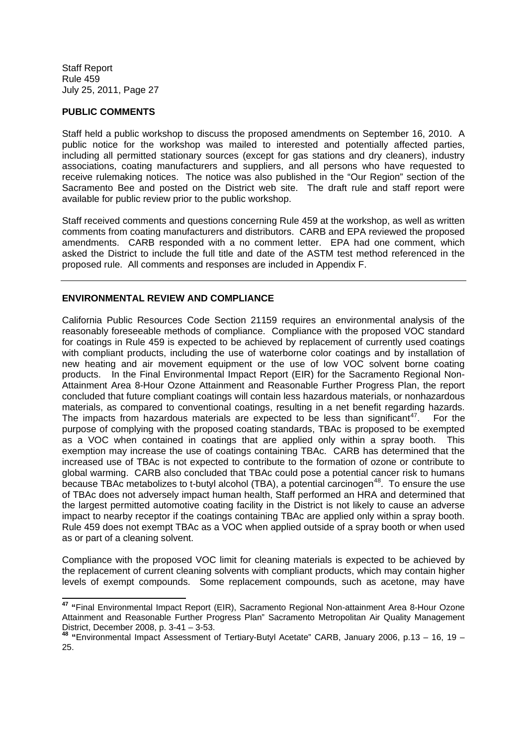## **PUBLIC COMMENTS**

Staff held a public workshop to discuss the proposed amendments on September 16, 2010. A public notice for the workshop was mailed to interested and potentially affected parties, including all permitted stationary sources (except for gas stations and dry cleaners), industry associations, coating manufacturers and suppliers, and all persons who have requested to receive rulemaking notices. The notice was also published in the "Our Region" section of the Sacramento Bee and posted on the District web site. The draft rule and staff report were available for public review prior to the public workshop.

Staff received comments and questions concerning Rule 459 at the workshop, as well as written comments from coating manufacturers and distributors. CARB and EPA reviewed the proposed amendments. CARB responded with a no comment letter. EPA had one comment, which asked the District to include the full title and date of the ASTM test method referenced in the proposed rule. All comments and responses are included in Appendix F.

## **ENVIRONMENTAL REVIEW AND COMPLIANCE**

California Public Resources Code Section 21159 requires an environmental analysis of the reasonably foreseeable methods of compliance. Compliance with the proposed VOC standard for coatings in Rule 459 is expected to be achieved by replacement of currently used coatings with compliant products, including the use of waterborne color coatings and by installation of new heating and air movement equipment or the use of low VOC solvent borne coating products. In the Final Environmental Impact Report (EIR) for the Sacramento Regional Non-Attainment Area 8-Hour Ozone Attainment and Reasonable Further Progress Plan, the report concluded that future compliant coatings will contain less hazardous materials, or nonhazardous materials, as compared to conventional coatings, resulting in a net benefit regarding hazards. The impacts from hazardous materials are expected to be less than significant<sup>47</sup>. For the purpose of complying with the proposed coating standards, TBAc is proposed to be exempted as a VOC when contained in coatings that are applied only within a spray booth. This exemption may increase the use of coatings containing TBAc. CARB has determined that the increased use of TBAc is not expected to contribute to the formation of ozone or contribute to global warming. CARB also concluded that TBAc could pose a potential cancer risk to humans because TBAc metabolizes to t-butyl alcohol (TBA), a potential carcinogen<sup>48</sup>. To ensure the use of TBAc does not adversely impact human health, Staff performed an HRA and determined that the largest permitted automotive coating facility in the District is not likely to cause an adverse impact to nearby receptor if the coatings containing TBAc are applied only within a spray booth. Rule 459 does not exempt TBAc as a VOC when applied outside of a spray booth or when used as or part of a cleaning solvent.

Compliance with the proposed VOC limit for cleaning materials is expected to be achieved by the replacement of current cleaning solvents with compliant products, which may contain higher levels of exempt compounds. Some replacement compounds, such as acetone, may have

**<sup>47</sup> "**Final Environmental Impact Report (EIR), Sacramento Regional Non-attainment Area 8-Hour Ozone Attainment and Reasonable Further Progress Plan" Sacramento Metropolitan Air Quality Management District, December 2008, p. 3-41 – 3-53.

**<sup>48</sup> "**Environmental Impact Assessment of Tertiary-Butyl Acetate" CARB, January 2006, p.13 – 16, 19 – 25.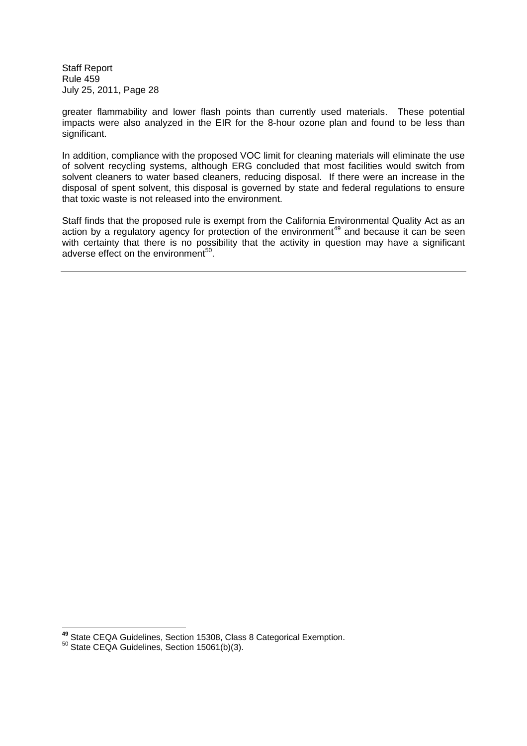greater flammability and lower flash points than currently used materials. These potential impacts were also analyzed in the EIR for the 8-hour ozone plan and found to be less than significant.

In addition, compliance with the proposed VOC limit for cleaning materials will eliminate the use of solvent recycling systems, although ERG concluded that most facilities would switch from solvent cleaners to water based cleaners, reducing disposal. If there were an increase in the disposal of spent solvent, this disposal is governed by state and federal regulations to ensure that toxic waste is not released into the environment.

Staff finds that the proposed rule is exempt from the California Environmental Quality Act as an action by a regulatory agency for protection of the environment<sup>49</sup> and because it can be seen with certainty that there is no possibility that the activity in question may have a significant adverse effect on the environment<sup>50</sup>.

**<sup>49</sup>** State CEQA Guidelines, Section 15308, Class 8 Categorical Exemption.

 $50$  State CEQA Guidelines, Section 15061(b)(3).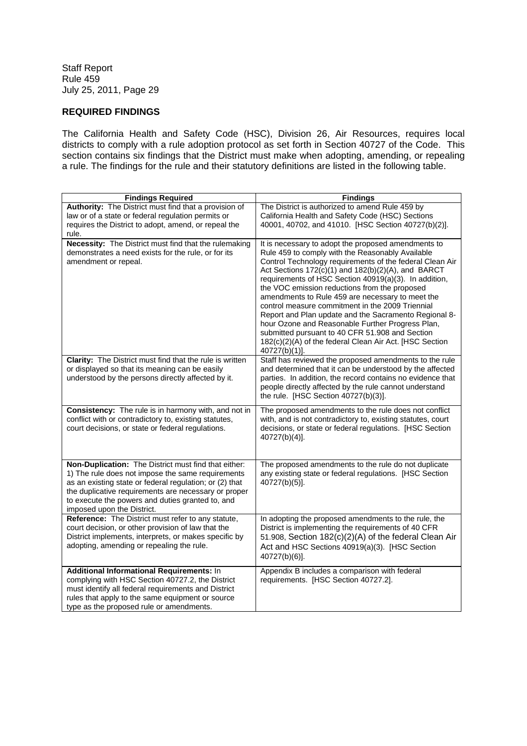## **REQUIRED FINDINGS**

The California Health and Safety Code (HSC), Division 26, Air Resources, requires local districts to comply with a rule adoption protocol as set forth in Section 40727 of the Code. This section contains six findings that the District must make when adopting, amending, or repealing a rule. The findings for the rule and their statutory definitions are listed in the following table.

| <b>Findings Required</b>                                                                                                                                                                                                                                                                                       | <b>Findings</b>                                                                                                                                                                                                                                                                                                                                                                                                                                                                                                                                                                                                                                                                         |
|----------------------------------------------------------------------------------------------------------------------------------------------------------------------------------------------------------------------------------------------------------------------------------------------------------------|-----------------------------------------------------------------------------------------------------------------------------------------------------------------------------------------------------------------------------------------------------------------------------------------------------------------------------------------------------------------------------------------------------------------------------------------------------------------------------------------------------------------------------------------------------------------------------------------------------------------------------------------------------------------------------------------|
| Authority: The District must find that a provision of<br>law or of a state or federal regulation permits or<br>requires the District to adopt, amend, or repeal the<br>rule.                                                                                                                                   | The District is authorized to amend Rule 459 by<br>California Health and Safety Code (HSC) Sections<br>40001, 40702, and 41010. [HSC Section 40727(b)(2)].                                                                                                                                                                                                                                                                                                                                                                                                                                                                                                                              |
| Necessity: The District must find that the rulemaking<br>demonstrates a need exists for the rule, or for its<br>amendment or repeal.                                                                                                                                                                           | It is necessary to adopt the proposed amendments to<br>Rule 459 to comply with the Reasonably Available<br>Control Technology requirements of the federal Clean Air<br>Act Sections 172(c)(1) and 182(b)(2)(A), and BARCT<br>requirements of HSC Section 40919(a)(3). In addition,<br>the VOC emission reductions from the proposed<br>amendments to Rule 459 are necessary to meet the<br>control measure commitment in the 2009 Triennial<br>Report and Plan update and the Sacramento Regional 8-<br>hour Ozone and Reasonable Further Progress Plan,<br>submitted pursuant to 40 CFR 51.908 and Section<br>182(c)(2)(A) of the federal Clean Air Act. [HSC Section<br>40727(b)(1)]. |
| Clarity: The District must find that the rule is written<br>or displayed so that its meaning can be easily<br>understood by the persons directly affected by it.                                                                                                                                               | Staff has reviewed the proposed amendments to the rule<br>and determined that it can be understood by the affected<br>parties. In addition, the record contains no evidence that<br>people directly affected by the rule cannot understand<br>the rule. [HSC Section 40727(b)(3)].                                                                                                                                                                                                                                                                                                                                                                                                      |
| Consistency: The rule is in harmony with, and not in<br>conflict with or contradictory to, existing statutes,<br>court decisions, or state or federal regulations.                                                                                                                                             | The proposed amendments to the rule does not conflict<br>with, and is not contradictory to, existing statutes, court<br>decisions, or state or federal regulations. [HSC Section<br>40727(b)(4)].                                                                                                                                                                                                                                                                                                                                                                                                                                                                                       |
| Non-Duplication: The District must find that either:<br>1) The rule does not impose the same requirements<br>as an existing state or federal regulation; or (2) that<br>the duplicative requirements are necessary or proper<br>to execute the powers and duties granted to, and<br>imposed upon the District. | The proposed amendments to the rule do not duplicate<br>any existing state or federal regulations. [HSC Section<br>40727(b)(5)].                                                                                                                                                                                                                                                                                                                                                                                                                                                                                                                                                        |
| <b>Reference:</b> The District must refer to any statute,<br>court decision, or other provision of law that the<br>District implements, interprets, or makes specific by<br>adopting, amending or repealing the rule.                                                                                          | In adopting the proposed amendments to the rule, the<br>District is implementing the requirements of 40 CFR<br>51.908, Section 182(c)(2)(A) of the federal Clean Air<br>Act and HSC Sections 40919(a)(3). [HSC Section<br>40727(b)(6)].                                                                                                                                                                                                                                                                                                                                                                                                                                                 |
| Additional Informational Requirements: In<br>complying with HSC Section 40727.2, the District<br>must identify all federal requirements and District<br>rules that apply to the same equipment or source<br>type as the proposed rule or amendments.                                                           | Appendix B includes a comparison with federal<br>requirements. [HSC Section 40727.2].                                                                                                                                                                                                                                                                                                                                                                                                                                                                                                                                                                                                   |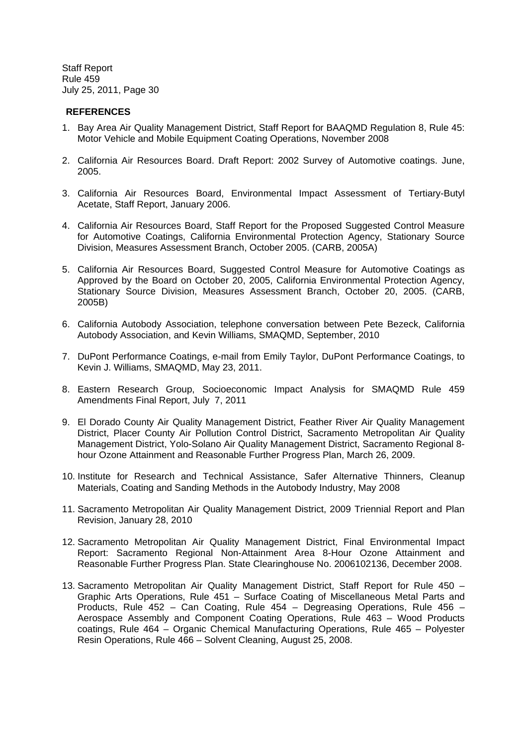## **REFERENCES**

- 1. Bay Area Air Quality Management District, Staff Report for BAAQMD Regulation 8, Rule 45: Motor Vehicle and Mobile Equipment Coating Operations, November 2008
- 2. California Air Resources Board. Draft Report: 2002 Survey of Automotive coatings. June, 2005.
- 3. California Air Resources Board, Environmental Impact Assessment of Tertiary-Butyl Acetate, Staff Report, January 2006.
- 4. California Air Resources Board, Staff Report for the Proposed Suggested Control Measure for Automotive Coatings, California Environmental Protection Agency, Stationary Source Division, Measures Assessment Branch, October 2005. (CARB, 2005A)
- 5. California Air Resources Board, Suggested Control Measure for Automotive Coatings as Approved by the Board on October 20, 2005, California Environmental Protection Agency, Stationary Source Division, Measures Assessment Branch, October 20, 2005. (CARB, 2005B)
- 6. California Autobody Association, telephone conversation between Pete Bezeck, California Autobody Association, and Kevin Williams, SMAQMD, September, 2010
- 7. DuPont Performance Coatings, e-mail from Emily Taylor, DuPont Performance Coatings, to Kevin J. Williams, SMAQMD, May 23, 2011.
- 8. Eastern Research Group, Socioeconomic Impact Analysis for SMAQMD Rule 459 Amendments Final Report, July 7, 2011
- 9. El Dorado County Air Quality Management District, Feather River Air Quality Management District, Placer County Air Pollution Control District, Sacramento Metropolitan Air Quality Management District, Yolo-Solano Air Quality Management District, Sacramento Regional 8 hour Ozone Attainment and Reasonable Further Progress Plan, March 26, 2009.
- 10. Institute for Research and Technical Assistance, Safer Alternative Thinners, Cleanup Materials, Coating and Sanding Methods in the Autobody Industry, May 2008
- 11. Sacramento Metropolitan Air Quality Management District, 2009 Triennial Report and Plan Revision, January 28, 2010
- 12. Sacramento Metropolitan Air Quality Management District, Final Environmental Impact Report: Sacramento Regional Non-Attainment Area 8-Hour Ozone Attainment and Reasonable Further Progress Plan. State Clearinghouse No. 2006102136, December 2008.
- 13. Sacramento Metropolitan Air Quality Management District, Staff Report for Rule 450 Graphic Arts Operations, Rule 451 – Surface Coating of Miscellaneous Metal Parts and Products, Rule 452 – Can Coating, Rule 454 – Degreasing Operations, Rule 456 – Aerospace Assembly and Component Coating Operations, Rule 463 – Wood Products coatings, Rule 464 – Organic Chemical Manufacturing Operations, Rule 465 – Polyester Resin Operations, Rule 466 – Solvent Cleaning, August 25, 2008.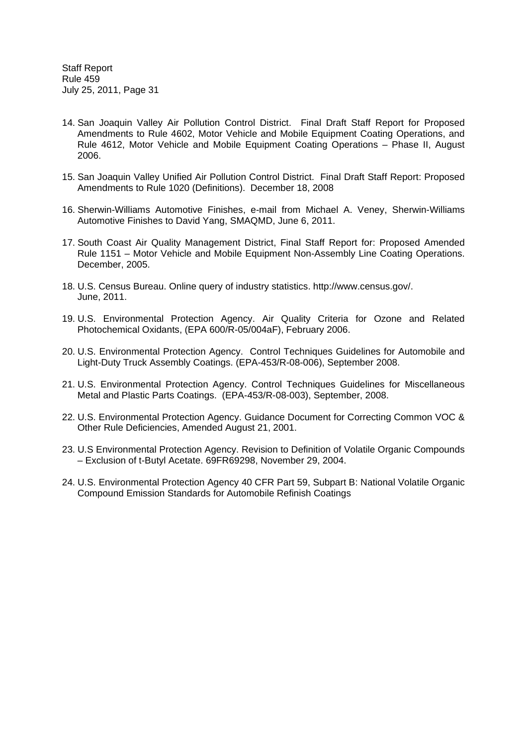- 14. San Joaquin Valley Air Pollution Control District. Final Draft Staff Report for Proposed Amendments to Rule 4602, Motor Vehicle and Mobile Equipment Coating Operations, and Rule 4612, Motor Vehicle and Mobile Equipment Coating Operations – Phase II, August 2006.
- 15. San Joaquin Valley Unified Air Pollution Control District. Final Draft Staff Report: Proposed Amendments to Rule 1020 (Definitions). December 18, 2008
- 16. Sherwin-Williams Automotive Finishes, e-mail from Michael A. Veney, Sherwin-Williams Automotive Finishes to David Yang, SMAQMD, June 6, 2011.
- 17. South Coast Air Quality Management District, Final Staff Report for: Proposed Amended Rule 1151 – Motor Vehicle and Mobile Equipment Non-Assembly Line Coating Operations. December, 2005.
- 18. U.S. Census Bureau. Online query of industry statistics. http://www.census.gov/. June, 2011.
- 19. U.S. Environmental Protection Agency. Air Quality Criteria for Ozone and Related Photochemical Oxidants, (EPA 600/R-05/004aF), February 2006.
- 20. U.S. Environmental Protection Agency. Control Techniques Guidelines for Automobile and Light-Duty Truck Assembly Coatings. (EPA-453/R-08-006), September 2008.
- 21. U.S. Environmental Protection Agency. Control Techniques Guidelines for Miscellaneous Metal and Plastic Parts Coatings. (EPA-453/R-08-003), September, 2008.
- 22. U.S. Environmental Protection Agency. Guidance Document for Correcting Common VOC & Other Rule Deficiencies, Amended August 21, 2001.
- 23. U.S Environmental Protection Agency. Revision to Definition of Volatile Organic Compounds – Exclusion of t-Butyl Acetate. 69FR69298, November 29, 2004.
- 24. U.S. Environmental Protection Agency 40 CFR Part 59, Subpart B: National Volatile Organic Compound Emission Standards for Automobile Refinish Coatings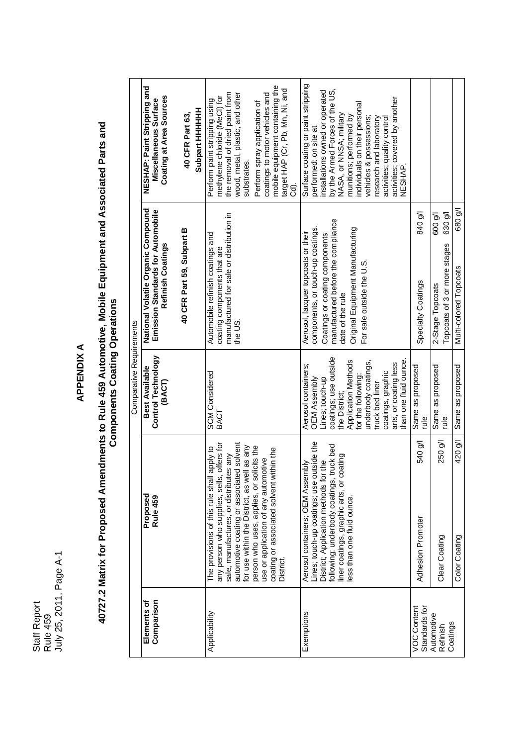Staff Report Staff Report<br>Rule 459<br>July 25, 2011, Page A-1 July 25, 2011, Page A-1

## **APPENDIX A**

# 40727.2 Matrix for Proposed Amendments to Rule 459 Automotive, Mobile Equipment and Associated Parts and<br>Components Coating Operations **40727.2 Matrix for Proposed Amendments to Rule 459 Automotive, Mobile Equipment and Associated Parts and Components Coating Operations**

|                          | NESHAP: Paint Stripping and<br>Coating at Area Sources<br>Miscellaneous Surface              | Subpart HHHHHH<br>40 CFR Part 63, | mobile equipment containing the<br>target HAP (Cr, Pb, Mn, Ni, and<br>the removal of dried paint from<br>wood, metal, plastic, and other<br>coatings to motor vehicles and<br>methylene chloride (MeCl) for<br>Perform paint stripping using<br>Perform spray application of<br>substrates.<br>ಕ                                                                                     | Surface coating or paint stripping<br>by the Armed Forces of the US,<br>installations owned or operated<br>activities; covered by another<br>individuals on their personal<br>NASA, or NNSA; military<br>munitions; performed by<br>vehicles & possessions;<br>research and laboratory<br>activities; quality control<br>performed: on site at<br><b>ANESHAP</b> |                                     |                                                                        |                                   |
|--------------------------|----------------------------------------------------------------------------------------------|-----------------------------------|--------------------------------------------------------------------------------------------------------------------------------------------------------------------------------------------------------------------------------------------------------------------------------------------------------------------------------------------------------------------------------------|------------------------------------------------------------------------------------------------------------------------------------------------------------------------------------------------------------------------------------------------------------------------------------------------------------------------------------------------------------------|-------------------------------------|------------------------------------------------------------------------|-----------------------------------|
|                          | National Volatile Organic Compound<br>Emission Standards for Automobile<br>Refinish Coatings | 40 CFR Part 59, Subpart B         | manufactured for sale or distribution in<br>Automobile refinish coatings and<br>coating components that are<br>the US.                                                                                                                                                                                                                                                               | manufactured before the compliance<br>components, or touch-up coatings.<br>Original Equipment Manufacturing<br>Aerosol, lacquer topcoats or their<br>Coatings or coating components<br>For sale outside the U.S<br>date of the rule                                                                                                                              | 840 g/l<br>Specialty Coatings       | 630 g/l<br>600 g/l<br>Topcoats of 3 or more stages<br>2-Stage Topcoats | 680 g/l<br>Multi-colored Topcoats |
| Comparative Requirements | <b>Control Technology</b><br>Best Available<br>(BACT)                                        |                                   | <b>SCM</b> Considered<br><b>BACT</b>                                                                                                                                                                                                                                                                                                                                                 | coatings; use outside<br>than one fluid ounce<br>Application Methods<br>underbody coatings,<br>arts, or coating less<br>Aerosol containers;<br>coatings, graphic<br>for the following:<br><b>OEM Assembly</b><br>Lines; touch-up<br>truck bed liner<br>the District;                                                                                             | Same as proposed<br>rule            | Same as proposed<br>elp                                                | Same as proposed                  |
|                          | Proposed<br>Rule 459                                                                         |                                   | automotive coating or associated solvent<br>any person who supplies, sells, offers for<br>for use within the District, as well as any<br>person who uses, applies, or solicits the<br>ot <i>A</i> dde<br>coating or associated solvent within the<br>sale, manufactures, or distributes any<br>use or application of any automotive<br>The provisions of this rule shall<br>District | Lines; touch-up coatings; use outside the<br>truck bed<br>coating<br>District; Application methods for the<br>Aerosol containers; OEM Assembly<br>following: underbody coatings,<br>iner coatings, graphic arts, or<br>ess than one fluid ounce                                                                                                                  | 540 g/l<br>Adhesion Promoter        | 250 g/l<br>Clear Coating                                               | 420 g/l<br>Color Coating          |
|                          | Comparison<br>Elements of                                                                    |                                   | Applicability                                                                                                                                                                                                                                                                                                                                                                        | Exemptions                                                                                                                                                                                                                                                                                                                                                       | <b>VOC Content</b><br>Standards for | Automotive<br>Coatings<br>Refinish                                     |                                   |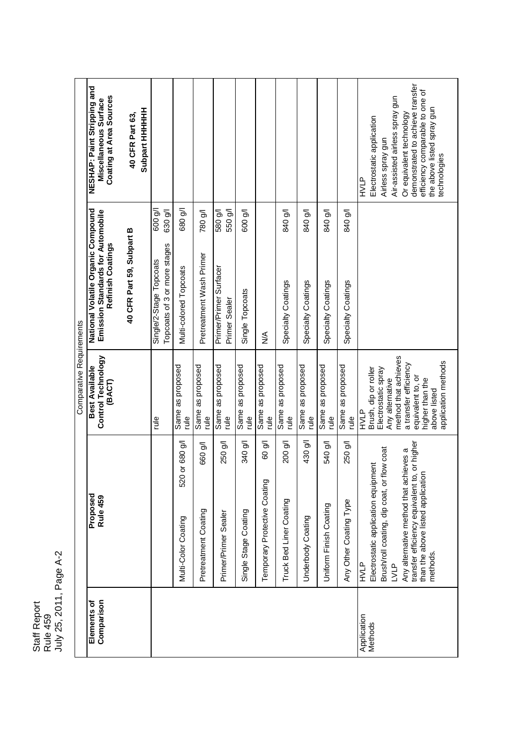Staff Report Staff Report<br>Rule 459<br>July 25, 2011, Page A-2 July 25, 2011, Page A-2

|                          | NESHAP: Paint Stripping and<br>Coating at Area Sources<br>Miscellaneous Surface              | <b>Subpart HHHHHH</b><br>40 CFR Part 63, |                                                         |                                       |                                 |                                         |                                 |                                        |                                    |                                   |                                   |                                   | demonstrated to achieve transfer<br>efficiency comparable to one of<br>Air-assisted airless spray gun<br>the above listed spray gun<br>Or equivalent technology<br>Electrostatic application<br>Airless spray gun<br>technologies<br>HVLP       |
|--------------------------|----------------------------------------------------------------------------------------------|------------------------------------------|---------------------------------------------------------|---------------------------------------|---------------------------------|-----------------------------------------|---------------------------------|----------------------------------------|------------------------------------|-----------------------------------|-----------------------------------|-----------------------------------|-------------------------------------------------------------------------------------------------------------------------------------------------------------------------------------------------------------------------------------------------|
|                          |                                                                                              |                                          | 600 g/l<br>630 g/l                                      | 680 g/l                               | 780 g/l                         | 550 g/l<br>580 g/l                      | 600 g/l                         |                                        | <b>No 018</b>                      | <b>No 018</b>                     | <b>No 018</b>                     | 840 g/l                           |                                                                                                                                                                                                                                                 |
|                          | National Volatile Organic Compound<br>Emission Standards for Automobile<br>Refinish Coatings | 40 CFR Part 59, Subpart B                | Topcoats of 3 or more stages<br>Single/2-Stage Topcoats | Multi-colored Topcoats                | Pretreatment Wash Primer        | Primer/Primer Surfacer<br>Primer Sealer | Single Topcoats                 | ⋚                                      | Specialty Coatings                 | Specialty Coatings                | Specialty Coatings                | Specialty Coatings                |                                                                                                                                                                                                                                                 |
| Comparative Requirements | Control Technology<br>Best Available<br>(BACT)                                               |                                          | elp                                                     | Same as proposed<br>plp               | Same as proposed<br>rule        | Same as proposed<br>$\frac{1}{2}$       | Same as proposed<br>rule        | Same as proposed<br>$\frac{1}{2}$      | Same as proposed<br>elp.           | Same as proposed<br>$\frac{1}{2}$ | Same as proposed<br>e<br>Tule     | Same as proposed<br>elp.          | method that achieves<br>application methods<br>a transfer efficiency<br>Brush, dip or roller<br>Electrostatic spray<br>equivalent to, or<br>higher than the<br>Any alternative<br>above listed<br>HVLP                                          |
|                          | Proposed<br>Rule 459                                                                         |                                          |                                                         | 520 or 680 g/l<br>Multi-Color Coating | 660 g/l<br>Pretreatment Coating | 250 g/l<br>Primer/Primer Sealer         | 340 g/l<br>Single Stage Coating | 60 g/l<br>Temporary Protective Coating | 200 g/l<br>Truck Bed Liner Coating | 430 g/l<br>Underbody Coating      | 540 g/l<br>Uniform Finish Coating | 250 g/l<br>Any Other Coating Type | transfer efficiency equivalent to, or higher<br>flow coat<br>Any alternative method that achieves a<br>Electrostatic application equipment<br>than the above listed application<br>Brush/roll coating, dip coat, or<br>nethods.<br>LVLP<br>HVLP |
|                          | Comparison<br>Elements of                                                                    |                                          |                                                         |                                       |                                 |                                         |                                 |                                        |                                    |                                   |                                   |                                   | Application<br>Methods                                                                                                                                                                                                                          |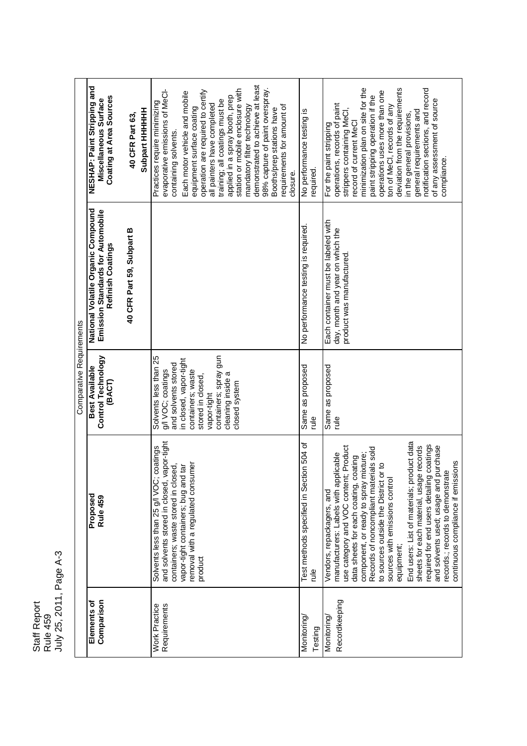Rule 459<br>July 25, 2011, Page A-3 July 25, 2011, Page A-3 Staff Report Staff Report

NESHAP: Paint Stripping and demonstrated to achieve at least demonstrated to achieve at least **NESHAP: Paint Stripping and** minimization plan on site for the station or mobile enclosure with 98% capture of paint overspray. operations uses more than one deviation from the requirements notification sections, and record evaporative emissions of MeCIoperation are required to certify station or mobile enclosure with 98% capture of paint overspray. minimization plan on site for the deviation from the requirements notification sections, and record evaporative emissions of MeCl-<br>containing solvents. Each motor vehicle and mobile operation are required to certify Each motor vehicle and mobile operations uses more than one paint stripping operation if the **Coating at Area Sources** applied in a spray booth, prep **Coating at Area Sources** applied in a spray booth, prep paint stripping operation if the training; all coatings must be Miscellaneous Surface of any assessment of source **Miscellaneous Surface** Practices require minimizing of any assessment of source training; all coatings must be Practices require minimizing operations, records of paint all painters have completed all painters have completed mandatory filter technology requirements for amount of operations, records of paint ton of MeCl, records of any equipment surface coating mandatory filter technology requirements for amount of ton of MeCl, records of any Booths/prep stations have equipment surface coating No performance testing is<br>required. general requirements and **40 CFR Part 63,** Booths/prep stations have strippers containing MeCI, **Subpart HHHHHH** strippers containing MeCl, No performance testing is required. No performance testing is in the general provisions, general requirements and in the general provisions, record of current MeCI For the paint stripping record of current MeCl For the paint stripping containing solvents. compliance. compliance.closure. National Volatile Organic Compound<br>Emission Standards for Automobile **National Volatile Organic Compound Emission Standards for Automobile** Each container must be labeled with Each container must be labeled with No performance testing is required. 40 CFR Part 59, Subpart B day, month and year on which the **40 CFR Part 59, Subpart B** day, month and year on which the Refinish Coatings **Refinish Coatings** product was manufactured. product was manufactured. Comparative Requirements Comparative Requirements **Control Technology** vapor-tight<br>containers; spray gun **Control Technology** Solvents less than 25 Solvents less than 25 containers; spray gun in closed, vapor-tight in closed, vapor-tight and solvents stored **Best Available** and solvents stored Same as proposed rule<br>besodoud se eureS **Best Available** Same as proposed Same as proposed containers; waste g/l VOC; coatings cleaning inside a g/l VOC; coatings containers; waste stored in closed, cleaning inside a stored in closed, **(BACT)** closed system rule and solvents stored in closed, vapor-tight Test methods specified in Section 504 of<br>rule End users: List of materials; product data and solvents stored in closed, vapor-tight End users: List of materials; product data Test methods specified in Section 504 of required for end users detailing coatings Solvents less than 25 g/l VOC; coatings sheets for each material, usage records required for end users detailing coatings use category and VOC content; Product use category and VOC content; Product Records of noncompliant materials sold and solvents used; usage and purchase and solvents used; usage and purchase Solvents less than 25 g/l VOC; coatings sheets for each material, usage records Records of noncompliant materials sold manufacturers: Labels with applicable data sheets for each coating, coating component, or ready to spray mixture; component, or ready to spray mixture; manufacturers: Labels with applicable data sheets for each coating, coating continuous compliance if emissions removal with a regulated consumer to sources outside the District or to continuous compliance if emissions removal with a regulated consumer vapor-tight containers; bug and tar to sources outside the District or to containers; waste stored in closed, containers; waste stored in closed, vapor-tight containers; bug and tar records.; records to demonstrate records.; records to demonstrate sources with emissions control sources with emissions control Vendors, repackagers, and Vendors, repackagers, and **Proposed Rule 459** equipment; product Recordkeeping **Elements of Comparison** Recordkeeping **Requirements** Work Practice Monitoring/ Monitoring/ Testing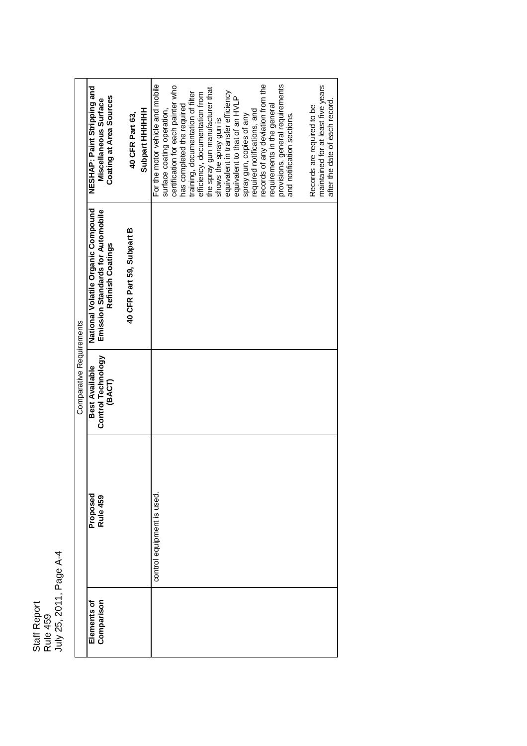Staff Report Staff Report<br>Rule 459<br>July 25, 2011, Page A-4 July 25, 2011, Page A-4

|                           |                            | Comparative Requirements             |                                                                         |                                                                      |
|---------------------------|----------------------------|--------------------------------------|-------------------------------------------------------------------------|----------------------------------------------------------------------|
| Comparison<br>Elements of | Proposed<br>Rule 459       | Control Technology<br>Best Available | National Volatile Organic Compound<br>Emission Standards for Automobile | NESHAP: Paint Stripping and<br>Miscellaneous Surface                 |
|                           |                            | (BACT)                               | Refinish Coatings                                                       | Coating at Area Sources                                              |
|                           |                            |                                      | 40 CFR Part 59, Subpart B                                               | 40 CFR Part 63,                                                      |
|                           |                            |                                      |                                                                         | <b>Subpart HHHHH</b>                                                 |
|                           | control equipment is used. |                                      |                                                                         | For the motor vehicle and mobile                                     |
|                           |                            |                                      |                                                                         | surface coating operation.                                           |
|                           |                            |                                      |                                                                         | certification for each painter who                                   |
|                           |                            |                                      |                                                                         | has completed the required                                           |
|                           |                            |                                      |                                                                         | training, documentation of filter                                    |
|                           |                            |                                      |                                                                         | efficiency, documentation from                                       |
|                           |                            |                                      |                                                                         | the spray gun manufacturer that                                      |
|                           |                            |                                      |                                                                         | shows the spray gun is                                               |
|                           |                            |                                      |                                                                         | equivalent in transfer efficiency                                    |
|                           |                            |                                      |                                                                         | equivalent to that of an HVLP                                        |
|                           |                            |                                      |                                                                         | spray gun, copies of any                                             |
|                           |                            |                                      |                                                                         | required notifications, and                                          |
|                           |                            |                                      |                                                                         | records of any deviation from the                                    |
|                           |                            |                                      |                                                                         | requirements in the general                                          |
|                           |                            |                                      |                                                                         | provisions, general requirements                                     |
|                           |                            |                                      |                                                                         | and notification sections.                                           |
|                           |                            |                                      |                                                                         |                                                                      |
|                           |                            |                                      |                                                                         | Records are required to be                                           |
|                           |                            |                                      |                                                                         | maintained for at least five years<br>after the date of each record. |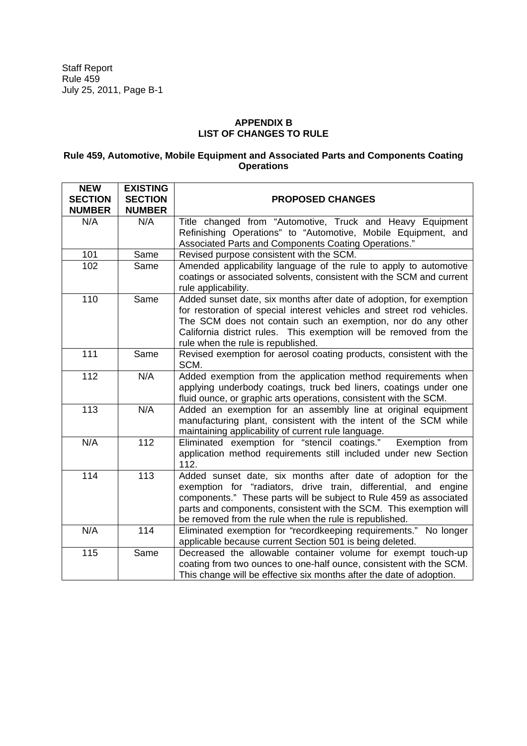## **APPENDIX B LIST OF CHANGES TO RULE**

## **Rule 459, Automotive, Mobile Equipment and Associated Parts and Components Coating Operations**

| <b>NEW</b><br><b>SECTION</b><br><b>NUMBER</b> | <b>EXISTING</b><br><b>SECTION</b><br><b>NUMBER</b> | <b>PROPOSED CHANGES</b>                                                                                                                                                                                                                                                                                                               |
|-----------------------------------------------|----------------------------------------------------|---------------------------------------------------------------------------------------------------------------------------------------------------------------------------------------------------------------------------------------------------------------------------------------------------------------------------------------|
| N/A                                           | N/A                                                | Title changed from "Automotive, Truck and Heavy Equipment<br>Refinishing Operations" to "Automotive, Mobile Equipment, and<br>Associated Parts and Components Coating Operations."                                                                                                                                                    |
| 101                                           | Same                                               | Revised purpose consistent with the SCM.                                                                                                                                                                                                                                                                                              |
| 102                                           | Same                                               | Amended applicability language of the rule to apply to automotive<br>coatings or associated solvents, consistent with the SCM and current<br>rule applicability.                                                                                                                                                                      |
| 110                                           | Same                                               | Added sunset date, six months after date of adoption, for exemption<br>for restoration of special interest vehicles and street rod vehicles.<br>The SCM does not contain such an exemption, nor do any other<br>California district rules. This exemption will be removed from the<br>rule when the rule is republished.              |
| 111                                           | Same                                               | Revised exemption for aerosol coating products, consistent with the<br>SCM.                                                                                                                                                                                                                                                           |
| 112                                           | N/A                                                | Added exemption from the application method requirements when<br>applying underbody coatings, truck bed liners, coatings under one<br>fluid ounce, or graphic arts operations, consistent with the SCM.                                                                                                                               |
| 113                                           | N/A                                                | Added an exemption for an assembly line at original equipment<br>manufacturing plant, consistent with the intent of the SCM while<br>maintaining applicability of current rule language.                                                                                                                                              |
| N/A                                           | 112                                                | Eliminated exemption for "stencil coatings."<br>Exemption from<br>application method requirements still included under new Section<br>112.                                                                                                                                                                                            |
| 114                                           | 113                                                | Added sunset date, six months after date of adoption for the<br>exemption for "radiators, drive train, differential, and engine<br>components." These parts will be subject to Rule 459 as associated<br>parts and components, consistent with the SCM. This exemption will<br>be removed from the rule when the rule is republished. |
| N/A                                           | 114                                                | Eliminated exemption for "recordkeeping requirements." No longer<br>applicable because current Section 501 is being deleted.                                                                                                                                                                                                          |
| 115                                           | Same                                               | Decreased the allowable container volume for exempt touch-up<br>coating from two ounces to one-half ounce, consistent with the SCM.<br>This change will be effective six months after the date of adoption.                                                                                                                           |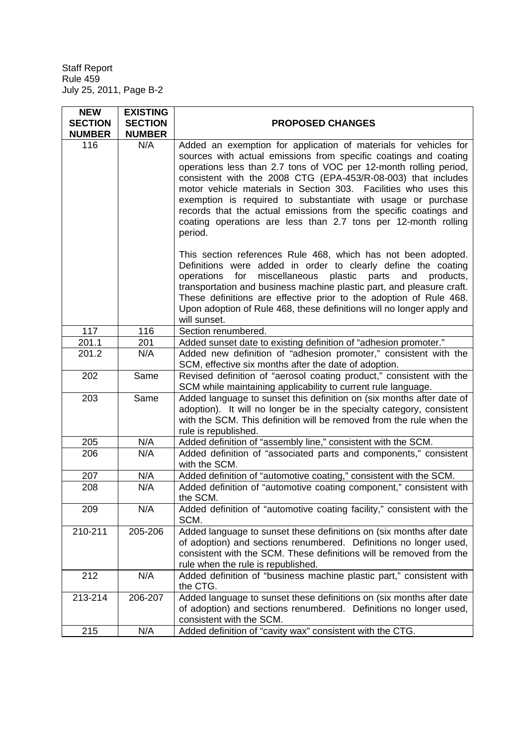$\mathbf{r}$ 

| <b>NEW</b><br><b>SECTION</b><br><b>NUMBER</b> | <b>EXISTING</b><br><b>SECTION</b><br><b>NUMBER</b> | <b>PROPOSED CHANGES</b>                                                                                                                                                                                                                                                                                                                                                                                                                                                                                                                                                                                                          |
|-----------------------------------------------|----------------------------------------------------|----------------------------------------------------------------------------------------------------------------------------------------------------------------------------------------------------------------------------------------------------------------------------------------------------------------------------------------------------------------------------------------------------------------------------------------------------------------------------------------------------------------------------------------------------------------------------------------------------------------------------------|
| 116                                           | N/A                                                | Added an exemption for application of materials for vehicles for<br>sources with actual emissions from specific coatings and coating<br>operations less than 2.7 tons of VOC per 12-month rolling period,<br>consistent with the 2008 CTG (EPA-453/R-08-003) that includes<br>motor vehicle materials in Section 303. Facilities who uses this<br>exemption is required to substantiate with usage or purchase<br>records that the actual emissions from the specific coatings and<br>coating operations are less than 2.7 tons per 12-month rolling<br>period.<br>This section references Rule 468, which has not been adopted. |
|                                               |                                                    | Definitions were added in order to clearly define the coating<br>miscellaneous plastic parts<br>for<br>and<br>products,<br>operations<br>transportation and business machine plastic part, and pleasure craft.<br>These definitions are effective prior to the adoption of Rule 468.<br>Upon adoption of Rule 468, these definitions will no longer apply and<br>will sunset.                                                                                                                                                                                                                                                    |
| 117                                           | 116                                                | Section renumbered.                                                                                                                                                                                                                                                                                                                                                                                                                                                                                                                                                                                                              |
| 201.1                                         | 201                                                | Added sunset date to existing definition of "adhesion promoter."                                                                                                                                                                                                                                                                                                                                                                                                                                                                                                                                                                 |
| 201.2                                         | N/A                                                | Added new definition of "adhesion promoter," consistent with the<br>SCM, effective six months after the date of adoption.                                                                                                                                                                                                                                                                                                                                                                                                                                                                                                        |
| 202                                           | Same                                               | Revised definition of "aerosol coating product," consistent with the<br>SCM while maintaining applicability to current rule language.                                                                                                                                                                                                                                                                                                                                                                                                                                                                                            |
| 203                                           | Same                                               | Added language to sunset this definition on (six months after date of<br>adoption). It will no longer be in the specialty category, consistent<br>with the SCM. This definition will be removed from the rule when the<br>rule is republished.                                                                                                                                                                                                                                                                                                                                                                                   |
| 205                                           | N/A                                                | Added definition of "assembly line," consistent with the SCM.                                                                                                                                                                                                                                                                                                                                                                                                                                                                                                                                                                    |
| 206                                           | N/A                                                | Added definition of "associated parts and components," consistent<br>with the SCM.                                                                                                                                                                                                                                                                                                                                                                                                                                                                                                                                               |
| 207                                           | N/A                                                | Added definition of "automotive coating," consistent with the SCM.                                                                                                                                                                                                                                                                                                                                                                                                                                                                                                                                                               |
| 208                                           | N/A                                                | Added definition of "automotive coating component," consistent with<br>the SCM.                                                                                                                                                                                                                                                                                                                                                                                                                                                                                                                                                  |
| 209                                           | N/A                                                | Added definition of "automotive coating facility," consistent with the<br>SCM.                                                                                                                                                                                                                                                                                                                                                                                                                                                                                                                                                   |
| 210-211                                       | 205-206                                            | Added language to sunset these definitions on (six months after date<br>of adoption) and sections renumbered. Definitions no longer used,<br>consistent with the SCM. These definitions will be removed from the<br>rule when the rule is republished.                                                                                                                                                                                                                                                                                                                                                                           |
| 212                                           | N/A                                                | Added definition of "business machine plastic part," consistent with<br>the CTG.                                                                                                                                                                                                                                                                                                                                                                                                                                                                                                                                                 |
| 213-214                                       | 206-207                                            | Added language to sunset these definitions on (six months after date<br>of adoption) and sections renumbered. Definitions no longer used,<br>consistent with the SCM.                                                                                                                                                                                                                                                                                                                                                                                                                                                            |
| 215                                           | N/A                                                | Added definition of "cavity wax" consistent with the CTG.                                                                                                                                                                                                                                                                                                                                                                                                                                                                                                                                                                        |

 $\overline{\phantom{0}}$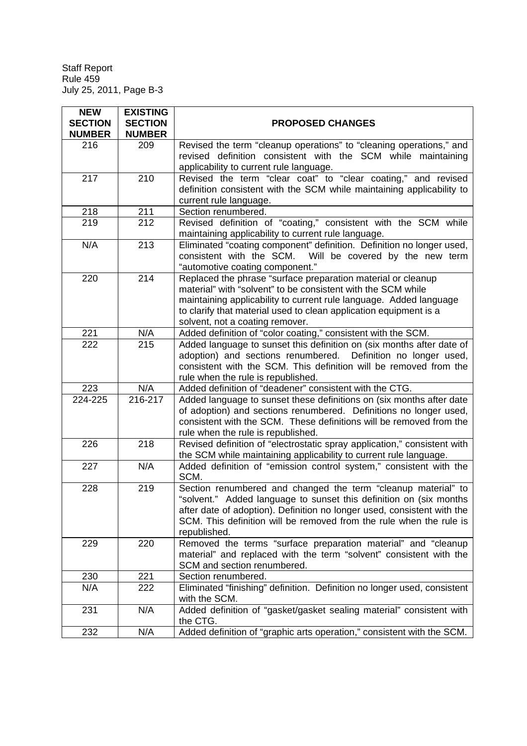| <b>NEW</b><br><b>SECTION</b><br><b>NUMBER</b> | <b>EXISTING</b><br><b>SECTION</b><br><b>NUMBER</b> | <b>PROPOSED CHANGES</b>                                                                                                                                                                                                                                                                                    |
|-----------------------------------------------|----------------------------------------------------|------------------------------------------------------------------------------------------------------------------------------------------------------------------------------------------------------------------------------------------------------------------------------------------------------------|
| 216                                           | 209                                                | Revised the term "cleanup operations" to "cleaning operations," and<br>revised definition consistent with the SCM while maintaining<br>applicability to current rule language.                                                                                                                             |
| 217                                           | 210                                                | Revised the term "clear coat" to "clear coating," and revised<br>definition consistent with the SCM while maintaining applicability to<br>current rule language.                                                                                                                                           |
| 218                                           | 211                                                | Section renumbered.                                                                                                                                                                                                                                                                                        |
| 219                                           | 212                                                | Revised definition of "coating," consistent with the SCM while<br>maintaining applicability to current rule language.                                                                                                                                                                                      |
| N/A                                           | 213                                                | Eliminated "coating component" definition. Definition no longer used,<br>consistent with the SCM. Will be covered by the new term<br>"automotive coating component."                                                                                                                                       |
| 220                                           | 214                                                | Replaced the phrase "surface preparation material or cleanup<br>material" with "solvent" to be consistent with the SCM while<br>maintaining applicability to current rule language. Added language<br>to clarify that material used to clean application equipment is a<br>solvent, not a coating remover. |
| 221                                           | N/A                                                | Added definition of "color coating," consistent with the SCM.                                                                                                                                                                                                                                              |
| 222                                           | 215                                                | Added language to sunset this definition on (six months after date of<br>adoption) and sections renumbered. Definition no longer used,<br>consistent with the SCM. This definition will be removed from the<br>rule when the rule is republished.                                                          |
| 223                                           | N/A                                                | Added definition of "deadener" consistent with the CTG.                                                                                                                                                                                                                                                    |
| 224-225                                       | 216-217                                            | Added language to sunset these definitions on (six months after date<br>of adoption) and sections renumbered. Definitions no longer used,<br>consistent with the SCM. These definitions will be removed from the<br>rule when the rule is republished.                                                     |
| 226                                           | 218                                                | Revised definition of "electrostatic spray application," consistent with<br>the SCM while maintaining applicability to current rule language.                                                                                                                                                              |
| 227                                           | N/A                                                | Added definition of "emission control system," consistent with the<br>SCM.                                                                                                                                                                                                                                 |
| 228                                           | 219                                                | Section renumbered and changed the term "cleanup material" to<br>"solvent." Added language to sunset this definition on (six months<br>after date of adoption). Definition no longer used, consistent with the<br>SCM. This definition will be removed from the rule when the rule is<br>republished.      |
| 229                                           | 220                                                | Removed the terms "surface preparation material" and "cleanup<br>material" and replaced with the term "solvent" consistent with the<br>SCM and section renumbered.                                                                                                                                         |
| 230                                           | 221                                                | Section renumbered.                                                                                                                                                                                                                                                                                        |
| N/A                                           | 222                                                | Eliminated "finishing" definition. Definition no longer used, consistent<br>with the SCM.                                                                                                                                                                                                                  |
| 231                                           | N/A                                                | Added definition of "gasket/gasket sealing material" consistent with<br>the CTG.                                                                                                                                                                                                                           |
| 232                                           | N/A                                                | Added definition of "graphic arts operation," consistent with the SCM.                                                                                                                                                                                                                                     |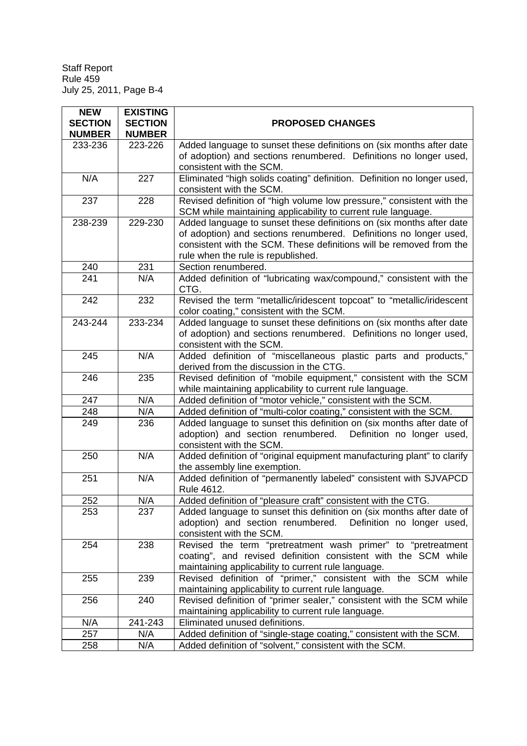| <b>NEW</b>     | <b>EXISTING</b> |                                                                                                                                                                                                                                                        |
|----------------|-----------------|--------------------------------------------------------------------------------------------------------------------------------------------------------------------------------------------------------------------------------------------------------|
| <b>SECTION</b> | <b>SECTION</b>  | <b>PROPOSED CHANGES</b>                                                                                                                                                                                                                                |
| <b>NUMBER</b>  | <b>NUMBER</b>   |                                                                                                                                                                                                                                                        |
| 233-236        | 223-226         | Added language to sunset these definitions on (six months after date                                                                                                                                                                                   |
|                |                 | of adoption) and sections renumbered. Definitions no longer used,                                                                                                                                                                                      |
|                |                 | consistent with the SCM.                                                                                                                                                                                                                               |
| N/A            | 227             | Eliminated "high solids coating" definition. Definition no longer used,                                                                                                                                                                                |
|                |                 | consistent with the SCM.                                                                                                                                                                                                                               |
| 237            | 228             | Revised definition of "high volume low pressure," consistent with the<br>SCM while maintaining applicability to current rule language.                                                                                                                 |
| 238-239        | 229-230         | Added language to sunset these definitions on (six months after date<br>of adoption) and sections renumbered. Definitions no longer used,<br>consistent with the SCM. These definitions will be removed from the<br>rule when the rule is republished. |
| 240            | 231             | Section renumbered.                                                                                                                                                                                                                                    |
| 241            | N/A             | Added definition of "lubricating wax/compound," consistent with the<br>CTG.                                                                                                                                                                            |
| 242            | 232             | Revised the term "metallic/iridescent topcoat" to "metallic/iridescent<br>color coating," consistent with the SCM.                                                                                                                                     |
| 243-244        | 233-234         | Added language to sunset these definitions on (six months after date<br>of adoption) and sections renumbered. Definitions no longer used,<br>consistent with the SCM.                                                                                  |
| 245            | N/A             | Added definition of "miscellaneous plastic parts and products,"<br>derived from the discussion in the CTG.                                                                                                                                             |
| 246            | 235             | Revised definition of "mobile equipment," consistent with the SCM<br>while maintaining applicability to current rule language.                                                                                                                         |
| 247            | N/A             | Added definition of "motor vehicle," consistent with the SCM.                                                                                                                                                                                          |
| 248            | N/A             | Added definition of "multi-color coating," consistent with the SCM.                                                                                                                                                                                    |
| 249            | 236             | Added language to sunset this definition on (six months after date of<br>adoption) and section renumbered. Definition no longer used,<br>consistent with the SCM.                                                                                      |
| 250            | N/A             | Added definition of "original equipment manufacturing plant" to clarify<br>the assembly line exemption.                                                                                                                                                |
| 251            | N/A             | Added definition of "permanently labeled" consistent with SJVAPCD<br>Rule 4612.                                                                                                                                                                        |
| 252            | N/A             | Added definition of "pleasure craft" consistent with the CTG.                                                                                                                                                                                          |
| 253            | 237             | Added language to sunset this definition on (six months after date of<br>adoption) and section renumbered. Definition no longer used,<br>consistent with the SCM.                                                                                      |
| 254            | 238             | Revised the term "pretreatment wash primer" to "pretreatment<br>coating", and revised definition consistent with the SCM while<br>maintaining applicability to current rule language.                                                                  |
| 255            | 239             | Revised definition of "primer," consistent with the SCM while<br>maintaining applicability to current rule language.                                                                                                                                   |
| 256            | 240             | Revised definition of "primer sealer," consistent with the SCM while<br>maintaining applicability to current rule language.                                                                                                                            |
| N/A            | 241-243         | Eliminated unused definitions.                                                                                                                                                                                                                         |
| 257            | N/A             | Added definition of "single-stage coating," consistent with the SCM.                                                                                                                                                                                   |
| 258            | N/A             | Added definition of "solvent," consistent with the SCM.                                                                                                                                                                                                |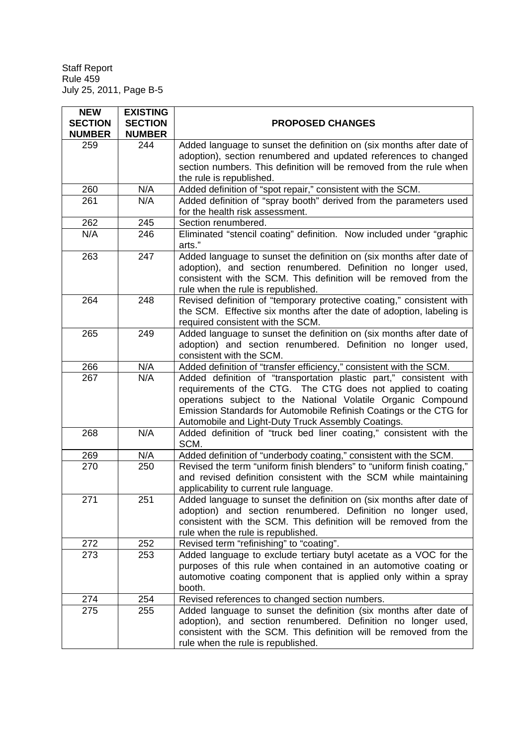| <b>NEW</b>                      | <b>EXISTING</b>                 |                                                                            |
|---------------------------------|---------------------------------|----------------------------------------------------------------------------|
| <b>SECTION</b><br><b>NUMBER</b> | <b>SECTION</b><br><b>NUMBER</b> | <b>PROPOSED CHANGES</b>                                                    |
| 259                             | 244                             | Added language to sunset the definition on (six months after date of       |
|                                 |                                 | adoption), section renumbered and updated references to changed            |
|                                 |                                 | section numbers. This definition will be removed from the rule when        |
|                                 |                                 | the rule is republished.                                                   |
| 260                             | N/A                             | Added definition of "spot repair," consistent with the SCM.                |
| 261                             | N/A                             | Added definition of "spray booth" derived from the parameters used         |
|                                 |                                 | for the health risk assessment.                                            |
| 262                             | 245                             | Section renumbered.                                                        |
| N/A                             | 246                             | Eliminated "stencil coating" definition. Now included under "graphic       |
|                                 |                                 | arts."                                                                     |
| 263                             | 247                             | Added language to sunset the definition on (six months after date of       |
|                                 |                                 | adoption), and section renumbered. Definition no longer used,              |
|                                 |                                 | consistent with the SCM. This definition will be removed from the          |
|                                 |                                 | rule when the rule is republished.                                         |
| 264                             | 248                             | Revised definition of "temporary protective coating," consistent with      |
|                                 |                                 | the SCM. Effective six months after the date of adoption, labeling is      |
|                                 |                                 | required consistent with the SCM.                                          |
| 265                             | 249                             | Added language to sunset the definition on (six months after date of       |
|                                 |                                 | adoption) and section renumbered. Definition no longer used,               |
|                                 |                                 | consistent with the SCM.                                                   |
| 266                             | N/A                             | Added definition of "transfer efficiency," consistent with the SCM.        |
| 267                             | N/A                             | Added definition of "transportation plastic part," consistent with         |
|                                 |                                 | requirements of the CTG. The CTG does not applied to coating               |
|                                 |                                 | operations subject to the National Volatile Organic Compound               |
|                                 |                                 | Emission Standards for Automobile Refinish Coatings or the CTG for         |
|                                 |                                 | Automobile and Light-Duty Truck Assembly Coatings.                         |
| 268                             | N/A                             | Added definition of "truck bed liner coating," consistent with the<br>SCM. |
| 269                             | N/A                             | Added definition of "underbody coating," consistent with the SCM.          |
| 270                             | 250                             | Revised the term "uniform finish blenders" to "uniform finish coating,"    |
|                                 |                                 | and revised definition consistent with the SCM while maintaining           |
|                                 |                                 | applicability to current rule language.                                    |
| 271                             | 251                             | Added language to sunset the definition on (six months after date of       |
|                                 |                                 | adoption) and section renumbered. Definition no longer used,               |
|                                 |                                 | consistent with the SCM. This definition will be removed from the          |
|                                 |                                 | rule when the rule is republished.                                         |
| 272                             | 252                             | Revised term "refinishing" to "coating".                                   |
| 273                             | 253                             | Added language to exclude tertiary butyl acetate as a VOC for the          |
|                                 |                                 | purposes of this rule when contained in an automotive coating or           |
|                                 |                                 | automotive coating component that is applied only within a spray           |
|                                 |                                 | booth.                                                                     |
| 274                             | 254                             | Revised references to changed section numbers.                             |
| 275                             | 255                             | Added language to sunset the definition (six months after date of          |
|                                 |                                 | adoption), and section renumbered. Definition no longer used,              |
|                                 |                                 | consistent with the SCM. This definition will be removed from the          |
|                                 |                                 | rule when the rule is republished.                                         |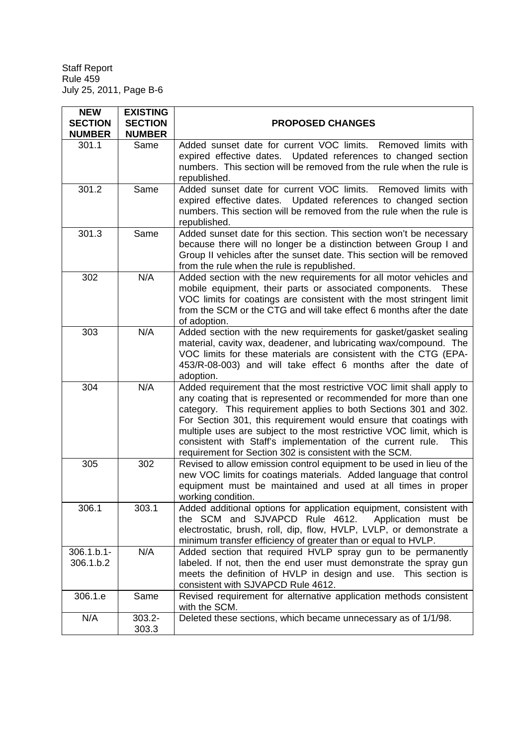| <b>NEW</b><br><b>SECTION</b><br><b>NUMBER</b> | <b>EXISTING</b><br><b>SECTION</b><br><b>NUMBER</b> | <b>PROPOSED CHANGES</b>                                                                                                                                                                                                                                                                                                                                                                                                                                                                   |
|-----------------------------------------------|----------------------------------------------------|-------------------------------------------------------------------------------------------------------------------------------------------------------------------------------------------------------------------------------------------------------------------------------------------------------------------------------------------------------------------------------------------------------------------------------------------------------------------------------------------|
| 301.1                                         | Same                                               | Added sunset date for current VOC limits. Removed limits with<br>expired effective dates. Updated references to changed section<br>numbers. This section will be removed from the rule when the rule is<br>republished.                                                                                                                                                                                                                                                                   |
| 301.2                                         | Same                                               | Added sunset date for current VOC limits. Removed limits with<br>expired effective dates. Updated references to changed section<br>numbers. This section will be removed from the rule when the rule is<br>republished.                                                                                                                                                                                                                                                                   |
| 301.3                                         | Same                                               | Added sunset date for this section. This section won't be necessary<br>because there will no longer be a distinction between Group I and<br>Group II vehicles after the sunset date. This section will be removed<br>from the rule when the rule is republished.                                                                                                                                                                                                                          |
| 302                                           | N/A                                                | Added section with the new requirements for all motor vehicles and<br>mobile equipment, their parts or associated components. These<br>VOC limits for coatings are consistent with the most stringent limit<br>from the SCM or the CTG and will take effect 6 months after the date<br>of adoption.                                                                                                                                                                                       |
| 303                                           | N/A                                                | Added section with the new requirements for gasket/gasket sealing<br>material, cavity wax, deadener, and lubricating wax/compound. The<br>VOC limits for these materials are consistent with the CTG (EPA-<br>453/R-08-003) and will take effect 6 months after the date of<br>adoption.                                                                                                                                                                                                  |
| 304                                           | N/A                                                | Added requirement that the most restrictive VOC limit shall apply to<br>any coating that is represented or recommended for more than one<br>category. This requirement applies to both Sections 301 and 302.<br>For Section 301, this requirement would ensure that coatings with<br>multiple uses are subject to the most restrictive VOC limit, which is<br>consistent with Staff's implementation of the current rule. This<br>requirement for Section 302 is consistent with the SCM. |
| 305                                           | 302                                                | Revised to allow emission control equipment to be used in lieu of the<br>new VOC limits for coatings materials. Added language that control<br>equipment must be maintained and used at all times in proper<br>working condition.                                                                                                                                                                                                                                                         |
| 306.1                                         | 303.1                                              | Added additional options for application equipment, consistent with<br>the SCM and SJVAPCD Rule 4612.<br>Application must be<br>electrostatic, brush, roll, dip, flow, HVLP, LVLP, or demonstrate a<br>minimum transfer efficiency of greater than or equal to HVLP.                                                                                                                                                                                                                      |
| $306.1.b.1 -$<br>306.1.b.2                    | N/A                                                | Added section that required HVLP spray gun to be permanently<br>labeled. If not, then the end user must demonstrate the spray gun<br>meets the definition of HVLP in design and use. This section is<br>consistent with SJVAPCD Rule 4612.                                                                                                                                                                                                                                                |
| 306.1.e                                       | Same                                               | Revised requirement for alternative application methods consistent<br>with the SCM.                                                                                                                                                                                                                                                                                                                                                                                                       |
| N/A                                           | $303.2 -$<br>303.3                                 | Deleted these sections, which became unnecessary as of 1/1/98.                                                                                                                                                                                                                                                                                                                                                                                                                            |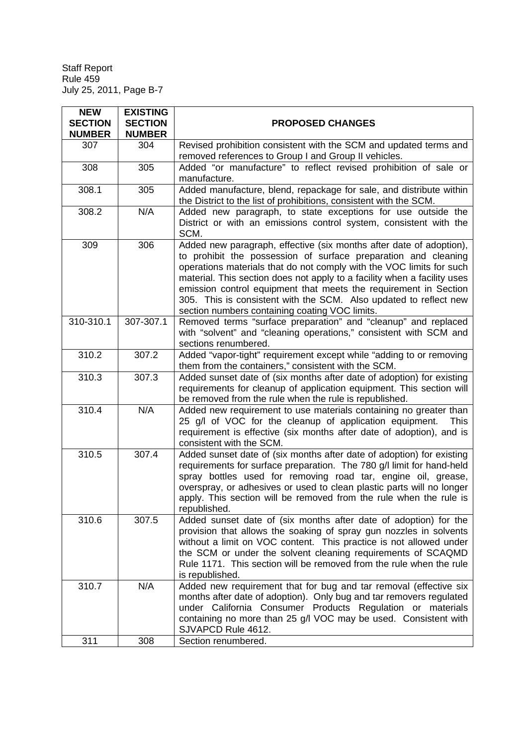| <b>NEW</b><br><b>SECTION</b><br><b>NUMBER</b> | <b>EXISTING</b><br><b>SECTION</b><br><b>NUMBER</b> | <b>PROPOSED CHANGES</b>                                                                                                                                                                                                                                                                                                                                                                                                                                                              |
|-----------------------------------------------|----------------------------------------------------|--------------------------------------------------------------------------------------------------------------------------------------------------------------------------------------------------------------------------------------------------------------------------------------------------------------------------------------------------------------------------------------------------------------------------------------------------------------------------------------|
| 307                                           | 304                                                | Revised prohibition consistent with the SCM and updated terms and<br>removed references to Group I and Group II vehicles.                                                                                                                                                                                                                                                                                                                                                            |
| 308                                           | 305                                                | Added "or manufacture" to reflect revised prohibition of sale or<br>manufacture.                                                                                                                                                                                                                                                                                                                                                                                                     |
| 308.1                                         | 305                                                | Added manufacture, blend, repackage for sale, and distribute within<br>the District to the list of prohibitions, consistent with the SCM.                                                                                                                                                                                                                                                                                                                                            |
| 308.2                                         | N/A                                                | Added new paragraph, to state exceptions for use outside the<br>District or with an emissions control system, consistent with the<br>SCM.                                                                                                                                                                                                                                                                                                                                            |
| 309                                           | 306                                                | Added new paragraph, effective (six months after date of adoption),<br>to prohibit the possession of surface preparation and cleaning<br>operations materials that do not comply with the VOC limits for such<br>material. This section does not apply to a facility when a facility uses<br>emission control equipment that meets the requirement in Section<br>305. This is consistent with the SCM. Also updated to reflect new<br>section numbers containing coating VOC limits. |
| 310-310.1                                     | 307-307.1                                          | Removed terms "surface preparation" and "cleanup" and replaced<br>with "solvent" and "cleaning operations," consistent with SCM and<br>sections renumbered.                                                                                                                                                                                                                                                                                                                          |
| 310.2                                         | 307.2                                              | Added "vapor-tight" requirement except while "adding to or removing<br>them from the containers," consistent with the SCM.                                                                                                                                                                                                                                                                                                                                                           |
| 310.3                                         | 307.3                                              | Added sunset date of (six months after date of adoption) for existing<br>requirements for cleanup of application equipment. This section will<br>be removed from the rule when the rule is republished.                                                                                                                                                                                                                                                                              |
| 310.4                                         | N/A                                                | Added new requirement to use materials containing no greater than<br>25 g/l of VOC for the cleanup of application equipment.<br><b>This</b><br>requirement is effective (six months after date of adoption), and is<br>consistent with the SCM.                                                                                                                                                                                                                                      |
| 310.5                                         | 307.4                                              | Added sunset date of (six months after date of adoption) for existing<br>requirements for surface preparation. The 780 g/l limit for hand-held<br>spray bottles used for removing road tar, engine oil, grease,<br>overspray, or adhesives or used to clean plastic parts will no longer<br>apply. This section will be removed from the rule when the rule is<br>republished.                                                                                                       |
| 310.6                                         | 307.5                                              | Added sunset date of (six months after date of adoption) for the<br>provision that allows the soaking of spray gun nozzles in solvents<br>without a limit on VOC content. This practice is not allowed under<br>the SCM or under the solvent cleaning requirements of SCAQMD<br>Rule 1171. This section will be removed from the rule when the rule<br>is republished.                                                                                                               |
| 310.7                                         | N/A                                                | Added new requirement that for bug and tar removal (effective six<br>months after date of adoption). Only bug and tar removers regulated<br>under California Consumer Products Regulation or materials<br>containing no more than 25 g/l VOC may be used. Consistent with<br>SJVAPCD Rule 4612.                                                                                                                                                                                      |
| 311                                           | 308                                                | Section renumbered.                                                                                                                                                                                                                                                                                                                                                                                                                                                                  |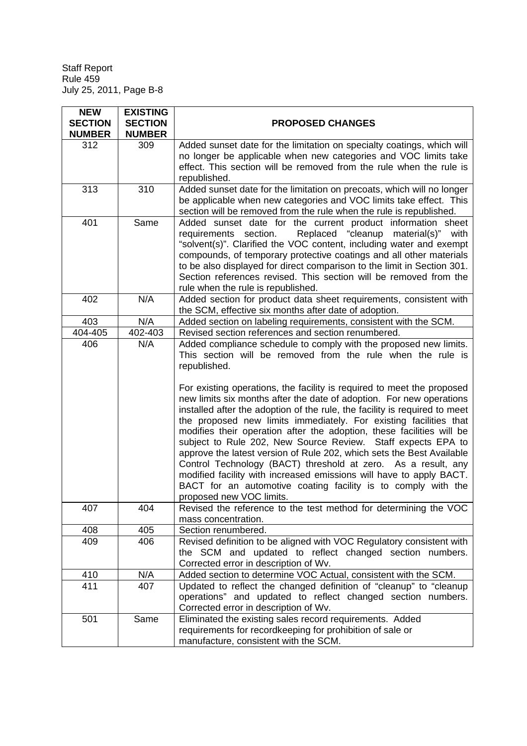| <b>NEW</b><br><b>SECTION</b><br><b>NUMBER</b> | <b>EXISTING</b><br><b>SECTION</b><br><b>NUMBER</b> | <b>PROPOSED CHANGES</b>                                                                                                                                                                                                                                                                                                                                                                                                                                                                                                                                                                                                                                                                                                                                                                                                                                                                                                                                                          |
|-----------------------------------------------|----------------------------------------------------|----------------------------------------------------------------------------------------------------------------------------------------------------------------------------------------------------------------------------------------------------------------------------------------------------------------------------------------------------------------------------------------------------------------------------------------------------------------------------------------------------------------------------------------------------------------------------------------------------------------------------------------------------------------------------------------------------------------------------------------------------------------------------------------------------------------------------------------------------------------------------------------------------------------------------------------------------------------------------------|
| 312                                           | 309                                                | Added sunset date for the limitation on specialty coatings, which will<br>no longer be applicable when new categories and VOC limits take<br>effect. This section will be removed from the rule when the rule is<br>republished.                                                                                                                                                                                                                                                                                                                                                                                                                                                                                                                                                                                                                                                                                                                                                 |
| 313                                           | 310                                                | Added sunset date for the limitation on precoats, which will no longer<br>be applicable when new categories and VOC limits take effect. This<br>section will be removed from the rule when the rule is republished.                                                                                                                                                                                                                                                                                                                                                                                                                                                                                                                                                                                                                                                                                                                                                              |
| 401                                           | Same                                               | Added sunset date for the current product information sheet<br>Replaced "cleanup material(s)" with<br>requirements section.<br>"solvent(s)". Clarified the VOC content, including water and exempt<br>compounds, of temporary protective coatings and all other materials<br>to be also displayed for direct comparison to the limit in Section 301.<br>Section references revised. This section will be removed from the<br>rule when the rule is republished.                                                                                                                                                                                                                                                                                                                                                                                                                                                                                                                  |
| 402                                           | N/A                                                | Added section for product data sheet requirements, consistent with<br>the SCM, effective six months after date of adoption.                                                                                                                                                                                                                                                                                                                                                                                                                                                                                                                                                                                                                                                                                                                                                                                                                                                      |
| 403                                           | N/A                                                | Added section on labeling requirements, consistent with the SCM.                                                                                                                                                                                                                                                                                                                                                                                                                                                                                                                                                                                                                                                                                                                                                                                                                                                                                                                 |
| 404-405                                       | 402-403                                            | Revised section references and section renumbered.                                                                                                                                                                                                                                                                                                                                                                                                                                                                                                                                                                                                                                                                                                                                                                                                                                                                                                                               |
| 406<br>407                                    | N/A<br>404.                                        | Added compliance schedule to comply with the proposed new limits.<br>This section will be removed from the rule when the rule is<br>republished.<br>For existing operations, the facility is required to meet the proposed<br>new limits six months after the date of adoption. For new operations<br>installed after the adoption of the rule, the facility is required to meet<br>the proposed new limits immediately. For existing facilities that<br>modifies their operation after the adoption, these facilities will be<br>subject to Rule 202, New Source Review. Staff expects EPA to<br>approve the latest version of Rule 202, which sets the Best Available<br>Control Technology (BACT) threshold at zero. As a result, any<br>modified facility with increased emissions will have to apply BACT.<br>BACT for an automotive coating facility is to comply with the<br>proposed new VOC limits.<br>Revised the reference to the test method for determining the VOC |
|                                               |                                                    | mass concentration.                                                                                                                                                                                                                                                                                                                                                                                                                                                                                                                                                                                                                                                                                                                                                                                                                                                                                                                                                              |
| 408                                           | 405                                                | Section renumbered.                                                                                                                                                                                                                                                                                                                                                                                                                                                                                                                                                                                                                                                                                                                                                                                                                                                                                                                                                              |
| 409                                           | 406                                                | Revised definition to be aligned with VOC Regulatory consistent with<br>the SCM and updated to reflect changed section numbers.<br>Corrected error in description of Wv.                                                                                                                                                                                                                                                                                                                                                                                                                                                                                                                                                                                                                                                                                                                                                                                                         |
| 410                                           | N/A                                                | Added section to determine VOC Actual, consistent with the SCM.                                                                                                                                                                                                                                                                                                                                                                                                                                                                                                                                                                                                                                                                                                                                                                                                                                                                                                                  |
| 411                                           | 407                                                | Updated to reflect the changed definition of "cleanup" to "cleanup<br>operations" and updated to reflect changed section numbers.<br>Corrected error in description of Wv.                                                                                                                                                                                                                                                                                                                                                                                                                                                                                                                                                                                                                                                                                                                                                                                                       |
| 501                                           | Same                                               | Eliminated the existing sales record requirements. Added<br>requirements for recordkeeping for prohibition of sale or<br>manufacture, consistent with the SCM.                                                                                                                                                                                                                                                                                                                                                                                                                                                                                                                                                                                                                                                                                                                                                                                                                   |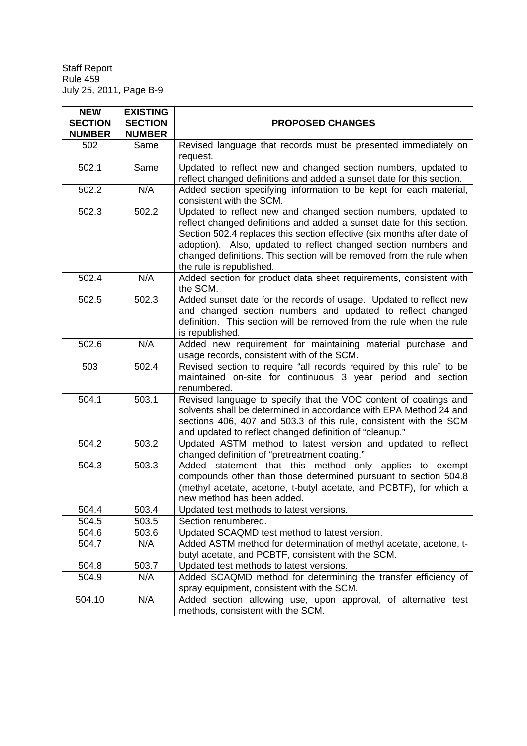| <b>NEW</b>                      | <b>EXISTING</b>                 |                                                                                                                                                                                                                                                                                                                                                                                           |
|---------------------------------|---------------------------------|-------------------------------------------------------------------------------------------------------------------------------------------------------------------------------------------------------------------------------------------------------------------------------------------------------------------------------------------------------------------------------------------|
| <b>SECTION</b><br><b>NUMBER</b> | <b>SECTION</b><br><b>NUMBER</b> | <b>PROPOSED CHANGES</b>                                                                                                                                                                                                                                                                                                                                                                   |
| 502                             | Same                            | Revised language that records must be presented immediately on<br>request.                                                                                                                                                                                                                                                                                                                |
| 502.1                           | Same                            | Updated to reflect new and changed section numbers, updated to<br>reflect changed definitions and added a sunset date for this section.                                                                                                                                                                                                                                                   |
| 502.2                           | N/A                             | Added section specifying information to be kept for each material,<br>consistent with the SCM.                                                                                                                                                                                                                                                                                            |
| 502.3                           | 502.2                           | Updated to reflect new and changed section numbers, updated to<br>reflect changed definitions and added a sunset date for this section.<br>Section 502.4 replaces this section effective (six months after date of<br>adoption). Also, updated to reflect changed section numbers and<br>changed definitions. This section will be removed from the rule when<br>the rule is republished. |
| 502.4                           | N/A                             | Added section for product data sheet requirements, consistent with<br>the SCM.                                                                                                                                                                                                                                                                                                            |
| 502.5                           | 502.3                           | Added sunset date for the records of usage. Updated to reflect new<br>and changed section numbers and updated to reflect changed<br>definition. This section will be removed from the rule when the rule<br>is republished.                                                                                                                                                               |
| 502.6                           | N/A                             | Added new requirement for maintaining material purchase and<br>usage records, consistent with of the SCM.                                                                                                                                                                                                                                                                                 |
| 503                             | 502.4                           | Revised section to require "all records required by this rule" to be<br>maintained on-site for continuous 3 year period and section<br>renumbered.                                                                                                                                                                                                                                        |
| 504.1                           | 503.1                           | Revised language to specify that the VOC content of coatings and<br>solvents shall be determined in accordance with EPA Method 24 and<br>sections 406, 407 and 503.3 of this rule, consistent with the SCM<br>and updated to reflect changed definition of "cleanup."                                                                                                                     |
| 504.2                           | 503.2                           | Updated ASTM method to latest version and updated to reflect<br>changed definition of "pretreatment coating."                                                                                                                                                                                                                                                                             |
| 504.3                           | 503.3                           | Added statement that this method only applies to exempt<br>compounds other than those determined pursuant to section 504.8<br>(methyl acetate, acetone, t-butyl acetate, and PCBTF), for which a<br>new method has been added.                                                                                                                                                            |
| 504.4                           | 503.4                           | Updated test methods to latest versions.                                                                                                                                                                                                                                                                                                                                                  |
| 504.5                           | 503.5                           | Section renumbered.                                                                                                                                                                                                                                                                                                                                                                       |
| 504.6                           | 503.6                           | Updated SCAQMD test method to latest version.                                                                                                                                                                                                                                                                                                                                             |
| 504.7                           | N/A                             | Added ASTM method for determination of methyl acetate, acetone, t-<br>butyl acetate, and PCBTF, consistent with the SCM.                                                                                                                                                                                                                                                                  |
| 504.8                           | 503.7                           | Updated test methods to latest versions.                                                                                                                                                                                                                                                                                                                                                  |
| 504.9                           | N/A                             | Added SCAQMD method for determining the transfer efficiency of<br>spray equipment, consistent with the SCM.                                                                                                                                                                                                                                                                               |
| 504.10                          | N/A                             | Added section allowing use, upon approval, of alternative test<br>methods, consistent with the SCM.                                                                                                                                                                                                                                                                                       |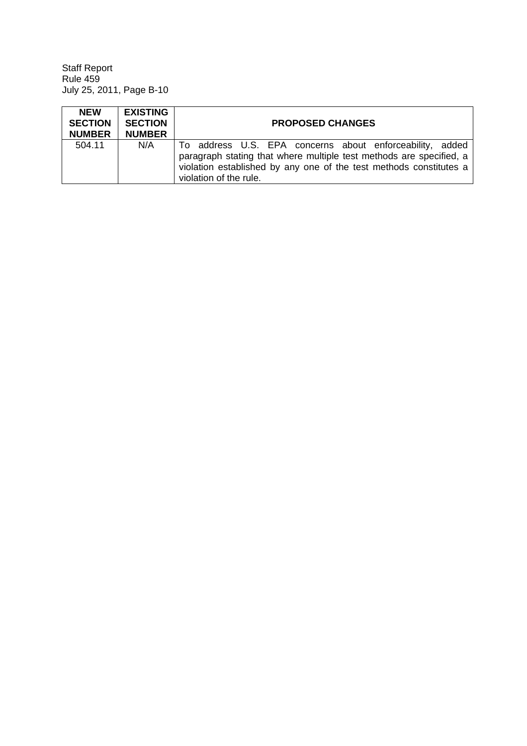| <b>NEW</b><br><b>SECTION</b><br><b>NUMBER</b> | <b>EXISTING</b><br><b>SECTION</b><br><b>NUMBER</b> | <b>PROPOSED CHANGES</b>                                                                                                                                                                                                         |
|-----------------------------------------------|----------------------------------------------------|---------------------------------------------------------------------------------------------------------------------------------------------------------------------------------------------------------------------------------|
| 504.11                                        | N/A                                                | To address U.S. EPA concerns about enforceability, added<br>paragraph stating that where multiple test methods are specified, a<br>violation established by any one of the test methods constitutes a<br>violation of the rule. |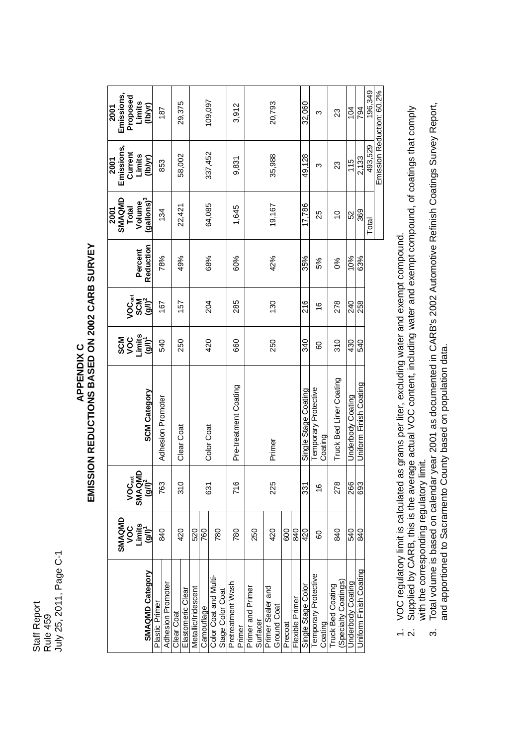Staff Report Staff Report<br>Rule 459<br>July 25, 2011, Page C-1 July 25, 2011, Page C-1

## APPENDIX C<br>EMISSION REDUCTIONS BASED ON 2002 CARB SURVEY **EMISSION REDUCTIONS BASED ON 2002 CARB SURVEY**

|                                                  | SMAQMD                       |                                                                         |                                 |                                     |                    |           | SMAQMD<br>2001         | Emissions,<br>2001 | Emissions,<br>2001 |
|--------------------------------------------------|------------------------------|-------------------------------------------------------------------------|---------------------------------|-------------------------------------|--------------------|-----------|------------------------|--------------------|--------------------|
|                                                  | voc                          |                                                                         |                                 | <b>SCO<br/>SOLE</b><br>SOLE<br>GOLE | VOC <sub>act</sub> |           | Total                  | Current            | Proposed           |
|                                                  |                              |                                                                         |                                 |                                     | <b>SCM</b>         | Percent   | Volume                 |                    | Limits             |
| SMAQMD Category                                  | Limits<br>(g/l) <sup>1</sup> | $\begin{bmatrix} \text{VOC}_{\text{act}} \ \text{SMAQMD} \end{bmatrix}$ | <b>SCM Category</b>             |                                     | $(yI)^2$           | Reduction | (gallons) <sup>3</sup> | Limits<br>(lb/yr)  | (hbyr)             |
| Plastic Prime                                    | 840                          | 763                                                                     | Adhesion Promoter               | 540                                 | 167                | 78%       | 134                    | 853                | 187                |
| Adhesion Promoter                                |                              |                                                                         |                                 |                                     |                    |           |                        |                    |                    |
| Clear Coat                                       | 420                          | თ<br>ა                                                                  | Clear Coat                      | 250                                 | 157                | 49%       | 22,421                 |                    |                    |
| Elastomeric Clear                                |                              |                                                                         |                                 |                                     |                    |           |                        | 58,002             | 29,375             |
| Metallic/Iridescent                              | 520                          |                                                                         |                                 |                                     |                    |           |                        |                    |                    |
| Camouflage                                       | 760                          | 631                                                                     |                                 | 420                                 | 204                | 68%       | 64,085                 |                    | 109,097            |
| Color Coat and Multi-<br>Stage Color Coat        | 780                          |                                                                         | Color Coat                      |                                     |                    |           |                        | 337,452            |                    |
| Pretreatment Wash<br>Primer                      | 780                          | 716                                                                     | Pre-treatment Coating           | 660                                 | 285                | 60%       | 1,645                  | 9,831              | 3,912              |
| Primer and Primer<br>Surfacer                    | 250                          |                                                                         |                                 |                                     |                    |           |                        |                    |                    |
| Primer Sealer and<br>Ground Coat                 | 420                          | <b>225</b>                                                              | Primer                          | 250                                 | 130                | 42%       | 19,167                 | 35,988             | 20,793             |
| Precoat                                          | 600                          |                                                                         |                                 |                                     |                    |           |                        |                    |                    |
| Flexible Primer                                  | 840                          |                                                                         |                                 |                                     |                    |           |                        |                    |                    |
| Single Stage Color                               | 420                          | 331                                                                     | Single Stage Coating            | 340                                 | 216                | 35%       | 17,786                 | 49,128             | 32,060             |
| Temporary Protective<br>Coating                  | 80                           | $\frac{6}{5}$                                                           | Temporary Protective<br>Coating | 80                                  | $\frac{6}{5}$      | 5%        | 25                     | ო                  | ω                  |
| (Specialty Coatings)<br><b>Truck Bed Coating</b> | 840                          | <b>278</b>                                                              | Truck Bed Liner Coating         | 310                                 | 278                | 8%        | $\frac{1}{2}$          | 23                 | 23                 |
| Underbody Coating                                | 540                          | 266                                                                     | Underbody Coating               | 430                                 | 240                | 10%       | 52                     | 115                | 104                |
| Uniform Finish Coating                           | $\frac{6}{3}$                | 63                                                                      | Uniform Finish Coating          | 540                                 | 258                | 63%       | 369                    | 2.133              | 794                |
|                                                  |                              |                                                                         |                                 |                                     |                    |           | Total                  | 493,529            | 196,349            |

1. VOC regulatory limit is calculated as grams per liter, excluding water and exempt compound.

Emission Reduction: 60.2%

Emission Reduction: 60.2%

VOC regulatory limit is calculated as grams per liter, excluding water and exempt compound.<br>Supplied by CARB, this is the average actual VOC content, including water and exempt compound, of coatings that comply 2. Supplied by CARB, this is the average actual VOC content, including water and exempt compound, of coatings that comply with the corresponding regulatory limit. with the corresponding regulatory limit.  $\div$   $\alpha$ 

Total volume is based on calendar year 2001 as documented in CARB's 2002 Automotive Refinish Coatings Survey Report, 3. Total volume is based on calendar year 2001 as documented in CARB's 2002 Automotive Refinish Coatings Survey Report, and apportioned to Sacramento County based on population data. and apportioned to Sacramento County based on population data. $\ddot{\mathrm{c}}$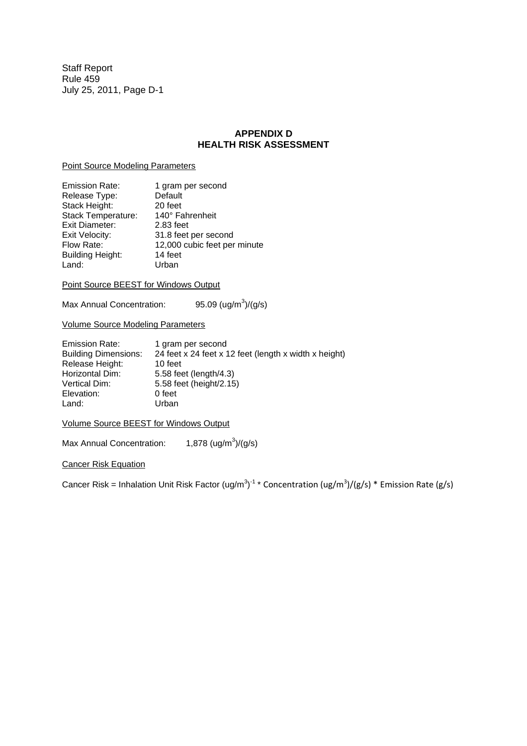## **APPENDIX D HEALTH RISK ASSESSMENT**

## Point Source Modeling Parameters

| <b>Emission Rate:</b>   | 1 gram per second            |
|-------------------------|------------------------------|
| Release Type:           | Default                      |
| Stack Height:           | 20 feet                      |
| Stack Temperature:      | 140° Fahrenheit              |
| <b>Exit Diameter:</b>   | 2.83 feet                    |
| Exit Velocity:          | 31.8 feet per second         |
| Flow Rate:              | 12,000 cubic feet per minute |
| <b>Building Height:</b> | 14 feet                      |
| Land:                   | Urban                        |
|                         |                              |

## Point Source BEEST for Windows Output

Max Annual Concentration: 95.09  $(ug/m^3)/(g/s)$ 

Volume Source Modeling Parameters

| <b>Emission Rate:</b>       | 1 gram per second                                     |
|-----------------------------|-------------------------------------------------------|
| <b>Building Dimensions:</b> | 24 feet x 24 feet x 12 feet (length x width x height) |
| Release Height:             | 10 feet                                               |
| Horizontal Dim:             | 5.58 feet (length/4.3)                                |
| Vertical Dim:               | 5.58 feet (height/2.15)                               |
| Elevation:                  | 0 feet                                                |
| Land:                       | Urban                                                 |

Volume Source BEEST for Windows Output

Max Annual Concentration: 1,878  $(ug/m^3)/(g/s)$ 

## Cancer Risk Equation

Cancer Risk = Inhalation Unit Risk Factor (ug/m<sup>3</sup>)<sup>-1</sup> \* Concentration (ug/m<sup>3</sup>)/(g/s) \* Emission Rate (g/s)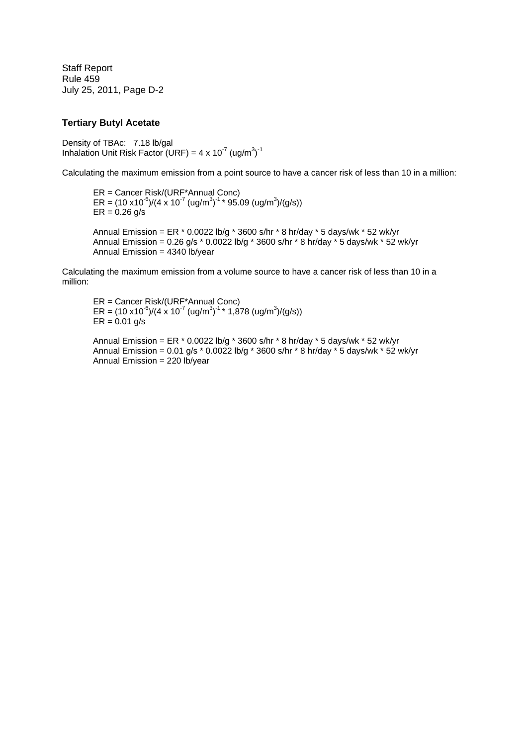## **Tertiary Butyl Acetate**

Density of TBAc: 7.18 lb/gal Inhalation Unit Risk Factor (URF) =  $4 \times 10^{-7}$  (ug/m<sup>3</sup>)<sup>-1</sup>

Calculating the maximum emission from a point source to have a cancer risk of less than 10 in a million:

ER = Cancer Risk/(URF\*Annual Conc) ER =  $(10 \times 10^{-6})/(4 \times 10^{-7} \text{ (ug/m}^3)^{-1} * 95.09 \text{ (ug/m}^3)/(g/s))$  $ER = 0.26$  g/s Annual Emission = ER  $*$  0.0022 lb/g  $*$  3600 s/hr  $*$  8 hr/day  $*$  5 days/wk  $*$  52 wk/yr

Annual Emission =  $0.26$  g/s  $*$   $0.0022$  lb/g  $*$  3600 s/hr  $*$  8 hr/day  $*$  5 days/wk  $*$  52 wk/yr Annual Emission = 4340 lb/year

Calculating the maximum emission from a volume source to have a cancer risk of less than 10 in a million:

ER = Cancer Risk/(URF\*Annual Conc) ER =  $(10 \times 10^{-6})/(4 \times 10^{-7} \text{ (ug/m}^3)^{-1}$  \* 1,878 (ug/m<sup>3</sup>)/(g/s))  $ER = 0.01$  g/s

Annual Emission = ER \* 0.0022 lb/g \* 3600 s/hr \* 8 hr/day \* 5 days/wk \* 52 wk/yr Annual Emission = 0.01 g/s \* 0.0022 lb/g \* 3600 s/hr \* 8 hr/day \* 5 days/wk \* 52 wk/yr Annual Emission = 220 lb/year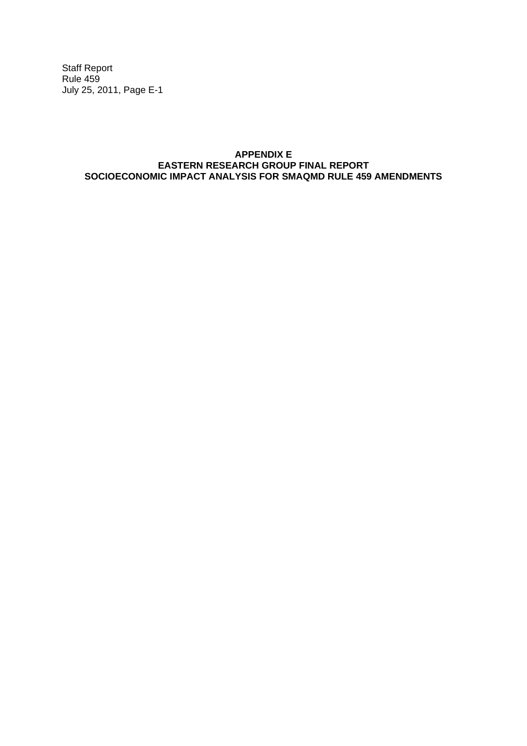## **APPENDIX E EASTERN RESEARCH GROUP FINAL REPORT SOCIOECONOMIC IMPACT ANALYSIS FOR SMAQMD RULE 459 AMENDMENTS**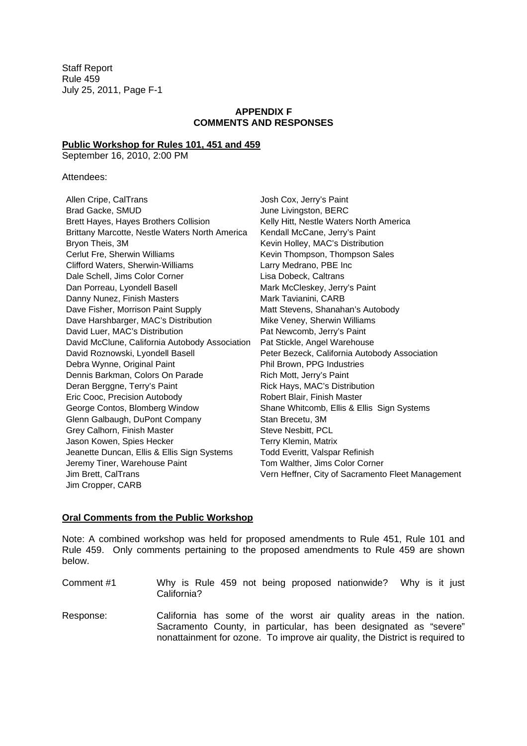## **APPENDIX F COMMENTS AND RESPONSES**

## **Public Workshop for Rules 101, 451 and 459**

September 16, 2010, 2:00 PM

## Attendees:

| Allen Cripe, CalTrans                          | Josh Cox, Jerry's Paint                           |
|------------------------------------------------|---------------------------------------------------|
| Brad Gacke, SMUD                               | June Livingston, BERC                             |
| Brett Hayes, Hayes Brothers Collision          | Kelly Hitt, Nestle Waters North America           |
| Brittany Marcotte, Nestle Waters North America | Kendall McCane, Jerry's Paint                     |
| Bryon Theis, 3M                                | Kevin Holley, MAC's Distribution                  |
| Cerlut Fre, Sherwin Williams                   | Kevin Thompson, Thompson Sales                    |
| Clifford Waters, Sherwin-Williams              | Larry Medrano, PBE Inc                            |
| Dale Schell, Jims Color Corner                 | Lisa Dobeck, Caltrans                             |
| Dan Porreau, Lyondell Basell                   | Mark McCleskey, Jerry's Paint                     |
| Danny Nunez, Finish Masters                    | Mark Tavianini, CARB                              |
| Dave Fisher, Morrison Paint Supply             | Matt Stevens, Shanahan's Autobody                 |
| Dave Harshbarger, MAC's Distribution           | Mike Veney, Sherwin Williams                      |
| David Luer, MAC's Distribution                 | Pat Newcomb, Jerry's Paint                        |
| David McClune, California Autobody Association | Pat Stickle, Angel Warehouse                      |
| David Roznowski, Lyondell Basell               | Peter Bezeck, California Autobody Association     |
| Debra Wynne, Original Paint                    | Phil Brown, PPG Industries                        |
| Dennis Barkman, Colors On Parade               | Rich Mott, Jerry's Paint                          |
| Deran Berggne, Terry's Paint                   | Rick Hays, MAC's Distribution                     |
| Eric Cooc, Precision Autobody                  | Robert Blair, Finish Master                       |
| George Contos, Blomberg Window                 | Shane Whitcomb, Ellis & Ellis Sign Systems        |
| Glenn Galbaugh, DuPont Company                 | Stan Brecetu, 3M                                  |
| Grey Calhorn, Finish Master                    | Steve Nesbitt, PCL                                |
| Jason Kowen, Spies Hecker                      | Terry Klemin, Matrix                              |
| Jeanette Duncan, Ellis & Ellis Sign Systems    | Todd Everitt, Valspar Refinish                    |
| Jeremy Tiner, Warehouse Paint                  | Tom Walther, Jims Color Corner                    |
| Jim Brett, CalTrans                            | Vern Heffner, City of Sacramento Fleet Management |
| Jim Cropper, CARB                              |                                                   |

## **Oral Comments from the Public Workshop**

Note: A combined workshop was held for proposed amendments to Rule 451, Rule 101 and Rule 459. Only comments pertaining to the proposed amendments to Rule 459 are shown below.

- Comment #1 Why is Rule 459 not being proposed nationwide? Why is it just California?
- Response: California has some of the worst air quality areas in the nation. Sacramento County, in particular, has been designated as "severe" nonattainment for ozone. To improve air quality, the District is required to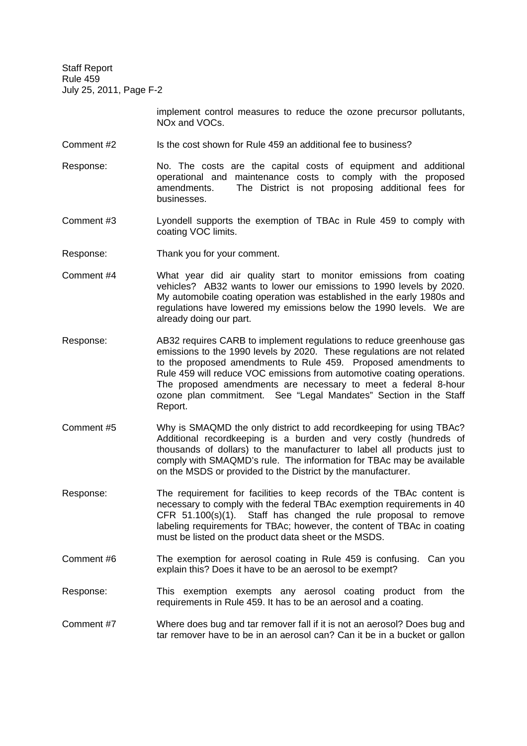> implement control measures to reduce the ozone precursor pollutants, NOx and VOCs.

- Comment #2 Is the cost shown for Rule 459 an additional fee to business?
- Response: No. The costs are the capital costs of equipment and additional operational and maintenance costs to comply with the proposed amendments. The District is not proposing additional fees for businesses.
- Comment #3 Lyondell supports the exemption of TBAc in Rule 459 to comply with coating VOC limits.
- Response: Thank you for your comment.
- Comment #4 What year did air quality start to monitor emissions from coating vehicles? AB32 wants to lower our emissions to 1990 levels by 2020. My automobile coating operation was established in the early 1980s and regulations have lowered my emissions below the 1990 levels. We are already doing our part.
- Response: AB32 requires CARB to implement regulations to reduce greenhouse gas emissions to the 1990 levels by 2020. These regulations are not related to the proposed amendments to Rule 459. Proposed amendments to Rule 459 will reduce VOC emissions from automotive coating operations. The proposed amendments are necessary to meet a federal 8-hour ozone plan commitment. See "Legal Mandates" Section in the Staff Report.
- Comment #5 Why is SMAQMD the only district to add recordkeeping for using TBAc? Additional recordkeeping is a burden and very costly (hundreds of thousands of dollars) to the manufacturer to label all products just to comply with SMAQMD's rule. The information for TBAc may be available on the MSDS or provided to the District by the manufacturer.
- Response: The requirement for facilities to keep records of the TBAc content is necessary to comply with the federal TBAc exemption requirements in 40 CFR 51.100(s)(1). Staff has changed the rule proposal to remove labeling requirements for TBAc; however, the content of TBAc in coating must be listed on the product data sheet or the MSDS.
- Comment #6 The exemption for aerosol coating in Rule 459 is confusing. Can you explain this? Does it have to be an aerosol to be exempt?
- Response: This exemption exempts any aerosol coating product from the requirements in Rule 459. It has to be an aerosol and a coating.
- Comment #7 Where does bug and tar remover fall if it is not an aerosol? Does bug and tar remover have to be in an aerosol can? Can it be in a bucket or gallon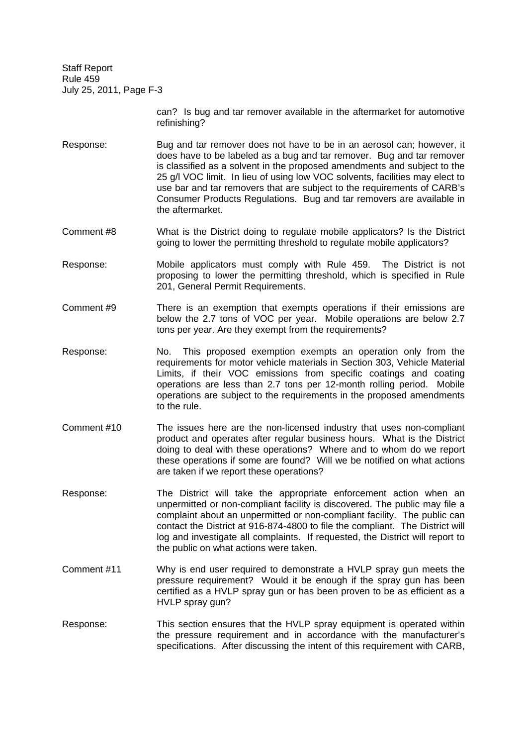> can? Is bug and tar remover available in the aftermarket for automotive refinishing?

- Response: Bug and tar remover does not have to be in an aerosol can; however, it does have to be labeled as a bug and tar remover. Bug and tar remover is classified as a solvent in the proposed amendments and subject to the 25 g/l VOC limit. In lieu of using low VOC solvents, facilities may elect to use bar and tar removers that are subject to the requirements of CARB's Consumer Products Regulations. Bug and tar removers are available in the aftermarket.
- Comment #8 What is the District doing to regulate mobile applicators? Is the District going to lower the permitting threshold to regulate mobile applicators?
- Response: Mobile applicators must comply with Rule 459. The District is not proposing to lower the permitting threshold, which is specified in Rule 201, General Permit Requirements.
- Comment #9 There is an exemption that exempts operations if their emissions are below the 2.7 tons of VOC per year. Mobile operations are below 2.7 tons per year. Are they exempt from the requirements?
- Response: No. This proposed exemption exempts an operation only from the requirements for motor vehicle materials in Section 303, Vehicle Material Limits, if their VOC emissions from specific coatings and coating operations are less than 2.7 tons per 12-month rolling period. Mobile operations are subject to the requirements in the proposed amendments to the rule.
- Comment #10 The issues here are the non-licensed industry that uses non-compliant product and operates after regular business hours. What is the District doing to deal with these operations? Where and to whom do we report these operations if some are found? Will we be notified on what actions are taken if we report these operations?
- Response: The District will take the appropriate enforcement action when an unpermitted or non-compliant facility is discovered. The public may file a complaint about an unpermitted or non-compliant facility. The public can contact the District at 916-874-4800 to file the compliant. The District will log and investigate all complaints. If requested, the District will report to the public on what actions were taken.
- Comment #11 Why is end user required to demonstrate a HVLP spray gun meets the pressure requirement? Would it be enough if the spray gun has been certified as a HVLP spray gun or has been proven to be as efficient as a HVLP spray gun?
- Response: This section ensures that the HVLP spray equipment is operated within the pressure requirement and in accordance with the manufacturer's specifications. After discussing the intent of this requirement with CARB,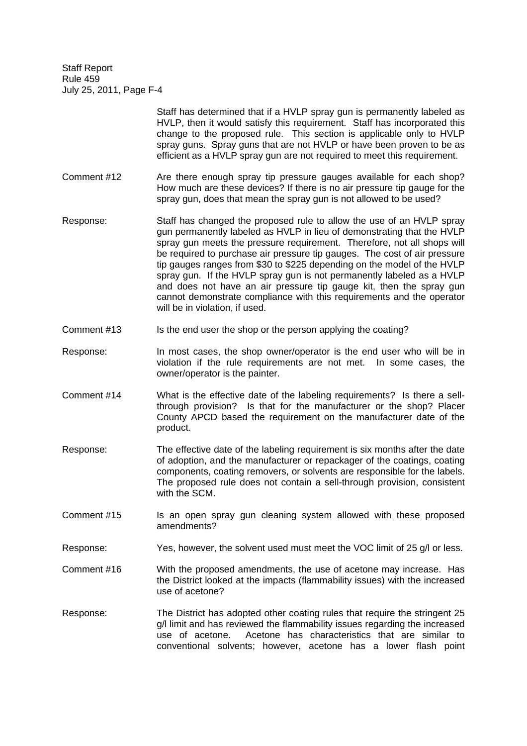|             | Staff has determined that if a HVLP spray gun is permanently labeled as<br>HVLP, then it would satisfy this requirement. Staff has incorporated this<br>change to the proposed rule. This section is applicable only to HVLP<br>spray guns. Spray guns that are not HVLP or have been proven to be as<br>efficient as a HVLP spray gun are not required to meet this requirement.                                                                                                                                                                                                                                                             |
|-------------|-----------------------------------------------------------------------------------------------------------------------------------------------------------------------------------------------------------------------------------------------------------------------------------------------------------------------------------------------------------------------------------------------------------------------------------------------------------------------------------------------------------------------------------------------------------------------------------------------------------------------------------------------|
| Comment #12 | Are there enough spray tip pressure gauges available for each shop?<br>How much are these devices? If there is no air pressure tip gauge for the<br>spray gun, does that mean the spray gun is not allowed to be used?                                                                                                                                                                                                                                                                                                                                                                                                                        |
| Response:   | Staff has changed the proposed rule to allow the use of an HVLP spray<br>gun permanently labeled as HVLP in lieu of demonstrating that the HVLP<br>spray gun meets the pressure requirement. Therefore, not all shops will<br>be required to purchase air pressure tip gauges. The cost of air pressure<br>tip gauges ranges from \$30 to \$225 depending on the model of the HVLP<br>spray gun. If the HVLP spray gun is not permanently labeled as a HVLP<br>and does not have an air pressure tip gauge kit, then the spray gun<br>cannot demonstrate compliance with this requirements and the operator<br>will be in violation, if used. |

- Comment #13 Is the end user the shop or the person applying the coating?
- Response: In most cases, the shop owner/operator is the end user who will be in violation if the rule requirements are not met. In some cases, the owner/operator is the painter.
- Comment #14 What is the effective date of the labeling requirements? Is there a sellthrough provision? Is that for the manufacturer or the shop? Placer County APCD based the requirement on the manufacturer date of the product.
- Response: The effective date of the labeling requirement is six months after the date of adoption, and the manufacturer or repackager of the coatings, coating components, coating removers, or solvents are responsible for the labels. The proposed rule does not contain a sell-through provision, consistent with the SCM.
- Comment #15 Is an open spray gun cleaning system allowed with these proposed amendments?
- Response: Yes, however, the solvent used must meet the VOC limit of 25 g/l or less.
- Comment #16 With the proposed amendments, the use of acetone may increase. Has the District looked at the impacts (flammability issues) with the increased use of acetone?
- Response: The District has adopted other coating rules that require the stringent 25 g/l limit and has reviewed the flammability issues regarding the increased use of acetone. Acetone has characteristics that are similar to conventional solvents; however, acetone has a lower flash point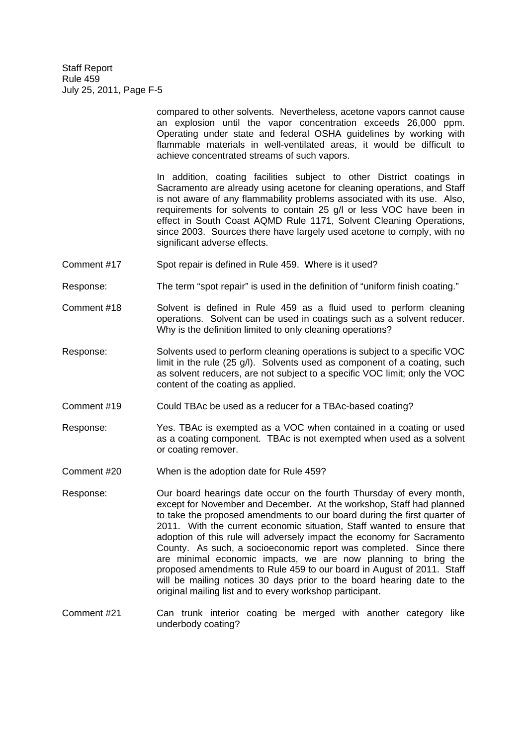> compared to other solvents. Nevertheless, acetone vapors cannot cause an explosion until the vapor concentration exceeds 26,000 ppm. Operating under state and federal OSHA guidelines by working with flammable materials in well-ventilated areas, it would be difficult to achieve concentrated streams of such vapors.

> In addition, coating facilities subject to other District coatings in Sacramento are already using acetone for cleaning operations, and Staff is not aware of any flammability problems associated with its use. Also, requirements for solvents to contain 25 g/l or less VOC have been in effect in South Coast AQMD Rule 1171, Solvent Cleaning Operations, since 2003. Sources there have largely used acetone to comply, with no significant adverse effects.

- Comment #17 Spot repair is defined in Rule 459. Where is it used?
- Response: The term "spot repair" is used in the definition of "uniform finish coating."
- Comment #18 Solvent is defined in Rule 459 as a fluid used to perform cleaning operations. Solvent can be used in coatings such as a solvent reducer. Why is the definition limited to only cleaning operations?
- Response: Solvents used to perform cleaning operations is subject to a specific VOC limit in the rule (25 g/l). Solvents used as component of a coating, such as solvent reducers, are not subject to a specific VOC limit; only the VOC content of the coating as applied.
- Comment #19 Could TBAc be used as a reducer for a TBAc-based coating?
- Response: Yes. TBAc is exempted as a VOC when contained in a coating or used as a coating component. TBAc is not exempted when used as a solvent or coating remover.
- Comment #20 When is the adoption date for Rule 459?
- Response: Our board hearings date occur on the fourth Thursday of every month, except for November and December. At the workshop, Staff had planned to take the proposed amendments to our board during the first quarter of 2011. With the current economic situation, Staff wanted to ensure that adoption of this rule will adversely impact the economy for Sacramento County. As such, a socioeconomic report was completed. Since there are minimal economic impacts, we are now planning to bring the proposed amendments to Rule 459 to our board in August of 2011. Staff will be mailing notices 30 days prior to the board hearing date to the original mailing list and to every workshop participant.
- Comment #21 Can trunk interior coating be merged with another category like underbody coating?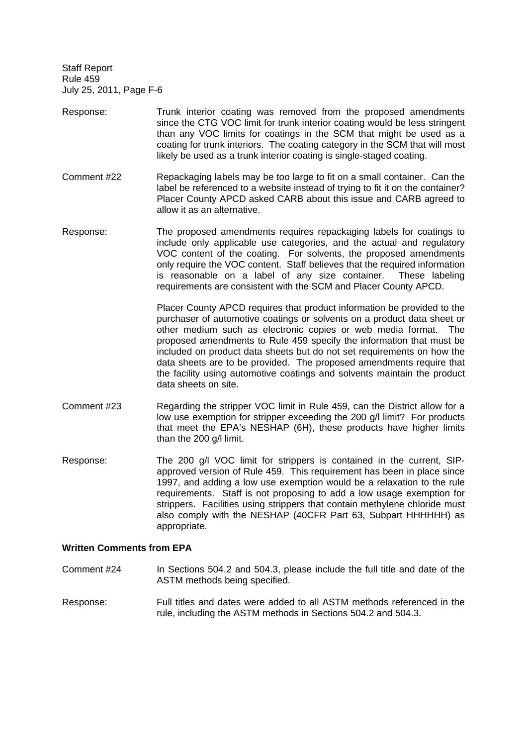- Response: Trunk interior coating was removed from the proposed amendments since the CTG VOC limit for trunk interior coating would be less stringent than any VOC limits for coatings in the SCM that might be used as a coating for trunk interiors. The coating category in the SCM that will most likely be used as a trunk interior coating is single-staged coating.
- Comment #22 Repackaging labels may be too large to fit on a small container. Can the label be referenced to a website instead of trying to fit it on the container? Placer County APCD asked CARB about this issue and CARB agreed to allow it as an alternative.
- Response: The proposed amendments requires repackaging labels for coatings to include only applicable use categories, and the actual and regulatory VOC content of the coating. For solvents, the proposed amendments only require the VOC content. Staff believes that the required information is reasonable on a label of any size container. These labeling requirements are consistent with the SCM and Placer County APCD.

Placer County APCD requires that product information be provided to the purchaser of automotive coatings or solvents on a product data sheet or other medium such as electronic copies or web media format. The proposed amendments to Rule 459 specify the information that must be included on product data sheets but do not set requirements on how the data sheets are to be provided. The proposed amendments require that the facility using automotive coatings and solvents maintain the product data sheets on site.

- Comment #23 Regarding the stripper VOC limit in Rule 459, can the District allow for a low use exemption for stripper exceeding the 200 g/l limit? For products that meet the EPA's NESHAP (6H), these products have higher limits than the 200 g/l limit.
- Response: The 200 g/l VOC limit for strippers is contained in the current, SIPapproved version of Rule 459. This requirement has been in place since 1997, and adding a low use exemption would be a relaxation to the rule requirements. Staff is not proposing to add a low usage exemption for strippers. Facilities using strippers that contain methylene chloride must also comply with the NESHAP (40CFR Part 63, Subpart HHHHHH) as appropriate.

## **Written Comments from EPA**

- Comment #24 In Sections 504.2 and 504.3, please include the full title and date of the ASTM methods being specified.
- Response: Full titles and dates were added to all ASTM methods referenced in the rule, including the ASTM methods in Sections 504.2 and 504.3.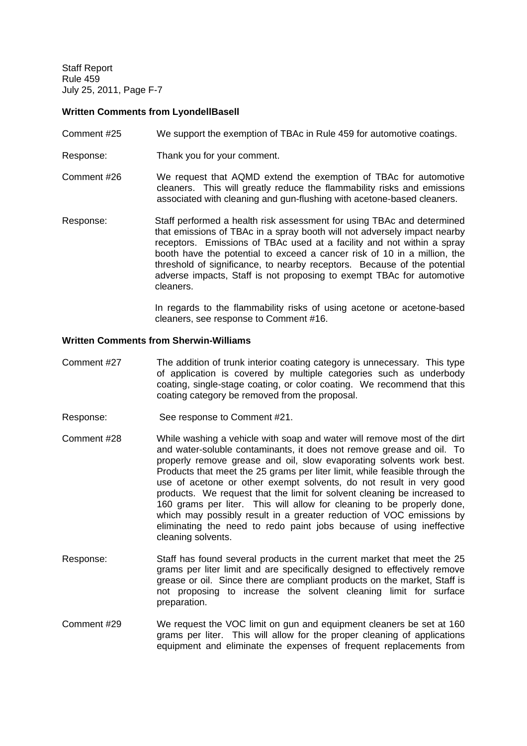## **Written Comments from LyondellBasell**

- Comment #25 We support the exemption of TBAc in Rule 459 for automotive coatings.
- Response: Thank you for your comment.
- Comment #26 We request that AQMD extend the exemption of TBAc for automotive cleaners. This will greatly reduce the flammability risks and emissions associated with cleaning and gun-flushing with acetone-based cleaners.
- Response: Staff performed a health risk assessment for using TBAc and determined that emissions of TBAc in a spray booth will not adversely impact nearby receptors. Emissions of TBAc used at a facility and not within a spray booth have the potential to exceed a cancer risk of 10 in a million, the threshold of significance, to nearby receptors. Because of the potential adverse impacts, Staff is not proposing to exempt TBAc for automotive cleaners.

In regards to the flammability risks of using acetone or acetone-based cleaners, see response to Comment #16.

### **Written Comments from Sherwin-Williams**

- Comment #27 The addition of trunk interior coating category is unnecessary. This type of application is covered by multiple categories such as underbody coating, single-stage coating, or color coating. We recommend that this coating category be removed from the proposal.
- Response: See response to Comment #21.
- Comment #28 While washing a vehicle with soap and water will remove most of the dirt and water-soluble contaminants, it does not remove grease and oil. To properly remove grease and oil, slow evaporating solvents work best. Products that meet the 25 grams per liter limit, while feasible through the use of acetone or other exempt solvents, do not result in very good products. We request that the limit for solvent cleaning be increased to 160 grams per liter. This will allow for cleaning to be properly done, which may possibly result in a greater reduction of VOC emissions by eliminating the need to redo paint jobs because of using ineffective cleaning solvents.
- Response: Staff has found several products in the current market that meet the 25 grams per liter limit and are specifically designed to effectively remove grease or oil. Since there are compliant products on the market, Staff is not proposing to increase the solvent cleaning limit for surface preparation.
- Comment #29 We request the VOC limit on gun and equipment cleaners be set at 160 grams per liter. This will allow for the proper cleaning of applications equipment and eliminate the expenses of frequent replacements from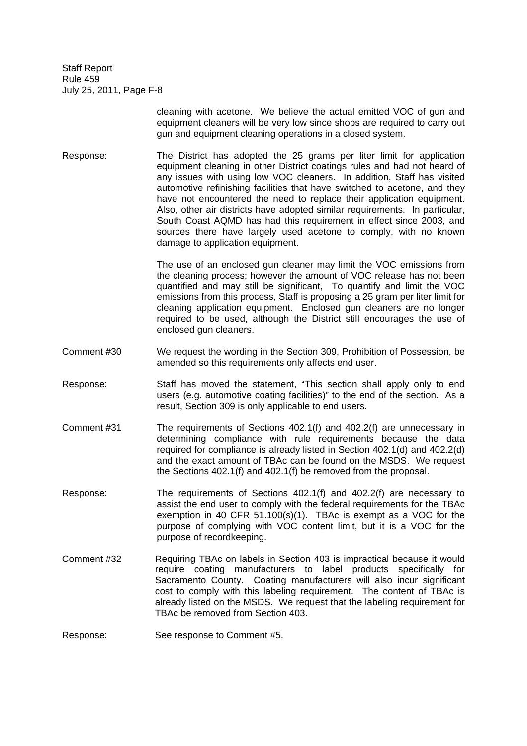> cleaning with acetone. We believe the actual emitted VOC of gun and equipment cleaners will be very low since shops are required to carry out gun and equipment cleaning operations in a closed system.

Response: The District has adopted the 25 grams per liter limit for application equipment cleaning in other District coatings rules and had not heard of any issues with using low VOC cleaners. In addition, Staff has visited automotive refinishing facilities that have switched to acetone, and they have not encountered the need to replace their application equipment. Also, other air districts have adopted similar requirements. In particular, South Coast AQMD has had this requirement in effect since 2003, and sources there have largely used acetone to comply, with no known damage to application equipment.

> The use of an enclosed gun cleaner may limit the VOC emissions from the cleaning process; however the amount of VOC release has not been quantified and may still be significant, To quantify and limit the VOC emissions from this process, Staff is proposing a 25 gram per liter limit for cleaning application equipment. Enclosed gun cleaners are no longer required to be used, although the District still encourages the use of enclosed gun cleaners.

- Comment #30 We request the wording in the Section 309, Prohibition of Possession, be amended so this requirements only affects end user.
- Response: Staff has moved the statement, "This section shall apply only to end users (e.g. automotive coating facilities)" to the end of the section. As a result, Section 309 is only applicable to end users.
- Comment #31 The requirements of Sections 402.1(f) and 402.2(f) are unnecessary in determining compliance with rule requirements because the data required for compliance is already listed in Section 402.1(d) and 402.2(d) and the exact amount of TBAc can be found on the MSDS. We request the Sections 402.1(f) and 402.1(f) be removed from the proposal.
- Response: The requirements of Sections 402.1(f) and 402.2(f) are necessary to assist the end user to comply with the federal requirements for the TBAc exemption in 40 CFR 51.100(s)(1). TBAc is exempt as a VOC for the purpose of complying with VOC content limit, but it is a VOC for the purpose of recordkeeping.
- Comment #32 Requiring TBAc on labels in Section 403 is impractical because it would require coating manufacturers to label products specifically for Sacramento County. Coating manufacturers will also incur significant cost to comply with this labeling requirement. The content of TBAc is already listed on the MSDS. We request that the labeling requirement for TBAc be removed from Section 403.
- Response: See response to Comment #5.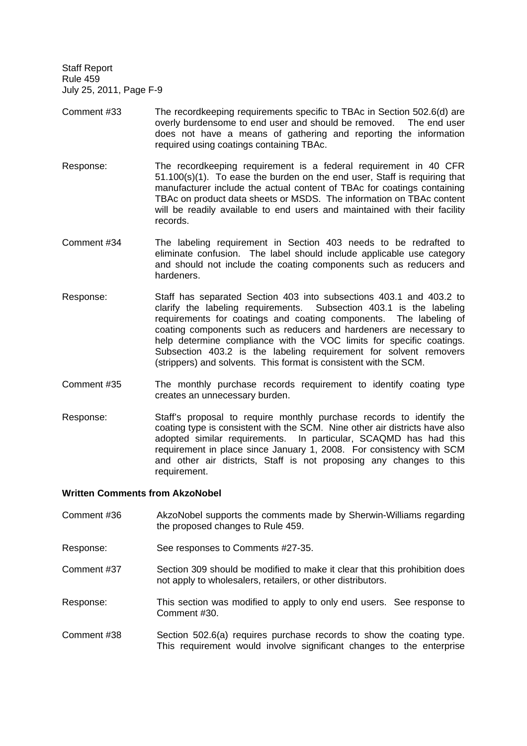- Comment #33 The recordkeeping requirements specific to TBAc in Section 502.6(d) are overly burdensome to end user and should be removed. The end user does not have a means of gathering and reporting the information required using coatings containing TBAc.
- Response: The recordkeeping requirement is a federal requirement in 40 CFR 51.100(s)(1). To ease the burden on the end user, Staff is requiring that manufacturer include the actual content of TBAc for coatings containing TBAc on product data sheets or MSDS. The information on TBAc content will be readily available to end users and maintained with their facility records.
- Comment #34 The labeling requirement in Section 403 needs to be redrafted to eliminate confusion. The label should include applicable use category and should not include the coating components such as reducers and hardeners.
- Response: Staff has separated Section 403 into subsections 403.1 and 403.2 to clarify the labeling requirements. Subsection 403.1 is the labeling requirements for coatings and coating components. The labeling of coating components such as reducers and hardeners are necessary to help determine compliance with the VOC limits for specific coatings. Subsection 403.2 is the labeling requirement for solvent removers (strippers) and solvents. This format is consistent with the SCM.
- Comment #35 The monthly purchase records requirement to identify coating type creates an unnecessary burden.
- Response: Staff's proposal to require monthly purchase records to identify the coating type is consistent with the SCM. Nine other air districts have also adopted similar requirements. In particular, SCAQMD has had this requirement in place since January 1, 2008. For consistency with SCM and other air districts, Staff is not proposing any changes to this requirement.

## **Written Comments from AkzoNobel**

- Comment #36 AkzoNobel supports the comments made by Sherwin-Williams regarding the proposed changes to Rule 459.
- Response: See responses to Comments #27-35.
- Comment #37 Section 309 should be modified to make it clear that this prohibition does not apply to wholesalers, retailers, or other distributors.
- Response: This section was modified to apply to only end users. See response to Comment #30.
- Comment #38 Section 502.6(a) requires purchase records to show the coating type. This requirement would involve significant changes to the enterprise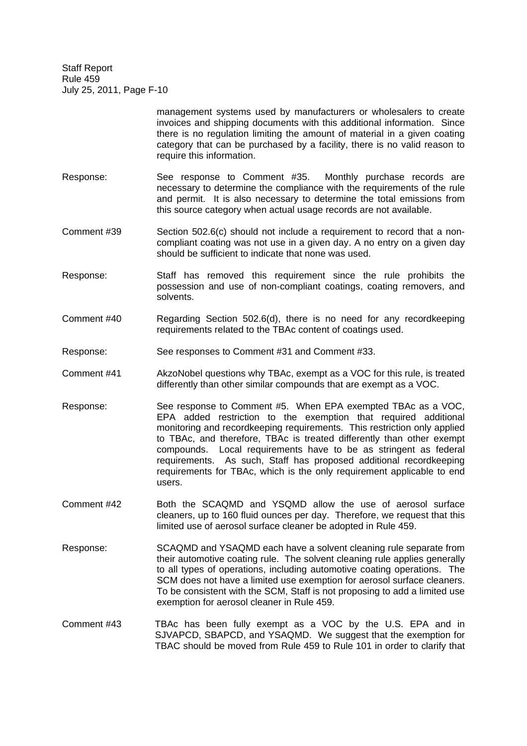> management systems used by manufacturers or wholesalers to create invoices and shipping documents with this additional information. Since there is no regulation limiting the amount of material in a given coating category that can be purchased by a facility, there is no valid reason to require this information.

- Response: See response to Comment #35. Monthly purchase records are necessary to determine the compliance with the requirements of the rule and permit. It is also necessary to determine the total emissions from this source category when actual usage records are not available.
- Comment #39 Section 502.6(c) should not include a requirement to record that a noncompliant coating was not use in a given day. A no entry on a given day should be sufficient to indicate that none was used.
- Response: Staff has removed this requirement since the rule prohibits the possession and use of non-compliant coatings, coating removers, and solvents.
- Comment #40 Regarding Section 502.6(d), there is no need for any recordkeeping requirements related to the TBAc content of coatings used.
- Response: See responses to Comment #31 and Comment #33.
- Comment #41 AkzoNobel questions why TBAc, exempt as a VOC for this rule, is treated differently than other similar compounds that are exempt as a VOC.
- Response: See response to Comment #5. When EPA exempted TBAc as a VOC, EPA added restriction to the exemption that required additional monitoring and recordkeeping requirements. This restriction only applied to TBAc, and therefore, TBAc is treated differently than other exempt compounds. Local requirements have to be as stringent as federal requirements. As such, Staff has proposed additional recordkeeping requirements for TBAc, which is the only requirement applicable to end users.
- Comment #42 Both the SCAQMD and YSQMD allow the use of aerosol surface cleaners, up to 160 fluid ounces per day. Therefore, we request that this limited use of aerosol surface cleaner be adopted in Rule 459.
- Response: SCAQMD and YSAQMD each have a solvent cleaning rule separate from their automotive coating rule. The solvent cleaning rule applies generally to all types of operations, including automotive coating operations. The SCM does not have a limited use exemption for aerosol surface cleaners. To be consistent with the SCM, Staff is not proposing to add a limited use exemption for aerosol cleaner in Rule 459.
- Comment #43 TBAc has been fully exempt as a VOC by the U.S. EPA and in SJVAPCD, SBAPCD, and YSAQMD. We suggest that the exemption for TBAC should be moved from Rule 459 to Rule 101 in order to clarify that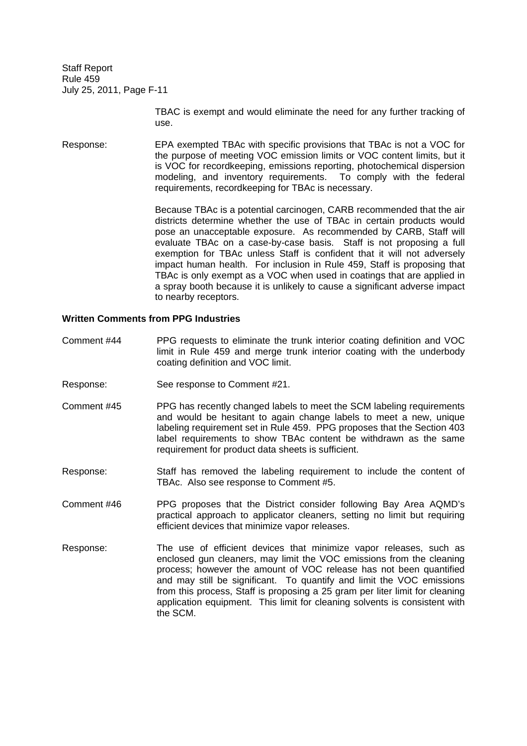> TBAC is exempt and would eliminate the need for any further tracking of use.

Response: EPA exempted TBAc with specific provisions that TBAc is not a VOC for the purpose of meeting VOC emission limits or VOC content limits, but it is VOC for recordkeeping, emissions reporting, photochemical dispersion modeling, and inventory requirements. To comply with the federal requirements, recordkeeping for TBAc is necessary.

> Because TBAc is a potential carcinogen, CARB recommended that the air districts determine whether the use of TBAc in certain products would pose an unacceptable exposure. As recommended by CARB, Staff will evaluate TBAc on a case-by-case basis. Staff is not proposing a full exemption for TBAc unless Staff is confident that it will not adversely impact human health. For inclusion in Rule 459, Staff is proposing that TBAc is only exempt as a VOC when used in coatings that are applied in a spray booth because it is unlikely to cause a significant adverse impact to nearby receptors.

## **Written Comments from PPG Industries**

- Comment #44 PPG requests to eliminate the trunk interior coating definition and VOC limit in Rule 459 and merge trunk interior coating with the underbody coating definition and VOC limit.
- Response: See response to Comment #21.
- Comment #45 PPG has recently changed labels to meet the SCM labeling requirements and would be hesitant to again change labels to meet a new, unique labeling requirement set in Rule 459. PPG proposes that the Section 403 label requirements to show TBAc content be withdrawn as the same requirement for product data sheets is sufficient.
- Response: Staff has removed the labeling requirement to include the content of TBAc. Also see response to Comment #5.
- Comment #46 PPG proposes that the District consider following Bay Area AQMD's practical approach to applicator cleaners, setting no limit but requiring efficient devices that minimize vapor releases.
- Response: The use of efficient devices that minimize vapor releases, such as enclosed gun cleaners, may limit the VOC emissions from the cleaning process; however the amount of VOC release has not been quantified and may still be significant. To quantify and limit the VOC emissions from this process, Staff is proposing a 25 gram per liter limit for cleaning application equipment. This limit for cleaning solvents is consistent with the SCM.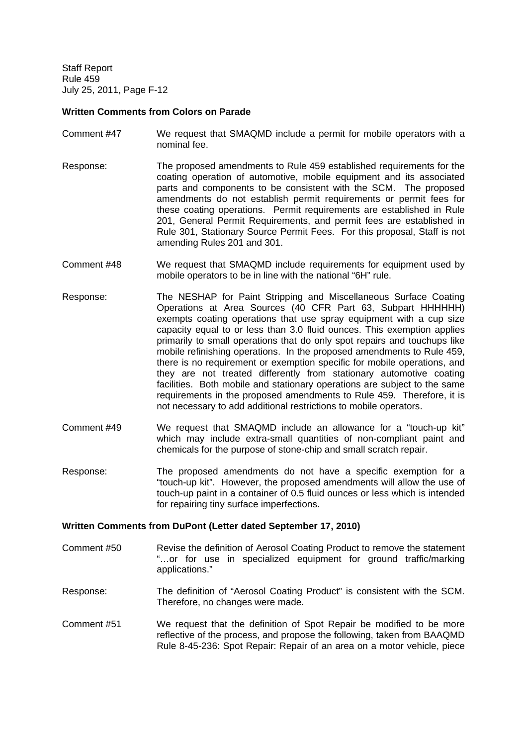## **Written Comments from Colors on Parade**

- Comment #47 We request that SMAQMD include a permit for mobile operators with a nominal fee.
- Response: The proposed amendments to Rule 459 established requirements for the coating operation of automotive, mobile equipment and its associated parts and components to be consistent with the SCM. The proposed amendments do not establish permit requirements or permit fees for these coating operations. Permit requirements are established in Rule 201, General Permit Requirements, and permit fees are established in Rule 301, Stationary Source Permit Fees. For this proposal, Staff is not amending Rules 201 and 301.
- Comment #48 We request that SMAQMD include requirements for equipment used by mobile operators to be in line with the national "6H" rule.
- Response: The NESHAP for Paint Stripping and Miscellaneous Surface Coating Operations at Area Sources (40 CFR Part 63, Subpart HHHHHH) exempts coating operations that use spray equipment with a cup size capacity equal to or less than 3.0 fluid ounces. This exemption applies primarily to small operations that do only spot repairs and touchups like mobile refinishing operations. In the proposed amendments to Rule 459, there is no requirement or exemption specific for mobile operations, and they are not treated differently from stationary automotive coating facilities. Both mobile and stationary operations are subject to the same requirements in the proposed amendments to Rule 459. Therefore, it is not necessary to add additional restrictions to mobile operators.
- Comment #49 We request that SMAQMD include an allowance for a "touch-up kit" which may include extra-small quantities of non-compliant paint and chemicals for the purpose of stone-chip and small scratch repair.
- Response: The proposed amendments do not have a specific exemption for a "touch-up kit". However, the proposed amendments will allow the use of touch-up paint in a container of 0.5 fluid ounces or less which is intended for repairing tiny surface imperfections.

## **Written Comments from DuPont (Letter dated September 17, 2010)**

- Comment #50 Revise the definition of Aerosol Coating Product to remove the statement "…or for use in specialized equipment for ground traffic/marking applications."
- Response: The definition of "Aerosol Coating Product" is consistent with the SCM. Therefore, no changes were made.
- Comment #51 We request that the definition of Spot Repair be modified to be more reflective of the process, and propose the following, taken from BAAQMD Rule 8-45-236: Spot Repair: Repair of an area on a motor vehicle, piece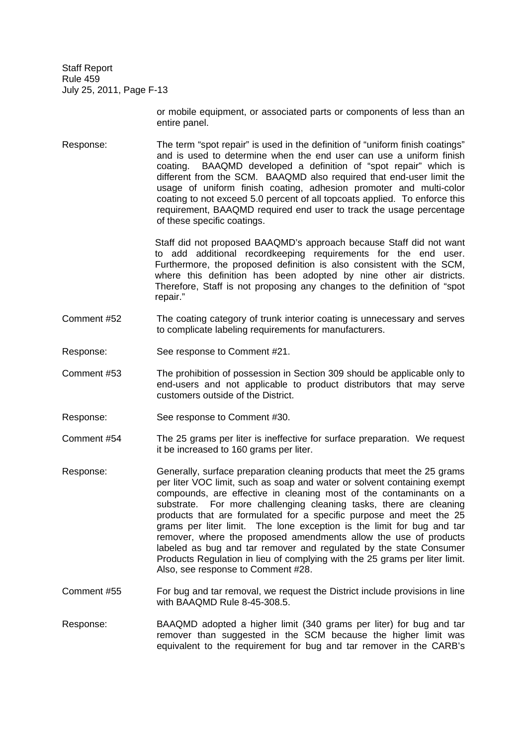> or mobile equipment, or associated parts or components of less than an entire panel.

Response: The term "spot repair" is used in the definition of "uniform finish coatings" and is used to determine when the end user can use a uniform finish coating. BAAQMD developed a definition of "spot repair" which is different from the SCM. BAAQMD also required that end-user limit the usage of uniform finish coating, adhesion promoter and multi-color coating to not exceed 5.0 percent of all topcoats applied. To enforce this requirement, BAAQMD required end user to track the usage percentage of these specific coatings.

> Staff did not proposed BAAQMD's approach because Staff did not want to add additional recordkeeping requirements for the end user. Furthermore, the proposed definition is also consistent with the SCM, where this definition has been adopted by nine other air districts. Therefore, Staff is not proposing any changes to the definition of "spot repair."

- Comment #52 The coating category of trunk interior coating is unnecessary and serves to complicate labeling requirements for manufacturers.
- Response: See response to Comment #21.
- Comment #53 The prohibition of possession in Section 309 should be applicable only to end-users and not applicable to product distributors that may serve customers outside of the District.
- Response: See response to Comment #30.
- Comment #54 The 25 grams per liter is ineffective for surface preparation. We request it be increased to 160 grams per liter.
- Response: Generally, surface preparation cleaning products that meet the 25 grams per liter VOC limit, such as soap and water or solvent containing exempt compounds, are effective in cleaning most of the contaminants on a substrate. For more challenging cleaning tasks, there are cleaning products that are formulated for a specific purpose and meet the 25 grams per liter limit. The lone exception is the limit for bug and tar remover, where the proposed amendments allow the use of products labeled as bug and tar remover and regulated by the state Consumer Products Regulation in lieu of complying with the 25 grams per liter limit. Also, see response to Comment #28.
- Comment #55 For bug and tar removal, we request the District include provisions in line with BAAQMD Rule 8-45-308.5.
- Response: BAAQMD adopted a higher limit (340 grams per liter) for bug and tar remover than suggested in the SCM because the higher limit was equivalent to the requirement for bug and tar remover in the CARB's